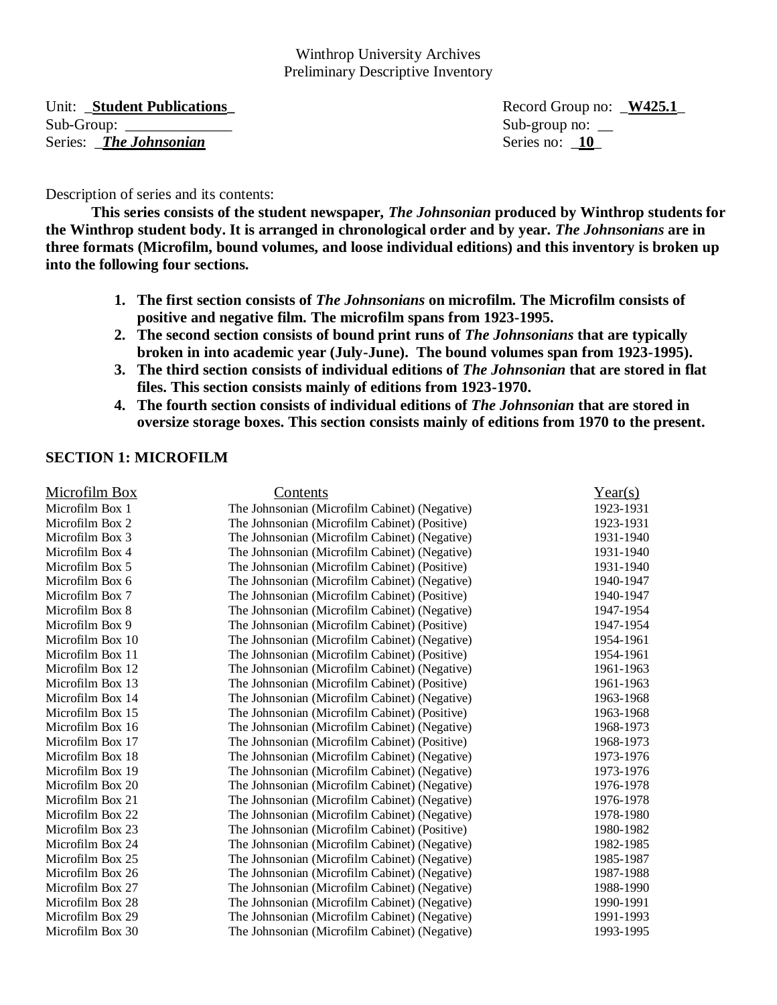Unit: **\_Student Publications**<br> **Example 3.1** Record Group no: **\_W425.1** Record Group no: **\_W425.1** Sub-Group: \_\_\_\_\_\_\_\_\_\_\_\_\_\_ Sub-group no: \_\_ Series: **The Johnsonian** Series no: **10** 

Description of series and its contents:

**This series consists of the student newspaper,** *The Johnsonian* **produced by Winthrop students for the Winthrop student body. It is arranged in chronological order and by year.** *The Johnsonians* **are in three formats (Microfilm, bound volumes, and loose individual editions) and this inventory is broken up into the following four sections.** 

- **1. The first section consists of** *The Johnsonians* **on microfilm. The Microfilm consists of positive and negative film. The microfilm spans from 1923-1995.**
- **2. The second section consists of bound print runs of** *The Johnsonians* **that are typically broken in into academic year (July-June). The bound volumes span from 1923-1995).**
- **3. The third section consists of individual editions of** *The Johnsonian* **that are stored in flat files. This section consists mainly of editions from 1923-1970.**
- **4. The fourth section consists of individual editions of** *The Johnsonian* **that are stored in oversize storage boxes. This section consists mainly of editions from 1970 to the present.**

#### **SECTION 1: MICROFILM**

| <b>Microfilm Box</b> | Contents                                      | Year(s)   |
|----------------------|-----------------------------------------------|-----------|
| Microfilm Box 1      | The Johnsonian (Microfilm Cabinet) (Negative) | 1923-1931 |
| Microfilm Box 2      | The Johnsonian (Microfilm Cabinet) (Positive) | 1923-1931 |
| Microfilm Box 3      | The Johnsonian (Microfilm Cabinet) (Negative) | 1931-1940 |
| Microfilm Box 4      | The Johnsonian (Microfilm Cabinet) (Negative) | 1931-1940 |
| Microfilm Box 5      | The Johnsonian (Microfilm Cabinet) (Positive) | 1931-1940 |
| Microfilm Box 6      | The Johnsonian (Microfilm Cabinet) (Negative) | 1940-1947 |
| Microfilm Box 7      | The Johnsonian (Microfilm Cabinet) (Positive) | 1940-1947 |
| Microfilm Box 8      | The Johnsonian (Microfilm Cabinet) (Negative) | 1947-1954 |
| Microfilm Box 9      | The Johnsonian (Microfilm Cabinet) (Positive) | 1947-1954 |
| Microfilm Box 10     | The Johnsonian (Microfilm Cabinet) (Negative) | 1954-1961 |
| Microfilm Box 11     | The Johnsonian (Microfilm Cabinet) (Positive) | 1954-1961 |
| Microfilm Box 12     | The Johnsonian (Microfilm Cabinet) (Negative) | 1961-1963 |
| Microfilm Box 13     | The Johnsonian (Microfilm Cabinet) (Positive) | 1961-1963 |
| Microfilm Box 14     | The Johnsonian (Microfilm Cabinet) (Negative) | 1963-1968 |
| Microfilm Box 15     | The Johnsonian (Microfilm Cabinet) (Positive) | 1963-1968 |
| Microfilm Box 16     | The Johnsonian (Microfilm Cabinet) (Negative) | 1968-1973 |
| Microfilm Box 17     | The Johnsonian (Microfilm Cabinet) (Positive) | 1968-1973 |
| Microfilm Box 18     | The Johnsonian (Microfilm Cabinet) (Negative) | 1973-1976 |
| Microfilm Box 19     | The Johnsonian (Microfilm Cabinet) (Negative) | 1973-1976 |
| Microfilm Box 20     | The Johnsonian (Microfilm Cabinet) (Negative) | 1976-1978 |
| Microfilm Box 21     | The Johnsonian (Microfilm Cabinet) (Negative) | 1976-1978 |
| Microfilm Box 22     | The Johnsonian (Microfilm Cabinet) (Negative) | 1978-1980 |
| Microfilm Box 23     | The Johnsonian (Microfilm Cabinet) (Positive) | 1980-1982 |
| Microfilm Box 24     | The Johnsonian (Microfilm Cabinet) (Negative) | 1982-1985 |
| Microfilm Box 25     | The Johnsonian (Microfilm Cabinet) (Negative) | 1985-1987 |
| Microfilm Box 26     | The Johnsonian (Microfilm Cabinet) (Negative) | 1987-1988 |
| Microfilm Box 27     | The Johnsonian (Microfilm Cabinet) (Negative) | 1988-1990 |
| Microfilm Box 28     | The Johnsonian (Microfilm Cabinet) (Negative) | 1990-1991 |
| Microfilm Box 29     | The Johnsonian (Microfilm Cabinet) (Negative) | 1991-1993 |
| Microfilm Box 30     | The Johnsonian (Microfilm Cabinet) (Negative) | 1993-1995 |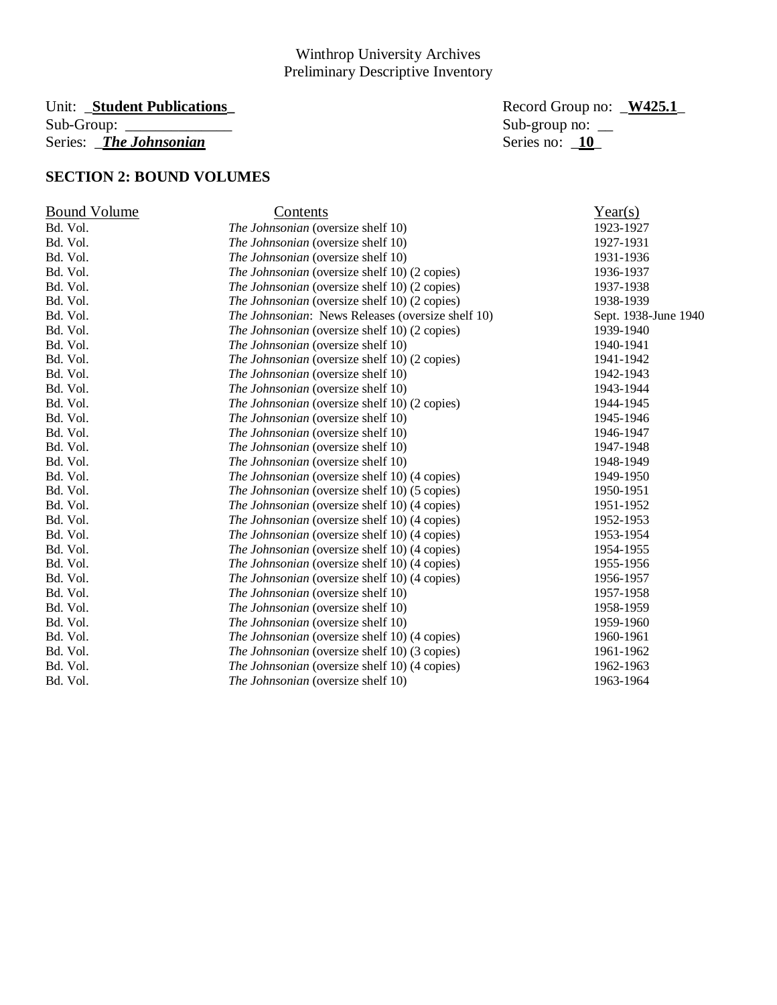# Unit: \_**Student Publications\_** Record Group no: \_**W425.1**\_ Series: *\_The Johnsonian*

Sub-group no:  $\frac{10}{10}$ 

# **SECTION 2: BOUND VOLUMES**

| <b>Bound Volume</b> | Contents                                          | Year(s)              |
|---------------------|---------------------------------------------------|----------------------|
| Bd. Vol.            | The Johnsonian (oversize shelf 10)                | 1923-1927            |
| Bd. Vol.            | The Johnsonian (oversize shelf 10)                | 1927-1931            |
| Bd. Vol.            | <i>The Johnsonian</i> (oversize shelf 10)         | 1931-1936            |
| Bd. Vol.            | The Johnsonian (oversize shelf 10) (2 copies)     | 1936-1937            |
| Bd. Vol.            | The Johnsonian (oversize shelf 10) (2 copies)     | 1937-1938            |
| Bd. Vol.            | The Johnsonian (oversize shelf 10) (2 copies)     | 1938-1939            |
| Bd. Vol.            | The Johnsonian: News Releases (oversize shelf 10) | Sept. 1938-June 1940 |
| Bd. Vol.            | The Johnsonian (oversize shelf 10) (2 copies)     | 1939-1940            |
| Bd. Vol.            | The Johnsonian (oversize shelf 10)                | 1940-1941            |
| Bd. Vol.            | The Johnsonian (oversize shelf 10) (2 copies)     | 1941-1942            |
| Bd. Vol.            | The Johnsonian (oversize shelf 10)                | 1942-1943            |
| Bd. Vol.            | The Johnsonian (oversize shelf 10)                | 1943-1944            |
| Bd. Vol.            | The Johnsonian (oversize shelf 10) (2 copies)     | 1944-1945            |
| Bd. Vol.            | The Johnsonian (oversize shelf 10)                | 1945-1946            |
| Bd. Vol.            | The Johnsonian (oversize shelf 10)                | 1946-1947            |
| Bd. Vol.            | The Johnsonian (oversize shelf 10)                | 1947-1948            |
| Bd. Vol.            | The Johnsonian (oversize shelf 10)                | 1948-1949            |
| Bd. Vol.            | The Johnsonian (oversize shelf 10) (4 copies)     | 1949-1950            |
| Bd. Vol.            | The Johnsonian (oversize shelf 10) (5 copies)     | 1950-1951            |
| Bd. Vol.            | The Johnsonian (oversize shelf 10) (4 copies)     | 1951-1952            |
| Bd. Vol.            | The Johnsonian (oversize shelf 10) (4 copies)     | 1952-1953            |
| Bd. Vol.            | The Johnsonian (oversize shelf 10) (4 copies)     | 1953-1954            |
| Bd. Vol.            | The Johnsonian (oversize shelf 10) (4 copies)     | 1954-1955            |
| Bd. Vol.            | The Johnsonian (oversize shelf 10) (4 copies)     | 1955-1956            |
| Bd. Vol.            | The Johnsonian (oversize shelf 10) (4 copies)     | 1956-1957            |
| Bd. Vol.            | The Johnsonian (oversize shelf 10)                | 1957-1958            |
| Bd. Vol.            | The Johnsonian (oversize shelf 10)                | 1958-1959            |
| Bd. Vol.            | The Johnsonian (oversize shelf 10)                | 1959-1960            |
| Bd. Vol.            | The Johnsonian (oversize shelf 10) (4 copies)     | 1960-1961            |
| Bd. Vol.            | The Johnsonian (oversize shelf 10) (3 copies)     | 1961-1962            |
| Bd. Vol.            | The Johnsonian (oversize shelf 10) (4 copies)     | 1962-1963            |
| Bd. Vol.            | The Johnsonian (oversize shelf 10)                | 1963-1964            |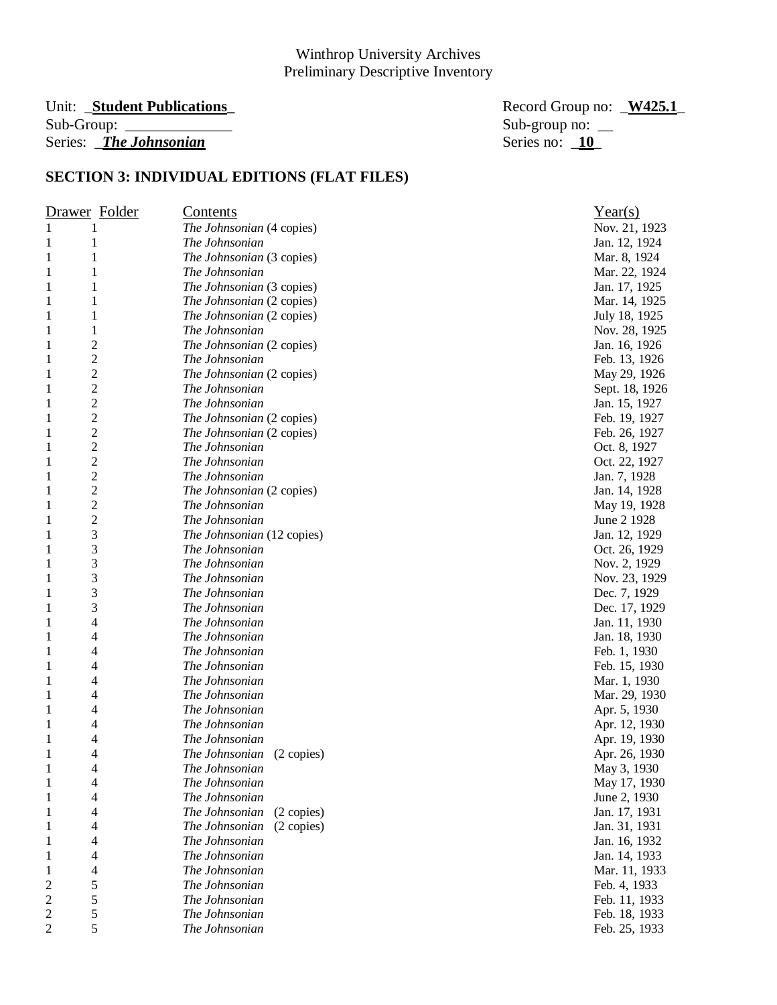#### Unit: \_**Student Publications\_** Record Group no: \_**W425.1**\_ Sub-Group: \_\_\_\_\_\_\_\_\_\_\_\_\_\_ Sub-group no: \_\_ Series: *\_The Johnsonian*

| Drawer Folder                  | <u>Contents</u>              | Year(s)        |
|--------------------------------|------------------------------|----------------|
| 1<br>1                         | The Johnsonian (4 copies)    | Nov. 21, 1923  |
| 1<br>1                         | The Johnsonian               | Jan. 12, 1924  |
| $\mathbf{1}$<br>1              | The Johnsonian (3 copies)    | Mar. 8, 1924   |
| $\mathbf{1}$<br>1              | The Johnsonian               | Mar. 22, 1924  |
| 1<br>1                         | The Johnsonian (3 copies)    | Jan. 17, 1925  |
| 1<br>1                         | The Johnsonian (2 copies)    | Mar. 14, 1925  |
| 1<br>1                         | The Johnsonian (2 copies)    | July 18, 1925  |
| 1<br>1                         | The Johnsonian               | Nov. 28, 1925  |
| $\overline{c}$<br>1            | The Johnsonian (2 copies)    | Jan. 16, 1926  |
| $\overline{c}$<br>$\mathbf{1}$ | The Johnsonian               | Feb. 13, 1926  |
| $\overline{c}$<br>$\mathbf{1}$ | The Johnsonian (2 copies)    | May 29, 1926   |
| $\overline{c}$<br>1            | The Johnsonian               | Sept. 18, 1926 |
| $\overline{c}$<br>$\mathbf{1}$ | The Johnsonian               | Jan. 15, 1927  |
| $\overline{c}$<br>$\mathbf{1}$ | The Johnsonian (2 copies)    | Feb. 19, 1927  |
| $\overline{c}$<br>$\mathbf{1}$ | The Johnsonian (2 copies)    | Feb. 26, 1927  |
| $\overline{c}$<br>$\mathbf{1}$ | The Johnsonian               | Oct. 8, 1927   |
| $\overline{c}$<br>$\mathbf{1}$ | The Johnsonian               | Oct. 22, 1927  |
| $\overline{2}$<br>1            | The Johnsonian               | Jan. 7, 1928   |
| $\overline{c}$<br>1            | The Johnsonian (2 copies)    | Jan. 14, 1928  |
| $\overline{c}$<br>$\mathbf{1}$ | The Johnsonian               | May 19, 1928   |
| $\overline{c}$<br>1            | The Johnsonian               | June 2 1928    |
| 3<br>1                         | The Johnsonian (12 copies)   | Jan. 12, 1929  |
| 3<br>$\mathbf{1}$              | The Johnsonian               | Oct. 26, 1929  |
| 3<br>$\mathbf{1}$              | The Johnsonian               | Nov. 2, 1929   |
| 3<br>1                         | The Johnsonian               | Nov. 23, 1929  |
| 3<br>$\mathbf{1}$              | The Johnsonian               | Dec. 7, 1929   |
| 3<br>$\mathbf{1}$              | The Johnsonian               | Dec. 17, 1929  |
| 4<br>$\mathbf{1}$              | The Johnsonian               | Jan. 11, 1930  |
| 4<br>1                         | The Johnsonian               | Jan. 18, 1930  |
| 4<br>1                         | The Johnsonian               | Feb. 1, 1930   |
| 4<br>1                         | The Johnsonian               | Feb. 15, 1930  |
| 4<br>1                         | The Johnsonian               | Mar. 1, 1930   |
| 4<br>1                         | The Johnsonian               | Mar. 29, 1930  |
| 4<br>1                         | The Johnsonian               | Apr. 5, 1930   |
| 4<br>1                         | The Johnsonian               | Apr. 12, 1930  |
| 4<br>1                         | The Johnsonian               | Apr. 19, 1930  |
| 1<br>4                         | The Johnsonian<br>(2 copies) | Apr. 26, 1930  |
| 4<br>1                         | The Johnsonian               | May 3, 1930    |
| $\mathbf{1}$<br>4              | The Johnsonian               | May 17, 1930   |
| $\mathbf{1}$<br>4              | The Johnsonian               | June 2, 1930   |
| $\mathbf{1}$<br>4              | The Johnsonian<br>(2 copies) | Jan. 17, 1931  |
| $\mathbf{1}$<br>4              | The Johnsonian<br>(2 copies) | Jan. 31, 1931  |
| $\mathbf{1}$<br>4              | The Johnsonian               | Jan. 16, 1932  |
| $\mathbf{1}$<br>4              | The Johnsonian               | Jan. 14, 1933  |
| 4<br>$\mathbf{1}$              | The Johnsonian               | Mar. 11, 1933  |
| 5<br>$\overline{\mathbf{c}}$   | The Johnsonian               | Feb. 4, 1933   |
| 5<br>$\overline{c}$            | The Johnsonian               | Feb. 11, 1933  |
| 5<br>$\overline{\mathbf{c}}$   | The Johnsonian               | Feb. 18, 1933  |
| 5<br>$\overline{c}$            | The Johnsonian               | Feb. 25, 1933  |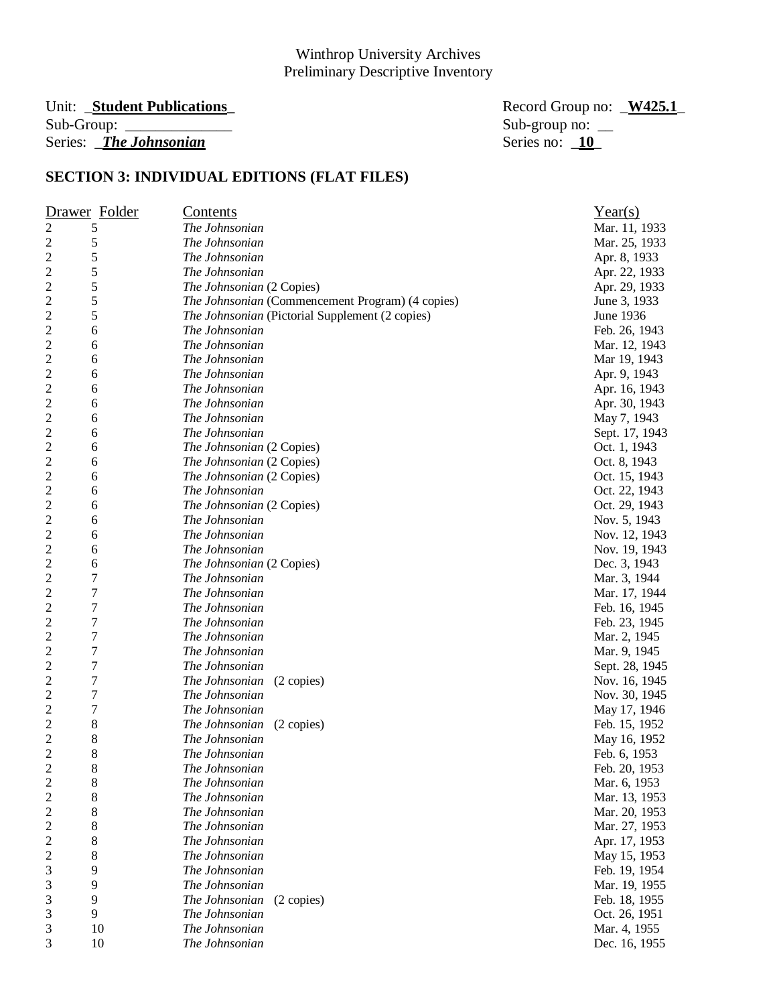# Unit: \_**Student Publications\_** Record Group no: \_**W425.1**\_ Series: *\_The Johnsonian*

Sub-group no:  $\frac{10}{10}$ 

|                         | Drawer Folder  | <u>Contents</u>                                  | Year(s)        |
|-------------------------|----------------|--------------------------------------------------|----------------|
| $\overline{\mathbf{c}}$ | 5              | The Johnsonian                                   | Mar. 11, 1933  |
| $\overline{\mathbf{c}}$ | 5              | The Johnsonian                                   | Mar. 25, 1933  |
| $\overline{c}$          | 5              | The Johnsonian                                   | Apr. 8, 1933   |
| $\overline{c}$          | 5              | The Johnsonian                                   | Apr. 22, 1933  |
| $\overline{\mathbf{c}}$ | 5              | The Johnsonian (2 Copies)                        | Apr. 29, 1933  |
| $\overline{c}$          | 5              | The Johnsonian (Commencement Program) (4 copies) | June 3, 1933   |
| 2                       | 5              | The Johnsonian (Pictorial Supplement (2 copies)  | June 1936      |
| 2                       | 6              | The Johnsonian                                   | Feb. 26, 1943  |
| 2                       | 6              | The Johnsonian                                   | Mar. 12, 1943  |
| 2                       | 6              | The Johnsonian                                   | Mar 19, 1943   |
| 2                       | 6              | The Johnsonian                                   | Apr. 9, 1943   |
| 2                       | 6              | The Johnsonian                                   | Apr. 16, 1943  |
| $\overline{\mathbf{c}}$ | 6              | The Johnsonian                                   | Apr. 30, 1943  |
| $\overline{c}$          | 6              | The Johnsonian                                   | May 7, 1943    |
| $\overline{c}$          | 6              | The Johnsonian                                   | Sept. 17, 1943 |
| $\overline{c}$          | 6              | The Johnsonian (2 Copies)                        | Oct. 1, 1943   |
| $\overline{c}$          | 6              | The Johnsonian (2 Copies)                        | Oct. 8, 1943   |
| $\overline{\mathbf{c}}$ | 6              | The Johnsonian (2 Copies)                        | Oct. 15, 1943  |
| $\overline{\mathbf{c}}$ | 6              | The Johnsonian                                   | Oct. 22, 1943  |
| $\overline{\mathbf{c}}$ | 6              | The Johnsonian (2 Copies)                        | Oct. 29, 1943  |
| 2                       | 6              | The Johnsonian                                   | Nov. 5, 1943   |
| 2                       | 6              | The Johnsonian                                   | Nov. 12, 1943  |
| $\overline{\mathbf{c}}$ | 6              | The Johnsonian                                   | Nov. 19, 1943  |
| $\overline{\mathbf{c}}$ | 6              | The Johnsonian (2 Copies)                        | Dec. 3, 1943   |
| $\overline{c}$          | 7              | The Johnsonian                                   | Mar. 3, 1944   |
| $\overline{c}$          | 7              | The Johnsonian                                   | Mar. 17, 1944  |
| 2                       | 7              | The Johnsonian                                   | Feb. 16, 1945  |
| $\overline{c}$          | $\overline{7}$ | The Johnsonian                                   | Feb. 23, 1945  |
| $\overline{c}$          | $\overline{7}$ | The Johnsonian                                   | Mar. 2, 1945   |
| 2                       | $\overline{7}$ | The Johnsonian                                   | Mar. 9, 1945   |
| $\overline{\mathbf{c}}$ | 7              | The Johnsonian                                   | Sept. 28, 1945 |
| $\overline{\mathbf{c}}$ | 7              | The Johnsonian<br>(2 copies)                     | Nov. 16, 1945  |
| 2                       | 7              | The Johnsonian                                   | Nov. 30, 1945  |
| 2                       | 7              | The Johnsonian                                   | May 17, 1946   |
| $\overline{\mathbf{c}}$ | 8              | The Johnsonian<br>(2 copies)                     | Feb. 15, 1952  |
| $\overline{\mathbf{c}}$ | 8              | The Johnsonian                                   | May 16, 1952   |
| $\overline{c}$          | 8              | The Johnsonian                                   | Feb. 6, 1953   |
| $\overline{c}$          | 8              | The Johnsonian                                   | Feb. 20, 1953  |
| $\overline{\mathbf{c}}$ | 8              | The Johnsonian                                   | Mar. 6, 1953   |
| $\overline{c}$          | 8              | The Johnsonian                                   | Mar. 13, 1953  |
| $\overline{\mathbf{c}}$ | 8              | The Johnsonian                                   | Mar. 20, 1953  |
| $\overline{\mathbf{c}}$ | 8              | The Johnsonian                                   | Mar. 27, 1953  |
| $\overline{\mathbf{c}}$ | 8              | The Johnsonian                                   | Apr. 17, 1953  |
| $\overline{\mathbf{c}}$ | 8              | The Johnsonian                                   | May 15, 1953   |
| 3                       | 9              | The Johnsonian                                   | Feb. 19, 1954  |
| 3                       | 9              | The Johnsonian                                   | Mar. 19, 1955  |
| 3                       | 9              | (2 copies)<br>The Johnsonian                     | Feb. 18, 1955  |
| 3                       | 9              | The Johnsonian                                   | Oct. 26, 1951  |
| 3                       | 10             | The Johnsonian                                   | Mar. 4, 1955   |
| 3                       | 10             | The Johnsonian                                   | Dec. 16, 1955  |
|                         |                |                                                  |                |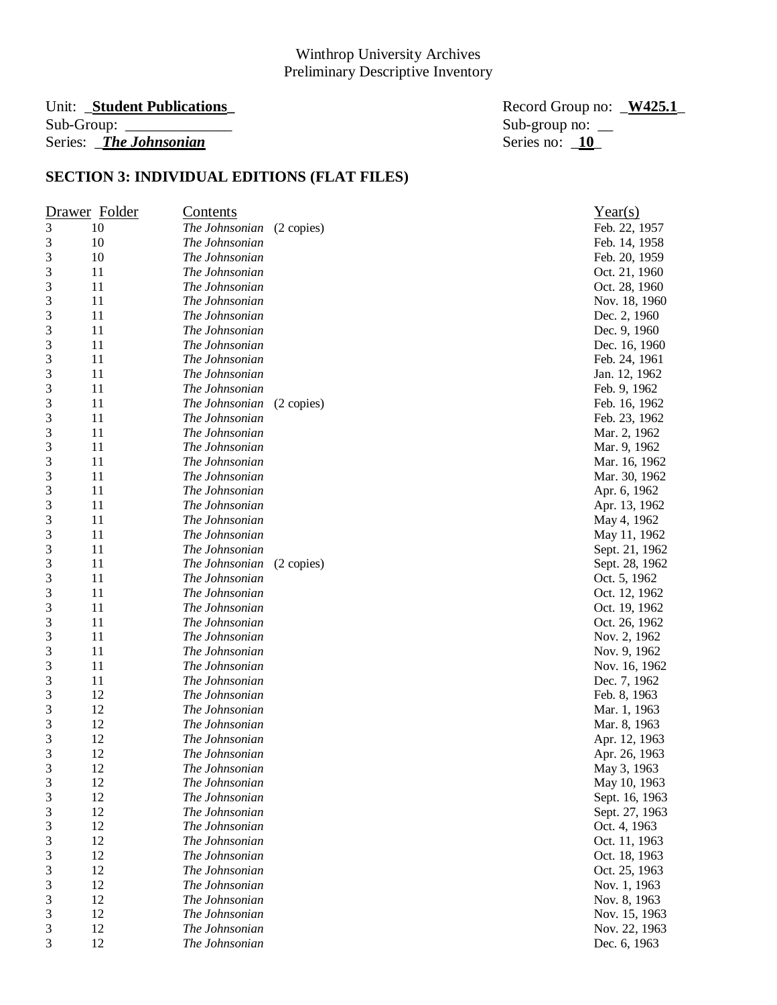# Unit: \_**Student Publications\_** Record Group no: \_**W425.1**\_ Series: *\_The Johnsonian*

Sub-group no:  $\frac{10}{10}$ 

| Drawer Folder  |    | <u>Contents</u> |            | Year(s)        |
|----------------|----|-----------------|------------|----------------|
| 3              | 10 | The Johnsonian  | (2 copies) | Feb. 22, 1957  |
| 3              | 10 | The Johnsonian  |            | Feb. 14, 1958  |
| 3              | 10 | The Johnsonian  |            | Feb. 20, 1959  |
| 3              | 11 | The Johnsonian  |            | Oct. 21, 1960  |
| 3              | 11 | The Johnsonian  |            | Oct. 28, 1960  |
| 3              | 11 | The Johnsonian  |            | Nov. 18, 1960  |
| 3              | 11 | The Johnsonian  |            | Dec. 2, 1960   |
| 3              | 11 | The Johnsonian  |            | Dec. 9, 1960   |
| 3              | 11 | The Johnsonian  |            | Dec. 16, 1960  |
| 3              | 11 | The Johnsonian  |            | Feb. 24, 1961  |
| 3              | 11 | The Johnsonian  |            | Jan. 12, 1962  |
| 3              | 11 | The Johnsonian  |            | Feb. 9, 1962   |
| 3              | 11 | The Johnsonian  | (2 copies) | Feb. 16, 1962  |
| 3              | 11 | The Johnsonian  |            | Feb. 23, 1962  |
| 3              | 11 | The Johnsonian  |            | Mar. 2, 1962   |
| 3              | 11 | The Johnsonian  |            | Mar. 9, 1962   |
| 3              | 11 | The Johnsonian  |            | Mar. 16, 1962  |
| 3              | 11 | The Johnsonian  |            | Mar. 30, 1962  |
| 3              | 11 | The Johnsonian  |            | Apr. 6, 1962   |
| 3              | 11 | The Johnsonian  |            | Apr. 13, 1962  |
| 3              | 11 | The Johnsonian  |            | May 4, 1962    |
| 3              | 11 | The Johnsonian  |            | May 11, 1962   |
| 3              | 11 | The Johnsonian  |            | Sept. 21, 1962 |
| 3              | 11 | The Johnsonian  | (2 copies) | Sept. 28, 1962 |
| 3              | 11 | The Johnsonian  |            | Oct. 5, 1962   |
| 3              | 11 | The Johnsonian  |            | Oct. 12, 1962  |
| 3              | 11 | The Johnsonian  |            | Oct. 19, 1962  |
| 3              | 11 | The Johnsonian  |            | Oct. 26, 1962  |
| 3              | 11 | The Johnsonian  |            | Nov. 2, 1962   |
| 3              | 11 | The Johnsonian  |            | Nov. 9, 1962   |
| 3              | 11 | The Johnsonian  |            | Nov. 16, 1962  |
| 3              | 11 | The Johnsonian  |            | Dec. 7, 1962   |
| 3              | 12 | The Johnsonian  |            | Feb. 8, 1963   |
| 3              | 12 | The Johnsonian  |            | Mar. 1, 1963   |
| 3              | 12 | The Johnsonian  |            | Mar. 8, 1963   |
| 3              | 12 | The Johnsonian  |            | Apr. 12, 1963  |
| 3              | 12 | The Johnsonian  |            | Apr. 26, 1963  |
| 3              | 12 | The Johnsonian  |            | May 3, 1963    |
| $\mathfrak{Z}$ | 12 | The Johnsonian  |            | May 10, 1963   |
| 3              | 12 | The Johnsonian  |            | Sept. 16, 1963 |
| 3              | 12 | The Johnsonian  |            | Sept. 27, 1963 |
| 3              | 12 | The Johnsonian  |            | Oct. 4, 1963   |
| 3              | 12 | The Johnsonian  |            | Oct. 11, 1963  |
| 3              | 12 | The Johnsonian  |            | Oct. 18, 1963  |
| 3              | 12 | The Johnsonian  |            | Oct. 25, 1963  |
| 3              | 12 | The Johnsonian  |            | Nov. 1, 1963   |
| 3              | 12 | The Johnsonian  |            | Nov. 8, 1963   |
| 3              | 12 | The Johnsonian  |            | Nov. 15, 1963  |
| 3              | 12 | The Johnsonian  |            | Nov. 22, 1963  |
| 3              | 12 | The Johnsonian  |            | Dec. 6, 1963   |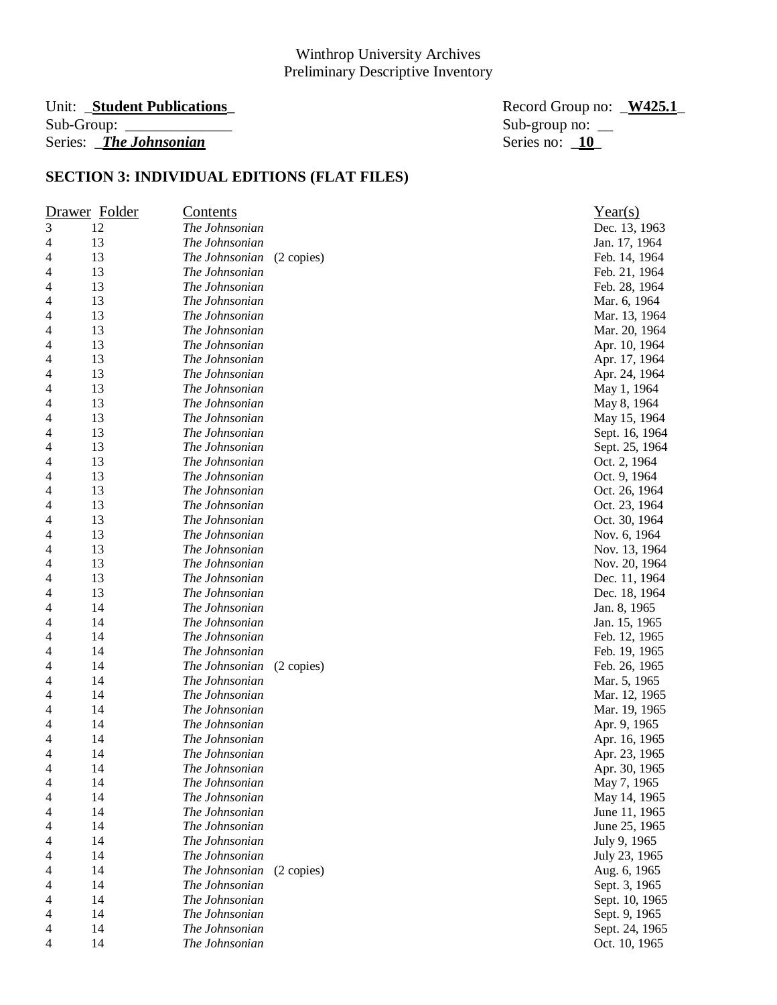# Unit: \_**Student Publications\_** Record Group no: \_**W425.1**\_ Series: *\_The Johnsonian*

Sub-group no:  $\frac{10}{10}$ 

|                | Drawer Folder | <u>Contents</u> |            | Year(s)        |
|----------------|---------------|-----------------|------------|----------------|
| $\mathfrak{Z}$ | 12            | The Johnsonian  |            | Dec. 13, 1963  |
| 4              | 13            | The Johnsonian  |            | Jan. 17, 1964  |
| 4              | 13            | The Johnsonian  | (2 copies) | Feb. 14, 1964  |
| 4              | 13            | The Johnsonian  |            | Feb. 21, 1964  |
| 4              | 13            | The Johnsonian  |            | Feb. 28, 1964  |
| 4              | 13            | The Johnsonian  |            | Mar. 6, 1964   |
| 4              | 13            | The Johnsonian  |            | Mar. 13, 1964  |
| 4              | 13            | The Johnsonian  |            | Mar. 20, 1964  |
| 4              | 13            | The Johnsonian  |            | Apr. 10, 1964  |
| 4              | 13            | The Johnsonian  |            | Apr. 17, 1964  |
| 4              | 13            | The Johnsonian  |            | Apr. 24, 1964  |
| 4              | 13            | The Johnsonian  |            | May 1, 1964    |
| 4              | 13            | The Johnsonian  |            | May 8, 1964    |
| 4              | 13            | The Johnsonian  |            | May 15, 1964   |
| 4              | 13            | The Johnsonian  |            | Sept. 16, 1964 |
| 4              | 13            | The Johnsonian  |            | Sept. 25, 1964 |
| 4              | 13            | The Johnsonian  |            | Oct. 2, 1964   |
| 4              | 13            | The Johnsonian  |            | Oct. 9, 1964   |
| 4              | 13            | The Johnsonian  |            | Oct. 26, 1964  |
| 4              | 13            | The Johnsonian  |            | Oct. 23, 1964  |
| 4              | 13            | The Johnsonian  |            | Oct. 30, 1964  |
| 4              | 13            | The Johnsonian  |            | Nov. 6, 1964   |
| 4              | 13            | The Johnsonian  |            | Nov. 13, 1964  |
| 4              | 13            | The Johnsonian  |            | Nov. 20, 1964  |
| 4              | 13            | The Johnsonian  |            | Dec. 11, 1964  |
| 4              | 13            | The Johnsonian  |            | Dec. 18, 1964  |
| 4              | 14            | The Johnsonian  |            | Jan. 8, 1965   |
| 4              | 14            | The Johnsonian  |            | Jan. 15, 1965  |
| 4              | 14            | The Johnsonian  |            | Feb. 12, 1965  |
| 4              | 14            | The Johnsonian  |            | Feb. 19, 1965  |
| 4              | 14            | The Johnsonian  | (2 copies) | Feb. 26, 1965  |
| 4              | 14            | The Johnsonian  |            | Mar. 5, 1965   |
| 4              | 14            | The Johnsonian  |            | Mar. 12, 1965  |
| 4              | 14            | The Johnsonian  |            | Mar. 19, 1965  |
| 4              | 14            | The Johnsonian  |            | Apr. 9, 1965   |
| 4              | 14            | The Johnsonian  |            | Apr. 16, 1965  |
| 4              | 14            | The Johnsonian  |            | Apr. 23, 1965  |
| 4              | 14            | The Johnsonian  |            | Apr. 30, 1965  |
| 4              | 14            | The Johnsonian  |            | May 7, 1965    |
| 4              | 14            | The Johnsonian  |            | May 14, 1965   |
| 4              | 14            | The Johnsonian  |            | June 11, 1965  |
| 4              | 14            | The Johnsonian  |            | June 25, 1965  |
| 4              | 14            | The Johnsonian  |            | July 9, 1965   |
| 4              | 14            | The Johnsonian  |            | July 23, 1965  |
| 4              | 14            | The Johnsonian  | (2 copies) | Aug. 6, 1965   |
| 4              | 14            | The Johnsonian  |            | Sept. 3, 1965  |
| 4              | 14            | The Johnsonian  |            | Sept. 10, 1965 |
| 4              | 14            | The Johnsonian  |            | Sept. 9, 1965  |
| 4              | 14            | The Johnsonian  |            | Sept. 24, 1965 |
| 4              | 14            | The Johnsonian  |            | Oct. 10, 1965  |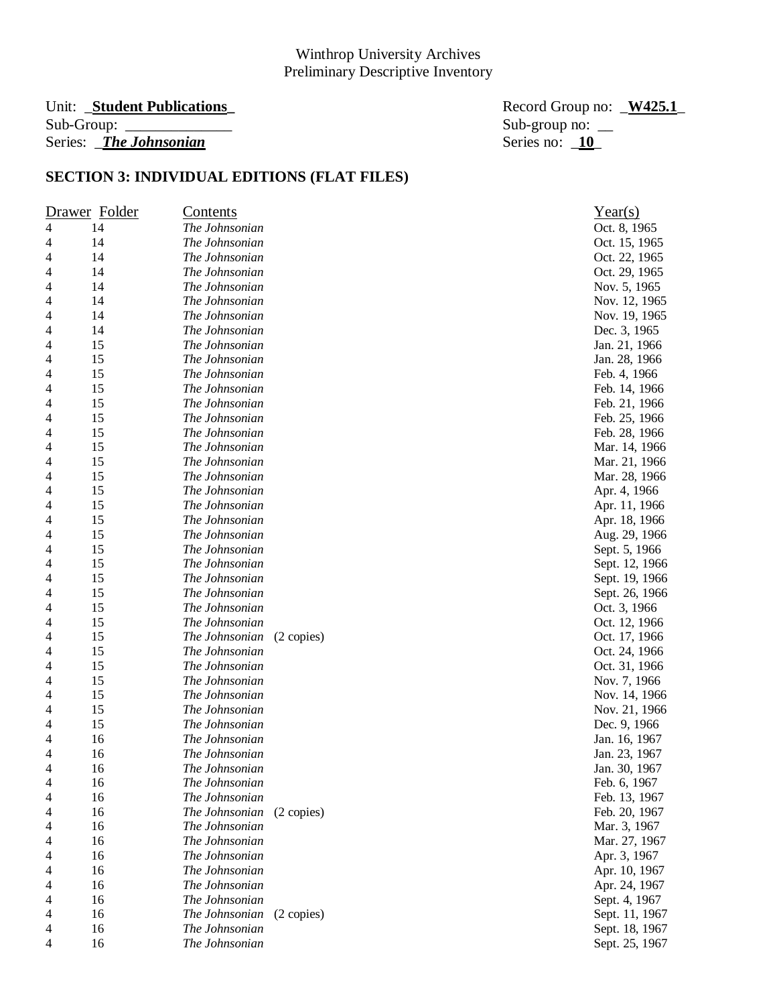# Unit: \_**Student Publications\_** Record Group no: \_**W425.1**\_ Series: *\_The Johnsonian*

Sub-group no:  $\frac{10}{10}$ 

|                | Drawer Folder | <u>Contents</u>              | Year(s)        |
|----------------|---------------|------------------------------|----------------|
| $\overline{4}$ | 14            | The Johnsonian               | Oct. 8, 1965   |
| 4              | 14            | The Johnsonian               | Oct. 15, 1965  |
| 4              | 14            | The Johnsonian               | Oct. 22, 1965  |
| 4              | 14            | The Johnsonian               | Oct. 29, 1965  |
| 4              | 14            | The Johnsonian               | Nov. 5, 1965   |
| 4              | 14            | The Johnsonian               | Nov. 12, 1965  |
| 4              | 14            | The Johnsonian               | Nov. 19, 1965  |
| 4              | 14            | The Johnsonian               | Dec. 3, 1965   |
| 4              | 15            | The Johnsonian               | Jan. 21, 1966  |
| 4              | 15            | The Johnsonian               | Jan. 28, 1966  |
| 4              | 15            | The Johnsonian               | Feb. 4, 1966   |
| 4              | 15            | The Johnsonian               | Feb. 14, 1966  |
| 4              | 15            | The Johnsonian               | Feb. 21, 1966  |
| 4              | 15            | The Johnsonian               | Feb. 25, 1966  |
| 4              | 15            | The Johnsonian               | Feb. 28, 1966  |
| 4              | 15            | The Johnsonian               | Mar. 14, 1966  |
| 4              | 15            | The Johnsonian               | Mar. 21, 1966  |
| 4              | 15            | The Johnsonian               | Mar. 28, 1966  |
| 4              | 15            | The Johnsonian               | Apr. 4, 1966   |
| 4              | 15            | The Johnsonian               | Apr. 11, 1966  |
| 4              | 15            | The Johnsonian               | Apr. 18, 1966  |
| 4              | 15            | The Johnsonian               | Aug. 29, 1966  |
| 4              | 15            | The Johnsonian               | Sept. 5, 1966  |
| 4              | 15            | The Johnsonian               | Sept. 12, 1966 |
| 4              | 15            | The Johnsonian               | Sept. 19, 1966 |
| 4              | 15            | The Johnsonian               | Sept. 26, 1966 |
| 4              | 15            | The Johnsonian               | Oct. 3, 1966   |
| 4              | 15            | The Johnsonian               | Oct. 12, 1966  |
| 4              | 15            | The Johnsonian<br>(2 copies) | Oct. 17, 1966  |
| 4              | 15            | The Johnsonian               | Oct. 24, 1966  |
| 4              | 15            | The Johnsonian               | Oct. 31, 1966  |
| 4              | 15            | The Johnsonian               | Nov. 7, 1966   |
| 4              | 15            | The Johnsonian               | Nov. 14, 1966  |
| 4              | 15            | The Johnsonian               | Nov. 21, 1966  |
| 4              | 15            | The Johnsonian               | Dec. 9, 1966   |
| 4              | 16            | The Johnsonian               | Jan. 16, 1967  |
| 4              | 16            | The Johnsonian               | Jan. 23, 1967  |
| 4              | 16            | The Johnsonian               | Jan. 30, 1967  |
| 4              | 16            | The Johnsonian               | Feb. 6, 1967   |
| 4              | 16            | The Johnsonian               | Feb. 13, 1967  |
| 4              | 16            | The Johnsonian<br>(2 copies) | Feb. 20, 1967  |
| 4              | 16            | The Johnsonian               | Mar. 3, 1967   |
| 4              | 16            | The Johnsonian               | Mar. 27, 1967  |
| 4              | 16            | The Johnsonian               | Apr. 3, 1967   |
| 4              | 16            | The Johnsonian               | Apr. 10, 1967  |
| 4              | 16            | The Johnsonian               | Apr. 24, 1967  |
| 4              | 16            | The Johnsonian               | Sept. 4, 1967  |
| 4              | 16            | The Johnsonian<br>(2 copies) | Sept. 11, 1967 |
| 4              | 16            | The Johnsonian               | Sept. 18, 1967 |
| $\overline{4}$ | 16            | The Johnsonian               | Sept. 25, 1967 |
|                |               |                              |                |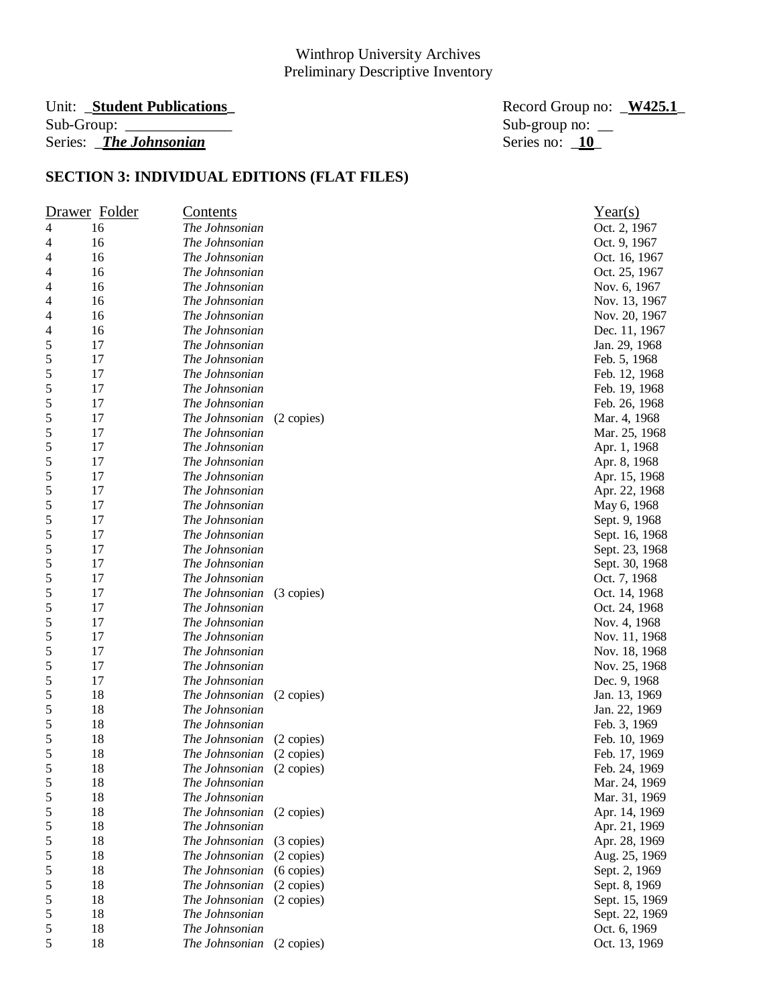# Unit: \_**Student Publications\_** Record Group no: \_**W425.1**\_ Series: *\_The Johnsonian*

Sub-group no:  $\frac{10}{10}$ 

|            | Drawer Folder | <u>Contents</u> |            | Year(s)        |
|------------|---------------|-----------------|------------|----------------|
| 4          | 16            | The Johnsonian  |            | Oct. 2, 1967   |
| 4          | 16            | The Johnsonian  |            | Oct. 9, 1967   |
| 4          | 16            | The Johnsonian  |            | Oct. 16, 1967  |
| 4          | 16            | The Johnsonian  |            | Oct. 25, 1967  |
| 4          | 16            | The Johnsonian  |            | Nov. 6, 1967   |
| 4          | 16            | The Johnsonian  |            | Nov. 13, 1967  |
| 4          | 16            | The Johnsonian  |            | Nov. 20, 1967  |
| 4          | 16            | The Johnsonian  |            | Dec. 11, 1967  |
| 5          | 17            | The Johnsonian  |            | Jan. 29, 1968  |
| 5          | 17            | The Johnsonian  |            | Feb. 5, 1968   |
| $\sqrt{5}$ | 17            | The Johnsonian  |            | Feb. 12, 1968  |
| $\sqrt{5}$ | 17            | The Johnsonian  |            | Feb. 19, 1968  |
| 5          | 17            | The Johnsonian  |            | Feb. 26, 1968  |
| 5          | 17            | The Johnsonian  | (2 copies) | Mar. 4, 1968   |
| 5          | 17            | The Johnsonian  |            | Mar. 25, 1968  |
| 5          | 17            | The Johnsonian  |            | Apr. 1, 1968   |
| 5          | 17            | The Johnsonian  |            | Apr. 8, 1968   |
| 5          | 17            | The Johnsonian  |            | Apr. 15, 1968  |
| 5          | 17            | The Johnsonian  |            | Apr. 22, 1968  |
| 5          | 17            | The Johnsonian  |            | May 6, 1968    |
| 5          | 17            | The Johnsonian  |            | Sept. 9, 1968  |
| 5          | 17            | The Johnsonian  |            | Sept. 16, 1968 |
| $\sqrt{5}$ | 17            | The Johnsonian  |            | Sept. 23, 1968 |
| $\sqrt{5}$ | 17            | The Johnsonian  |            | Sept. 30, 1968 |
| $\sqrt{5}$ | 17            | The Johnsonian  |            | Oct. 7, 1968   |
| 5          | 17            | The Johnsonian  | (3 copies) | Oct. 14, 1968  |
| 5          | 17            | The Johnsonian  |            | Oct. 24, 1968  |
| 5          | 17            | The Johnsonian  |            | Nov. 4, 1968   |
| 5          | 17            | The Johnsonian  |            | Nov. 11, 1968  |
| 5          | 17            | The Johnsonian  |            | Nov. 18, 1968  |
| 5          | 17            | The Johnsonian  |            | Nov. 25, 1968  |
| 5          | 17            | The Johnsonian  |            | Dec. 9, 1968   |
| 5          | 18            | The Johnsonian  | (2 copies) | Jan. 13, 1969  |
| $\sqrt{5}$ | 18            | The Johnsonian  |            | Jan. 22, 1969  |
| $\sqrt{5}$ | 18            | The Johnsonian  |            | Feb. 3, 1969   |
| $\sqrt{5}$ | 18            | The Johnsonian  | (2 copies) | Feb. 10, 1969  |
| 5          | 18            | The Johnsonian  | (2 copies) | Feb. 17, 1969  |
| 5          | 18            | The Johnsonian  | (2 copies) | Feb. 24, 1969  |
| 5          | 18            | The Johnsonian  |            | Mar. 24, 1969  |
| 5          | 18            | The Johnsonian  |            | Mar. 31, 1969  |
| 5          | 18            | The Johnsonian  | (2 copies) | Apr. 14, 1969  |
| 5          | 18            | The Johnsonian  |            | Apr. 21, 1969  |
| 5          | 18            | The Johnsonian  | (3 copies) | Apr. 28, 1969  |
| 5          | 18            | The Johnsonian  | (2 copies) | Aug. 25, 1969  |
| 5          | 18            | The Johnsonian  | (6 copies) | Sept. 2, 1969  |
| 5          | 18            | The Johnsonian  | (2 copies) | Sept. 8, 1969  |
| 5          | 18            | The Johnsonian  | (2 copies) | Sept. 15, 1969 |
| $\sqrt{5}$ | 18            | The Johnsonian  |            | Sept. 22, 1969 |
| 5          | 18            | The Johnsonian  |            | Oct. 6, 1969   |
| $\sqrt{5}$ | 18            | The Johnsonian  | (2 copies) | Oct. 13, 1969  |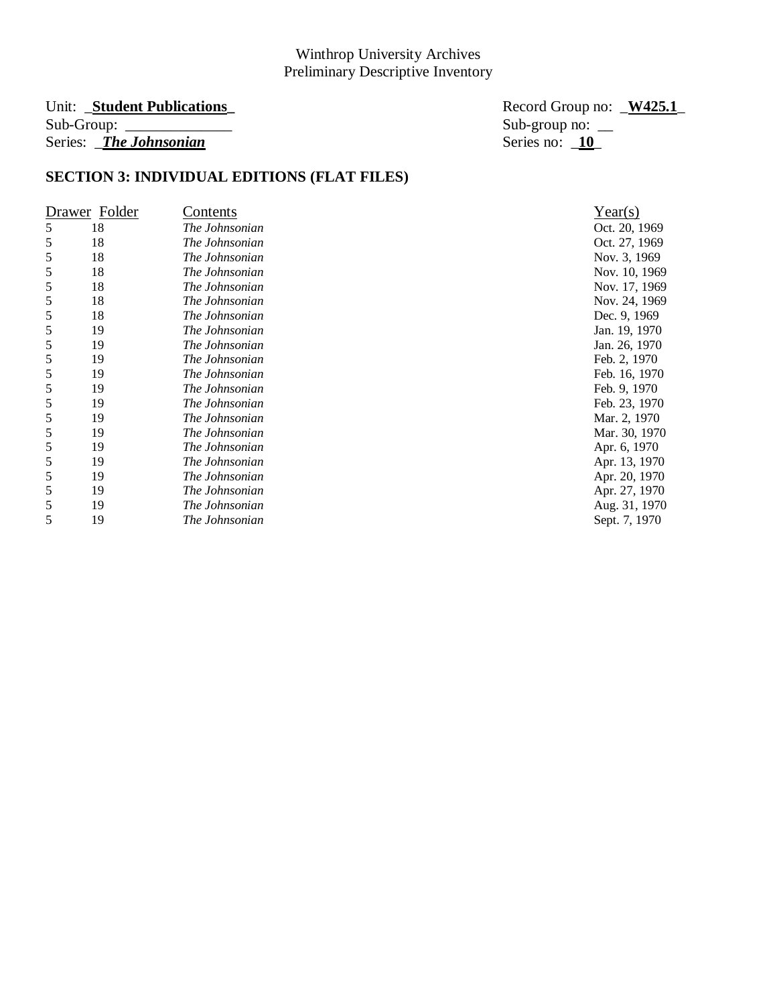# Series: *\_The Johnsonian*

Unit: \_**Student Publications\_** Record Group no: \_**W425.1**\_ Sub-group no:  $\frac{10}{2}$ 

|   | Drawer Folder | Contents       | Year(s)       |
|---|---------------|----------------|---------------|
| 5 | 18            | The Johnsonian | Oct. 20, 1969 |
| 5 | 18            | The Johnsonian | Oct. 27, 1969 |
| 5 | 18            | The Johnsonian | Nov. 3, 1969  |
| 5 | 18            | The Johnsonian | Nov. 10, 1969 |
| 5 | 18            | The Johnsonian | Nov. 17, 1969 |
| 5 | 18            | The Johnsonian | Nov. 24, 1969 |
| 5 | 18            | The Johnsonian | Dec. 9, 1969  |
| 5 | 19            | The Johnsonian | Jan. 19, 1970 |
| 5 | 19            | The Johnsonian | Jan. 26, 1970 |
| 5 | 19            | The Johnsonian | Feb. 2, 1970  |
| 5 | 19            | The Johnsonian | Feb. 16, 1970 |
| 5 | 19            | The Johnsonian | Feb. 9, 1970  |
| 5 | 19            | The Johnsonian | Feb. 23, 1970 |
| 5 | 19            | The Johnsonian | Mar. 2, 1970  |
| 5 | 19            | The Johnsonian | Mar. 30, 1970 |
| 5 | 19            | The Johnsonian | Apr. 6, 1970  |
| 5 | 19            | The Johnsonian | Apr. 13, 1970 |
| 5 | 19            | The Johnsonian | Apr. 20, 1970 |
| 5 | 19            | The Johnsonian | Apr. 27, 1970 |
| 5 | 19            | The Johnsonian | Aug. 31, 1970 |
| 5 | 19            | The Johnsonian | Sept. 7, 1970 |

| rear(s)       |
|---------------|
| Oct. 20, 1969 |
| Oct. 27, 1969 |
| Nov. 3, 1969  |
| Nov. 10, 1969 |
| Nov. 17, 1969 |
| Nov. 24, 1969 |
| Dec. 9, 1969  |
| Jan. 19, 1970 |
| Jan. 26, 1970 |
| Feb. 2, 1970  |
| Feb. 16, 1970 |
| Feb. 9, 1970  |
| Feb. 23, 1970 |
| Mar. 2, 1970  |
| Mar. 30, 1970 |
| Apr. 6, 1970  |
| Apr. 13, 1970 |
| Apr. 20, 1970 |
| Apr. 27, 1970 |
| Aug. 31, 1970 |
| Sept. 7, 1970 |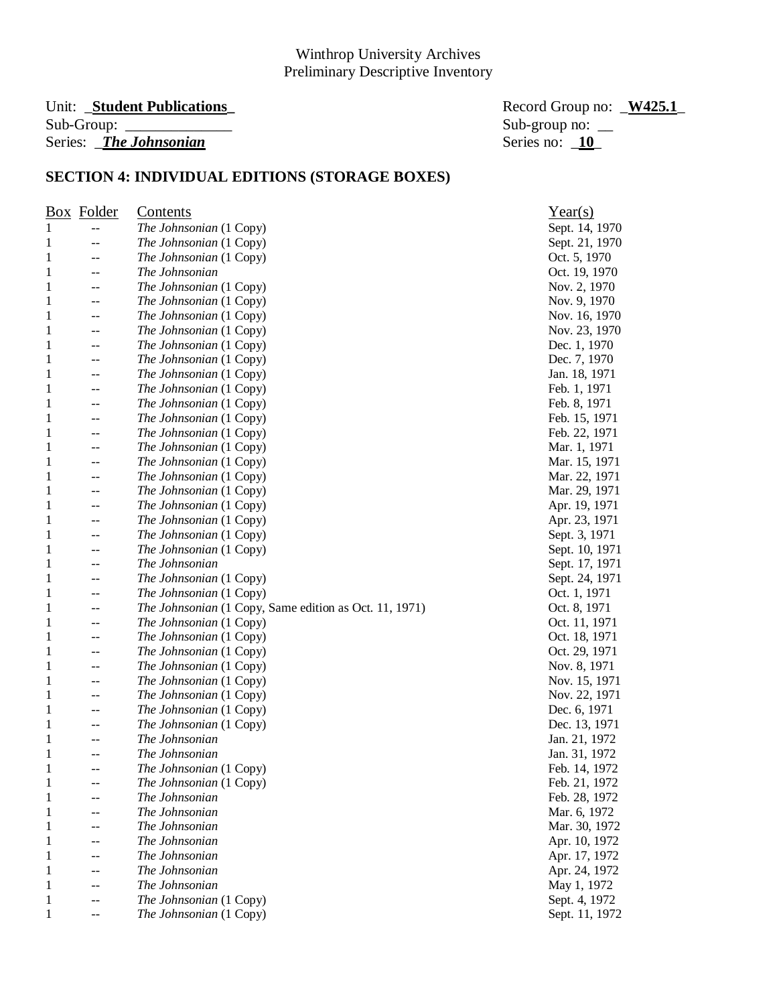#### Unit: **\_Student Publications**  $Sub-Group:$ Series: *\_The Johnsonian*

| Record Group no: W425.1 |  |
|-------------------------|--|
| Sub-group no: $\_\_$    |  |
| Series no: 10           |  |

|   | <b>Box</b> Folder | Contents                                               | Year(s)        |
|---|-------------------|--------------------------------------------------------|----------------|
| 1 | --                | The Johnsonian (1 Copy)                                | Sept. 14, 1970 |
| 1 | --                | The Johnsonian (1 Copy)                                | Sept. 21, 1970 |
| 1 | --                | The Johnsonian (1 Copy)                                | Oct. 5, 1970   |
| 1 | --                | The Johnsonian                                         | Oct. 19, 1970  |
| 1 | --                | The Johnsonian (1 Copy)                                | Nov. 2, 1970   |
| 1 | --                | The Johnsonian (1 Copy)                                | Nov. 9, 1970   |
| 1 |                   | The Johnsonian (1 Copy)                                | Nov. 16, 1970  |
| 1 | --                | The Johnsonian (1 Copy)                                | Nov. 23, 1970  |
| 1 |                   | The Johnsonian (1 Copy)                                | Dec. 1, 1970   |
| 1 | --                | The Johnsonian (1 Copy)                                | Dec. 7, 1970   |
| 1 | --                | The Johnsonian (1 Copy)                                | Jan. 18, 1971  |
| 1 |                   | The Johnsonian (1 Copy)                                | Feb. 1, 1971   |
| 1 |                   | The Johnsonian (1 Copy)                                | Feb. 8, 1971   |
| 1 |                   | The Johnsonian (1 Copy)                                | Feb. 15, 1971  |
| 1 |                   | The Johnsonian (1 Copy)                                | Feb. 22, 1971  |
| 1 |                   | The Johnsonian (1 Copy)                                | Mar. 1, 1971   |
|   | --                |                                                        |                |
| 1 | --                | The Johnsonian (1 Copy)                                | Mar. 15, 1971  |
| 1 | --                | The Johnsonian (1 Copy)                                | Mar. 22, 1971  |
| 1 |                   | The Johnsonian (1 Copy)                                | Mar. 29, 1971  |
| 1 | --                | The Johnsonian (1 Copy)                                | Apr. 19, 1971  |
| 1 | --                | The Johnsonian (1 Copy)                                | Apr. 23, 1971  |
| 1 | --                | The Johnsonian (1 Copy)                                | Sept. 3, 1971  |
| 1 | --                | The Johnsonian (1 Copy)                                | Sept. 10, 1971 |
| 1 | --                | The Johnsonian                                         | Sept. 17, 1971 |
| 1 | --                | The Johnsonian (1 Copy)                                | Sept. 24, 1971 |
| 1 | --                | The Johnsonian (1 Copy)                                | Oct. 1, 1971   |
| 1 | --                | The Johnsonian (1 Copy, Same edition as Oct. 11, 1971) | Oct. 8, 1971   |
| 1 | --                | The Johnsonian (1 Copy)                                | Oct. 11, 1971  |
| 1 | --                | The Johnsonian (1 Copy)                                | Oct. 18, 1971  |
| 1 |                   | The Johnsonian (1 Copy)                                | Oct. 29, 1971  |
| 1 | --                | The Johnsonian (1 Copy)                                | Nov. 8, 1971   |
| 1 | --                | The Johnsonian (1 Copy)                                | Nov. 15, 1971  |
| 1 |                   | The Johnsonian (1 Copy)                                | Nov. 22, 1971  |
| 1 |                   | The Johnsonian (1 Copy)                                | Dec. 6, 1971   |
| 1 |                   | The Johnsonian (1 Copy)                                | Dec. 13, 1971  |
| 1 |                   | The Johnsonian                                         | Jan. 21, 1972  |
| 1 |                   | The Johnsonian                                         | Jan. 31, 1972  |
| 1 |                   | The Johnsonian (1 Copy)                                | Feb. 14, 1972  |
| 1 | --                | <i>The Johnsonian</i> (1 Copy)                         | Feb. 21, 1972  |
| 1 |                   | The Johnsonian                                         | Feb. 28, 1972  |
| 1 |                   | The Johnsonian                                         | Mar. 6, 1972   |
| 1 |                   | The Johnsonian                                         | Mar. 30, 1972  |
| 1 |                   | The Johnsonian                                         | Apr. 10, 1972  |
| 1 |                   | The Johnsonian                                         |                |
| 1 |                   | The Johnsonian                                         | Apr. 17, 1972  |
|   |                   | The Johnsonian                                         | Apr. 24, 1972  |
| 1 |                   |                                                        | May 1, 1972    |
| 1 |                   | The Johnsonian (1 Copy)                                | Sept. 4, 1972  |
| 1 |                   | The Johnsonian (1 Copy)                                | Sept. 11, 1972 |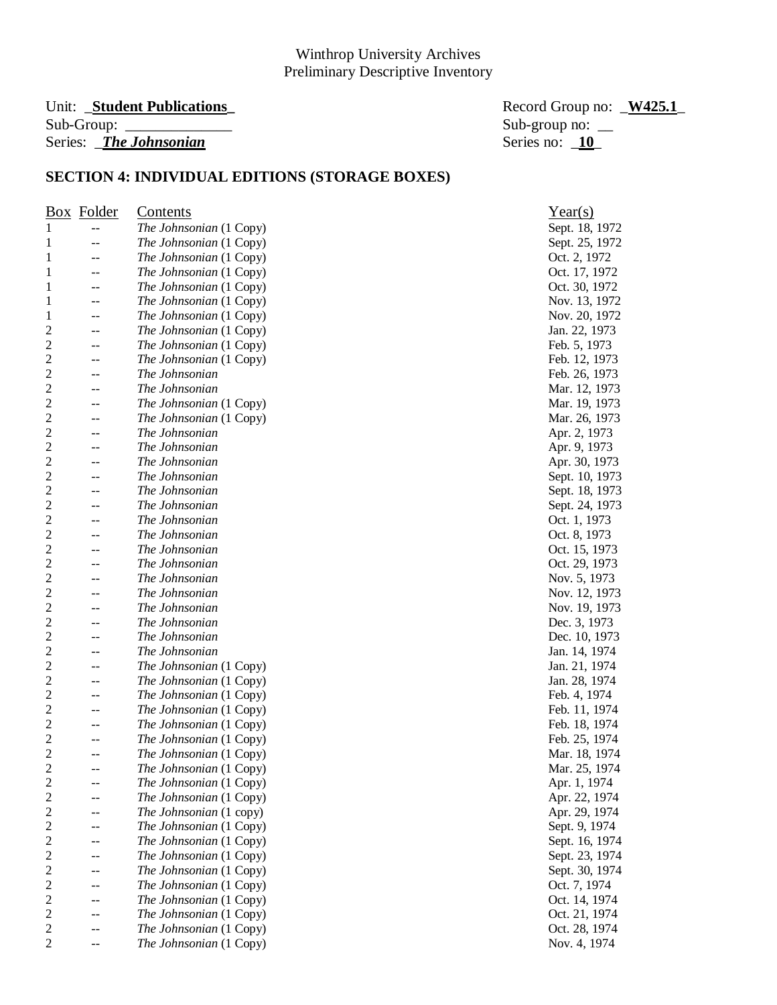#### Unit: **\_Student Publications**  $Sub-Group:$ Series: *\_The Johnsonian*

| Record Group no: W425.1 |  |
|-------------------------|--|
| Sub-group no: $\_\_$    |  |
| Series no: 10           |  |

|                         | <b>Box</b> Folder | Contents                | $Year(s)$                     |
|-------------------------|-------------------|-------------------------|-------------------------------|
| 1                       |                   | The Johnsonian (1 Copy) | Sept. 18, 1972                |
| 1                       | --                | The Johnsonian (1 Copy) | Sept. 25, 1972                |
| 1                       | $-$               | The Johnsonian (1 Copy) | Oct. 2, 1972                  |
| 1                       | $-$               | The Johnsonian (1 Copy) | Oct. 17, 1972                 |
| 1                       | --                | The Johnsonian (1 Copy) | Oct. 30, 1972                 |
| 1                       | $-$               | The Johnsonian (1 Copy) | Nov. 13, 1972                 |
| 1                       | $-$               | The Johnsonian (1 Copy) | Nov. 20, 1972                 |
| $\overline{c}$          | --                | The Johnsonian (1 Copy) | Jan. 22, 1973                 |
| $\overline{c}$          | --                | The Johnsonian (1 Copy) | Feb. 5, 1973                  |
| $\overline{\mathbf{c}}$ | --                | The Johnsonian (1 Copy) | Feb. 12, 1973                 |
| $\overline{c}$          |                   | The Johnsonian          | Feb. 26, 1973                 |
| $\overline{c}$          |                   | The Johnsonian          | Mar. 12, 1973                 |
| $\overline{c}$          | --                | The Johnsonian (1 Copy) | Mar. 19, 1973                 |
| $\overline{2}$          |                   | The Johnsonian (1 Copy) | Mar. 26, 1973                 |
| 2                       | --                | The Johnsonian          | Apr. 2, 1973                  |
| 2                       |                   | The Johnsonian          |                               |
| $\overline{c}$          | --                |                         | Apr. 9, 1973<br>Apr. 30, 1973 |
| $\overline{c}$          |                   | The Johnsonian          |                               |
| $\overline{c}$          | --                | The Johnsonian          | Sept. 10, 1973                |
|                         |                   | The Johnsonian          | Sept. 18, 1973                |
| $\overline{c}$          | --                | The Johnsonian          | Sept. 24, 1973                |
| $\overline{c}$          | --                | The Johnsonian          | Oct. 1, 1973                  |
| $\overline{\mathbf{c}}$ | --                | The Johnsonian          | Oct. 8, 1973                  |
| $\overline{c}$          | --                | The Johnsonian          | Oct. 15, 1973                 |
| $\overline{c}$          |                   | The Johnsonian          | Oct. 29, 1973                 |
| $\overline{c}$          | $-$               | The Johnsonian          | Nov. 5, 1973                  |
| $\overline{2}$          | --                | The Johnsonian          | Nov. 12, 1973                 |
| $\overline{2}$          | --                | The Johnsonian          | Nov. 19, 1973                 |
| 2                       | --                | The Johnsonian          | Dec. 3, 1973                  |
| $\overline{c}$          | --                | The Johnsonian          | Dec. 10, 1973                 |
| $\overline{c}$          | --                | The Johnsonian          | Jan. 14, 1974                 |
| $\overline{c}$          |                   | The Johnsonian (1 Copy) | Jan. 21, 1974                 |
| $\overline{c}$          | --                | The Johnsonian (1 Copy) | Jan. 28, 1974                 |
| $\overline{c}$          | --                | The Johnsonian (1 Copy) | Feb. 4, 1974                  |
| $\overline{c}$          | $-$               | The Johnsonian (1 Copy) | Feb. 11, 1974                 |
| $\overline{\mathbf{c}}$ | --                | The Johnsonian (1 Copy) | Feb. 18, 1974                 |
| $\overline{\mathbf{c}}$ |                   | The Johnsonian (1 Copy) | Feb. 25, 1974                 |
| $\overline{c}$          | --                | The Johnsonian (1 Copy) | Mar. 18, 1974                 |
| $\overline{c}$          |                   | The Johnsonian (1 Copy) | Mar. 25, 1974                 |
| $\overline{\mathbf{c}}$ | --                | The Johnsonian (1 Copy) | Apr. 1, 1974                  |
| 2                       |                   | The Johnsonian (1 Copy) | Apr. 22, 1974                 |
| $\overline{c}$          |                   | The Johnsonian (1 copy) | Apr. 29, 1974                 |
| $\overline{\mathbf{c}}$ |                   | The Johnsonian (1 Copy) | Sept. 9, 1974                 |
| $\overline{c}$          |                   | The Johnsonian (1 Copy) | Sept. 16, 1974                |
| $\overline{c}$          |                   | The Johnsonian (1 Copy) | Sept. 23, 1974                |
| $\overline{c}$          |                   | The Johnsonian (1 Copy) | Sept. 30, 1974                |
| $\overline{c}$          | --                | The Johnsonian (1 Copy) | Oct. 7, 1974                  |
| $\overline{c}$          |                   | The Johnsonian (1 Copy) | Oct. 14, 1974                 |
| $\overline{\mathbf{c}}$ |                   | The Johnsonian (1 Copy) | Oct. 21, 1974                 |
| $\overline{\mathbf{c}}$ |                   | The Johnsonian (1 Copy) | Oct. 28, 1974                 |
| $\overline{2}$          |                   | The Johnsonian (1 Copy) | Nov. 4, 1974                  |
|                         |                   |                         |                               |

| Year(s)<br>Sept. 18, 1972<br>Sept. 25, 1972<br>Oct. 2, 1972<br>Oct. 30, 1972<br>Oct. 30, 1972 |
|-----------------------------------------------------------------------------------------------|
|                                                                                               |
| Nov. 13, 1972                                                                                 |
| Nov. 20, 1972                                                                                 |
| Jan. 22, 1973                                                                                 |
| Feb. 5, 1973                                                                                  |
| Feb. 12, 1973                                                                                 |
| Feb. 26, 1973                                                                                 |
| Mar. 12, 1973                                                                                 |
| Mar. 19, 1973                                                                                 |
| Mar. 26, 1973                                                                                 |
|                                                                                               |
|                                                                                               |
| Apr. 2, 1973<br>Apr. 9, 1973<br>Apr. 30, 1973                                                 |
| Sept. 10, 1973                                                                                |
| Sept. 18, 1973                                                                                |
| Sept. 24, 1973                                                                                |
| Oct. 1, 1973                                                                                  |
| Oct. 8, 1973                                                                                  |
| Oct. 15, 1973                                                                                 |
| Oct. 29, 1973                                                                                 |
| Nov. 5, 1973                                                                                  |
|                                                                                               |
|                                                                                               |
|                                                                                               |
|                                                                                               |
|                                                                                               |
| Nov. 12, 1973<br>Nov. 19, 1973<br>Dec. 3, 1973<br>Dec. 10, 1973                               |
| Jan. 14, 1974                                                                                 |
| Jan. 21, 1974                                                                                 |
| Jan. 28, 1974                                                                                 |
| Feb. 4, 1974                                                                                  |
| Feb. 11, 1974                                                                                 |
| Feb. 18, 1974                                                                                 |
| Feb. 25, 1974                                                                                 |
| Mar. 18, 1974                                                                                 |
| Mar. 25, 1974                                                                                 |
|                                                                                               |
|                                                                                               |
| Apr. 1, 1974<br>Apr. 22, 1974<br>Apr. 29, 1974                                                |
| Sept. 9, 1974                                                                                 |
| Sept. 16, 1974<br>Sept. 23, 1974                                                              |
|                                                                                               |
| Sept. 30, 1974                                                                                |
| Oct. 7, 1974                                                                                  |
| Oct. 14, 1974                                                                                 |
| Oct. 21, 1974<br>Oct. 28, 1974                                                                |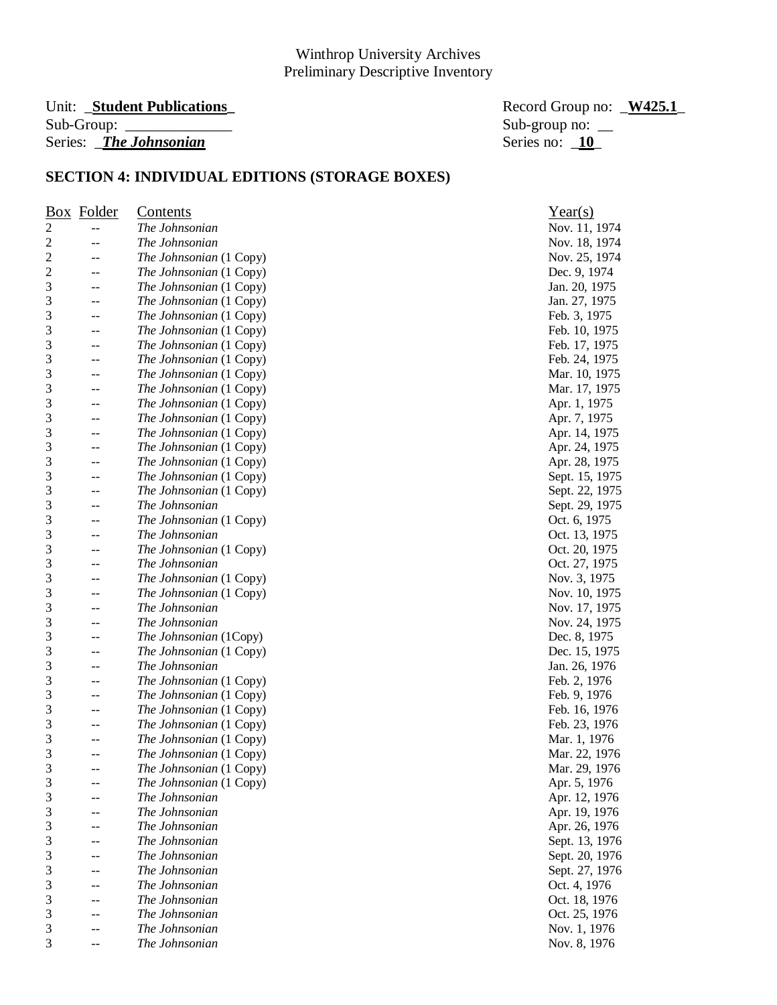# Sub-Group: \_\_\_\_\_\_\_\_\_\_\_\_\_\_ Sub-group no: \_\_ Series: *The Johnsonian* Series no: **10**

Unit: **\_Student Publications**<br> **Example 3.1** Record Group no: **\_W425.1** Record Group no: **\_W425.1** 

Nov. 11, 1974 Nov. 18, 1974 Nov. 25, 1974 Dec. 9, 1974 Jan. 20, 1975 Jan. 27, 1975 Feb. 3, 1975 Feb. 10, 1975 Feb. 17, 1975 Feb. 24, 1975 Mar. 10, 1975 Mar. 17, 1975 Apr. 1, 1975 Apr. 7, 1975 Apr. 14, 1975 Apr. 24, 1975 Apr. 28, 1975 Sept. 15, 1975 Sept. 22, 1975 Sept. 29, 1975 Oct. 6, 1975 3 -- *The Johnsonian* Oct. 13, 1975 Oct. 20, 1975 Oct. 27, 1975 Nov. 3, 1975 Nov. 10, 1975 Nov. 17, 1975 Nov. 24, 1975 Dec. 8, 1975 Dec. 15, 1975 3 -- *The Johnsonian* Jan. 26, 1976 Feb. 2, 1976 Feb. 9, 1976 Feb. 16, 1976 Feb. 23, 1976 Mar. 1, 1976 Mar. 22, 1976 Mar. 29, 1976 Apr. 5, 1976 Apr. 12, 1976 Apr. 19, 1976 Apr. 26, 1976 Sept. 13, 1976 Sept. 20, 1976 Sept. 27, 1976 Oct. 4, 1976 Oct. 18, 1976 3 -- *The Johnsonian* Oct. 25, 1976 Nov. 1, 1976

|                | <b>Box</b> Folder | <b>Contents</b>         | Year(s)       |
|----------------|-------------------|-------------------------|---------------|
| $\overline{c}$ |                   | The Johnsonian          | Nov. 11, 197  |
| $\sqrt{2}$     |                   | The Johnsonian          | Nov. 18, 197  |
| $\overline{c}$ | $-$               | The Johnsonian (1 Copy) | Nov. 25, 197  |
| $\overline{c}$ | --                | The Johnsonian (1 Copy) | Dec. 9, 1974  |
| 3              | --                | The Johnsonian (1 Copy) | Jan. 20, 1975 |
| 3              | $-$               | The Johnsonian (1 Copy) | Jan. 27, 1975 |
| 3              | $-\,-$            | The Johnsonian (1 Copy) | Feb. 3, 1975  |
| 3              | $-\,-$            | The Johnsonian (1 Copy) | Feb. 10, 1975 |
| 3              | --                | The Johnsonian (1 Copy) | Feb. 17, 1975 |
| 3              | $-$               | The Johnsonian (1 Copy) | Feb. 24, 1975 |
| 3              | --                | The Johnsonian (1 Copy) | Mar. 10, 197: |
| 3              | --                | The Johnsonian (1 Copy) | Mar. 17, 197: |
| 3              | --                | The Johnsonian (1 Copy) | Apr. 1, 1975  |
| 3              | --                | The Johnsonian (1 Copy) | Apr. 7, 1975  |
| 3              | --                | The Johnsonian (1 Copy) | Apr. 14, 1975 |
| 3              | --                | The Johnsonian (1 Copy) | Apr. 24, 1975 |
| 3              | --                | The Johnsonian (1 Copy) | Apr. 28, 1975 |
| 3              | --                | The Johnsonian (1 Copy) | Sept. 15, 197 |
| 3              | $-\,-$            | The Johnsonian (1 Copy) | Sept. 22, 197 |
| 3              | $-$               | The Johnsonian          | Sept. 29, 197 |
| 3              | --                | The Johnsonian (1 Copy) | Oct. 6, 1975  |
| 3              | --                | The Johnsonian          | Oct. 13, 1975 |
| 3              | $-$               | The Johnsonian (1 Copy) | Oct. 20, 1975 |
| 3              | $-$               | The Johnsonian          | Oct. 27, 1975 |
| 3              | --                | The Johnsonian (1 Copy) | Nov. 3, 1975  |
| 3              | --                | The Johnsonian (1 Copy) | Nov. 10, 197  |
| 3              | $-$               | The Johnsonian          | Nov. 17, 197. |
| 3              | --                | The Johnsonian          | Nov. 24, 197. |
| 3              | --                | The Johnsonian (1Copy)  | Dec. 8, 1975  |
| 3              | $-$               | The Johnsonian (1 Copy) | Dec. 15, 197: |
| 3              | $-$               | The Johnsonian          | Jan. 26, 1976 |
| 3              | $-\,-$            | The Johnsonian (1 Copy) | Feb. 2, 1976  |
| 3              | --                | The Johnsonian (1 Copy) | Feb. 9, 1976  |
| 3              | --                | The Johnsonian (1 Copy) | Feb. 16, 1976 |
| 3              | $-$               | The Johnsonian (1 Copy) | Feb. 23, 1976 |
| 3              | --                | The Johnsonian (1 Copy) | Mar. 1, 1976  |
| 3              |                   | The Johnsonian (1 Copy) | Mar. 22, 197  |
| 3              | $-$               | The Johnsonian (1 Copy) | Mar. 29, 197  |
| 3              |                   | The Johnsonian (1 Copy) | Apr. 5, 1976  |
| 3              |                   | The Johnsonian          | Apr. 12, 1976 |
| 3              |                   | The Johnsonian          |               |
|                |                   |                         | Apr. 19, 1976 |
| 3              |                   | The Johnsonian          | Apr. 26, 1976 |
| 3              |                   | The Johnsonian          | Sept. 13, 197 |
| 3              |                   | The Johnsonian          | Sept. 20, 197 |
| 3              |                   | The Johnsonian          | Sept. 27, 197 |
| 3              |                   | The Johnsonian          | Oct. 4, 1976  |
| 3              |                   | The Johnsonian          | Oct. 18, 1976 |
| 3              |                   | The Johnsonian          | Oct. 25, 1976 |
| $\mathfrak{Z}$ | --                | The Johnsonian          | Nov. 1, 1976  |
| 3              | --                | The Johnsonian          | Nov. 8, 1976  |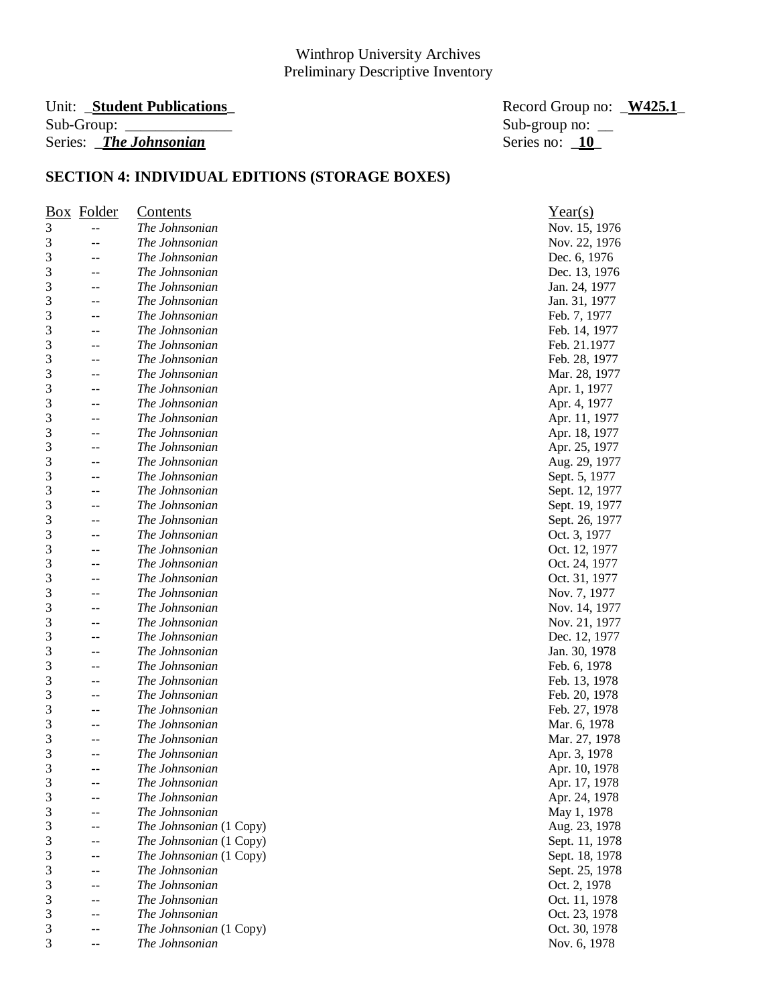# Unit: \_**Student Publications\_** Record Group no: \_**W425.1**\_ Series: *\_The Johnsonian*

Sub-group no:  $\frac{10}{10}$ 

| $\frac{Box}{}$ | Folder | <u>Contents</u>         | Year(s)        |
|----------------|--------|-------------------------|----------------|
| 3              | --     | The Johnsonian          | Nov. 15, 1976  |
| 3              |        | The Johnsonian          | Nov. 22, 1976  |
| 3              | --     | The Johnsonian          | Dec. 6, 1976   |
| 3              | --     | The Johnsonian          | Dec. 13, 1976  |
| 3              |        | The Johnsonian          | Jan. 24, 1977  |
| 3              |        | The Johnsonian          | Jan. 31, 1977  |
| 3              | --     | The Johnsonian          | Feb. 7, 1977   |
| 3              | --     | The Johnsonian          | Feb. 14, 1977  |
| 3              | --     | The Johnsonian          | Feb. 21.1977   |
| 3              | --     | The Johnsonian          | Feb. 28, 1977  |
| 3              | $-$    | The Johnsonian          | Mar. 28, 1977  |
| 3              | --     | The Johnsonian          | Apr. 1, 1977   |
| 3              | --     | The Johnsonian          | Apr. 4, 1977   |
| 3              | --     | The Johnsonian          | Apr. 11, 1977  |
| 3              | --     | The Johnsonian          | Apr. 18, 1977  |
| 3              | --     | The Johnsonian          | Apr. 25, 1977  |
| 3              | --     | The Johnsonian          | Aug. 29, 1977  |
| 3              | --     | The Johnsonian          | Sept. 5, 1977  |
| 3              | --     | The Johnsonian          | Sept. 12, 1977 |
| 3              | --     | The Johnsonian          | Sept. 19, 1977 |
| 3              | --     | The Johnsonian          | Sept. 26, 1977 |
| 3              | --     | The Johnsonian          | Oct. 3, 1977   |
| 3              | --     | The Johnsonian          | Oct. 12, 1977  |
| 3              |        | The Johnsonian          | Oct. 24, 1977  |
| 3              |        | The Johnsonian          | Oct. 31, 1977  |
| 3              | --     | The Johnsonian          | Nov. 7, 1977   |
| 3              | --     | The Johnsonian          | Nov. 14, 1977  |
| 3              | --     | The Johnsonian          | Nov. 21, 1977  |
| 3              |        | The Johnsonian          | Dec. 12, 1977  |
| 3              |        | The Johnsonian          | Jan. 30, 1978  |
| 3              | --     | The Johnsonian          | Feb. 6, 1978   |
| 3              | --     | The Johnsonian          | Feb. 13, 1978  |
| 3              | --     | The Johnsonian          | Feb. 20, 1978  |
| 3              | --     | The Johnsonian          | Feb. 27, 1978  |
| 3              | --     | The Johnsonian          | Mar. 6, 1978   |
| 3              |        | The Johnsonian          | Mar. 27, 1978  |
| 3              |        | The Johnsonian          | Apr. 3, 1978   |
| 3              | $-$    | The Johnsonian          | Apr. 10, 1978  |
| 3              |        | The Johnsonian          | Apr. 17, 1978  |
| 3              |        | The Johnsonian          | Apr. 24, 1978  |
| 3              |        | The Johnsonian          | May 1, 1978    |
| 3              |        | The Johnsonian (1 Copy) | Aug. 23, 1978  |
| 3              | --     | The Johnsonian (1 Copy) | Sept. 11, 1978 |
| 3              | --     | The Johnsonian (1 Copy) | Sept. 18, 1978 |
| 3              |        | The Johnsonian          | Sept. 25, 1978 |
| 3              | --     | The Johnsonian          | Oct. 2, 1978   |
| 3              | --     | The Johnsonian          | Oct. 11, 1978  |
| 3              |        | The Johnsonian          | Oct. 23, 1978  |
| 3              |        | The Johnsonian (1 Copy) | Oct. 30, 1978  |
| 3              | --     | The Johnsonian          | Nov. 6, 1978   |
|                |        |                         |                |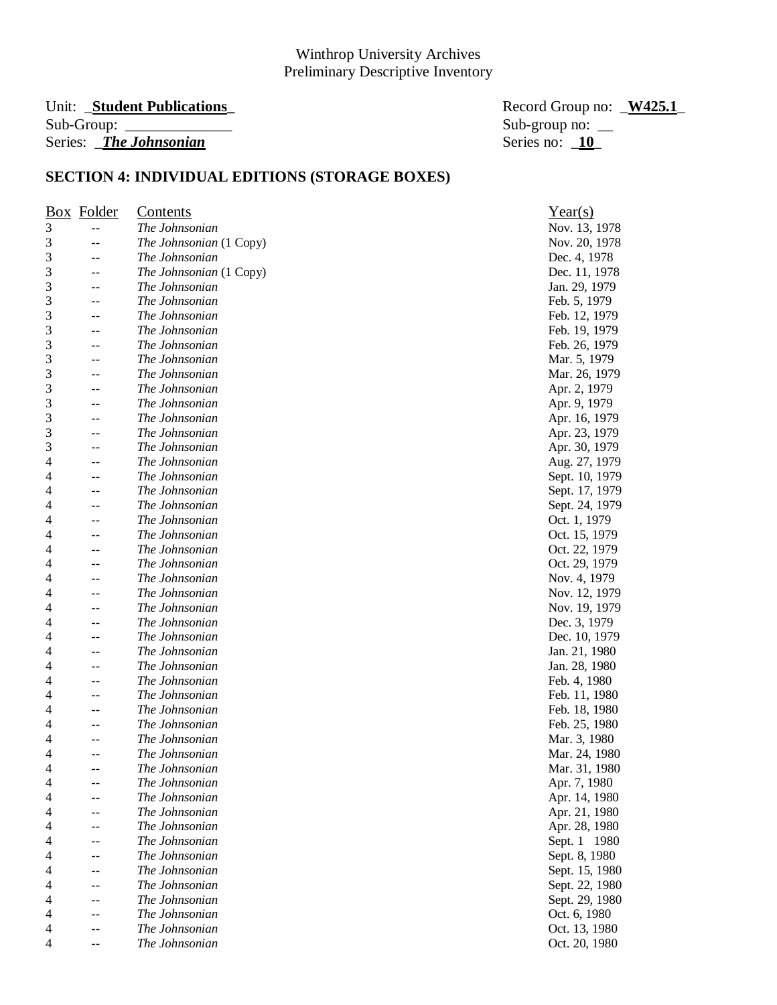#### Unit: **\_Student Publications**  $Sub-Group:$ Series: *\_The Johnsonian*

| Record Group no: <u>W425.1</u> |  |
|--------------------------------|--|
| Sub-group no: $\_\_$           |  |
| Series no: $10$                |  |

|   | <b>Box</b> Folder | <u>Contents</u>         | Year(s)        |
|---|-------------------|-------------------------|----------------|
| 3 | $-$               | The Johnsonian          | Nov. 13, 1978  |
| 3 | --                | The Johnsonian (1 Copy) | Nov. 20, 1978  |
| 3 | --                | The Johnsonian          | Dec. 4, 1978   |
| 3 | --                | The Johnsonian (1 Copy) | Dec. 11, 1978  |
| 3 | $-$               | The Johnsonian          | Jan. 29, 1979  |
| 3 | --                | The Johnsonian          | Feb. 5, 1979   |
| 3 | --                | The Johnsonian          | Feb. 12, 1979  |
| 3 | --                | The Johnsonian          | Feb. 19, 1979  |
| 3 | --                | The Johnsonian          | Feb. 26, 1979  |
| 3 | --                | The Johnsonian          | Mar. 5, 1979   |
| 3 | --                | The Johnsonian          | Mar. 26, 1979  |
| 3 | --                | The Johnsonian          | Apr. 2, 1979   |
| 3 | --                | The Johnsonian          | Apr. 9, 1979   |
| 3 | $-$               | The Johnsonian          | Apr. 16, 1979  |
| 3 | --                | The Johnsonian          | Apr. 23, 1979  |
| 3 | --                | The Johnsonian          | Apr. 30, 1979  |
| 4 | --                | The Johnsonian          | Aug. 27, 1979  |
| 4 | --                | The Johnsonian          | Sept. 10, 1979 |
| 4 | --                | The Johnsonian          | Sept. 17, 1979 |
| 4 |                   | The Johnsonian          | Sept. 24, 1979 |
| 4 | --                | The Johnsonian          | Oct. 1, 1979   |
| 4 | --                | The Johnsonian          | Oct. 15, 1979  |
| 4 | --                | The Johnsonian          | Oct. 22, 1979  |
| 4 |                   | The Johnsonian          |                |
| 4 | --                | The Johnsonian          | Oct. 29, 1979  |
| 4 | --<br>$-$         | The Johnsonian          | Nov. 4, 1979   |
|   |                   |                         | Nov. 12, 1979  |
| 4 | --                | The Johnsonian          | Nov. 19, 1979  |
| 4 | --                | The Johnsonian          | Dec. 3, 1979   |
| 4 | --                | The Johnsonian          | Dec. 10, 1979  |
| 4 | --                | The Johnsonian          | Jan. 21, 1980  |
| 4 | $-$               | The Johnsonian          | Jan. 28, 1980  |
| 4 |                   | The Johnsonian          | Feb. 4, 1980   |
| 4 | --                | The Johnsonian          | Feb. 11, 1980  |
| 4 | --                | The Johnsonian          | Feb. 18, 1980  |
| 4 | --                | The Johnsonian          | Feb. 25, 1980  |
| 4 |                   | The Johnsonian          | Mar. 3, 1980   |
| 4 |                   | The Johnsonian          | Mar. 24, 1980  |
| 4 | $-$               | The Johnsonian          | Mar. 31, 1980  |
| 4 | --                | The Johnsonian          | Apr. 7, 1980   |
| 4 | --                | The Johnsonian          | Apr. 14, 1980  |
| 4 | --                | The Johnsonian          | Apr. 21, 1980  |
| 4 |                   | The Johnsonian          | Apr. 28, 1980  |
| 4 |                   | The Johnsonian          | Sept. 1 1980   |
| 4 |                   | The Johnsonian          | Sept. 8, 1980  |
| 4 | --                | The Johnsonian          | Sept. 15, 1980 |
| 4 | --                | The Johnsonian          | Sept. 22, 1980 |
| 4 |                   | The Johnsonian          | Sept. 29, 1980 |
| 4 |                   | The Johnsonian          | Oct. 6, 1980   |
| 4 |                   | The Johnsonian          | Oct. 13, 1980  |
| 4 | --                | The Johnsonian          | Oct. 20, 1980  |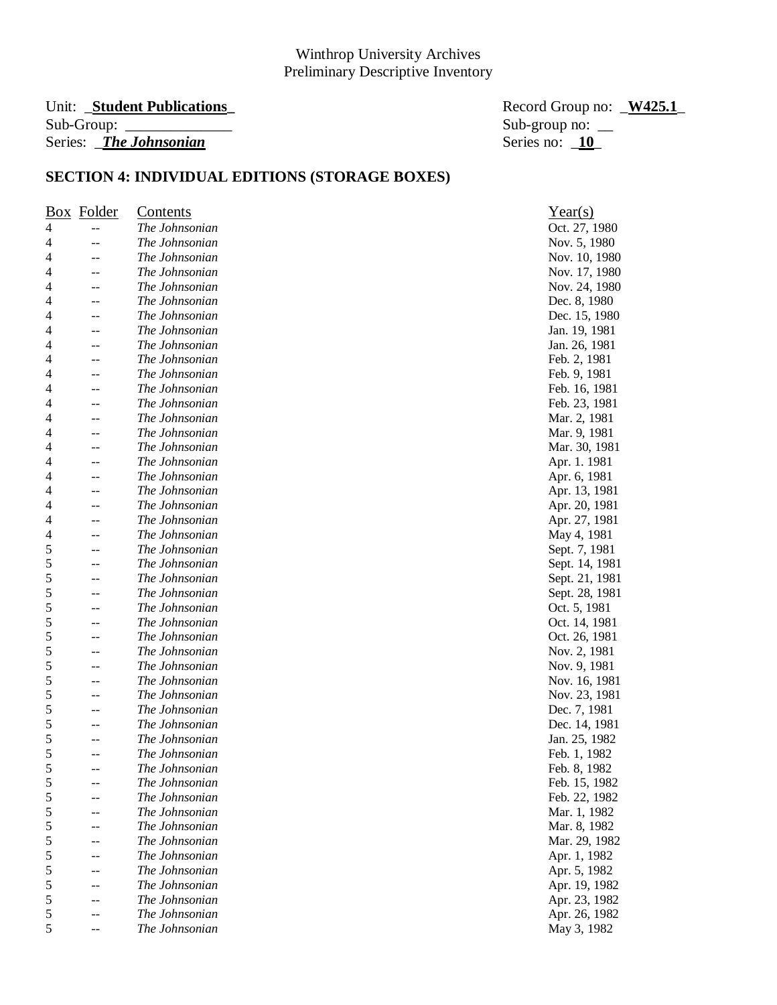# Series: *\_The Johnsonian*

Unit: \_**Student Publications\_** Record Group no: \_**W425.1**\_ Sub-group no:  $\frac{\text{Sub}}{\text{Series}}$  no:  $\frac{10}{10}$ 

|   | <b>Box</b> Folder | <b>Contents</b> | Year(s)        |
|---|-------------------|-----------------|----------------|
| 4 | $-$               | The Johnsonian  | Oct. 27, 1980  |
| 4 | --                | The Johnsonian  | Nov. 5, 1980   |
| 4 | $-$               | The Johnsonian  | Nov. 10, 1980  |
| 4 | --                | The Johnsonian  | Nov. 17, 1980  |
| 4 | $-$               | The Johnsonian  | Nov. 24, 1980  |
| 4 | --                | The Johnsonian  | Dec. 8, 1980   |
| 4 | --                | The Johnsonian  | Dec. 15, 1980  |
| 4 | --                | The Johnsonian  | Jan. 19, 1981  |
| 4 | --                | The Johnsonian  | Jan. 26, 1981  |
| 4 | --                | The Johnsonian  | Feb. 2, 1981   |
| 4 | $-$               | The Johnsonian  | Feb. 9, 1981   |
| 4 | $-$               | The Johnsonian  | Feb. 16, 1981  |
| 4 | --                | The Johnsonian  | Feb. 23, 1981  |
| 4 | --                | The Johnsonian  | Mar. 2, 1981   |
| 4 | --                | The Johnsonian  | Mar. 9, 1981   |
| 4 | --                | The Johnsonian  | Mar. 30, 1981  |
| 4 | $-$               | The Johnsonian  | Apr. 1. 1981   |
| 4 | --                | The Johnsonian  | Apr. 6, 1981   |
| 4 | --                | The Johnsonian  | Apr. 13, 1981  |
| 4 | --                | The Johnsonian  | Apr. 20, 1981  |
| 4 | --                | The Johnsonian  | Apr. 27, 1981  |
| 4 | --                | The Johnsonian  | May 4, 1981    |
| 5 | $-$               | The Johnsonian  | Sept. 7, 1981  |
| 5 | $-$               | The Johnsonian  | Sept. 14, 1981 |
| 5 | --                | The Johnsonian  | Sept. 21, 1981 |
| 5 | $-$               | The Johnsonian  | Sept. 28, 1981 |
| 5 | $-$               | The Johnsonian  | Oct. 5, 1981   |
| 5 | --                | The Johnsonian  | Oct. 14, 1981  |
| 5 | --                | The Johnsonian  | Oct. 26, 1981  |
| 5 | --                | The Johnsonian  | Nov. 2, 1981   |
| 5 | --                | The Johnsonian  | Nov. 9, 1981   |
| 5 | --                | The Johnsonian  | Nov. 16, 1981  |
| 5 | --                | The Johnsonian  | Nov. 23, 1981  |
| 5 | --                | The Johnsonian  | Dec. 7, 1981   |
| 5 | --                | The Johnsonian  | Dec. 14, 1981  |
| 5 | $-$               | The Johnsonian  | Jan. 25, 1982  |
| 5 | --                | The Johnsonian  | Feb. 1, 1982   |
| 5 | --                | The Johnsonian  | Feb. 8, 1982   |
| 5 |                   | The Johnsonian  | Feb. 15, 1982  |
| 5 |                   | The Johnsonian  | Feb. 22, 1982  |
| 5 |                   | The Johnsonian  | Mar. 1, 1982   |
| 5 |                   | The Johnsonian  | Mar. 8, 1982   |
| 5 |                   | The Johnsonian  | Mar. 29, 1982  |
| 5 | --                | The Johnsonian  | Apr. 1, 1982   |
| 5 | --                | The Johnsonian  | Apr. 5, 1982   |
| 5 |                   | The Johnsonian  | Apr. 19, 1982  |
| 5 | --                | The Johnsonian  | Apr. 23, 1982  |
| 5 | --                | The Johnsonian  | Apr. 26, 1982  |
| 5 | --                | The Johnsonian  | May 3, 1982    |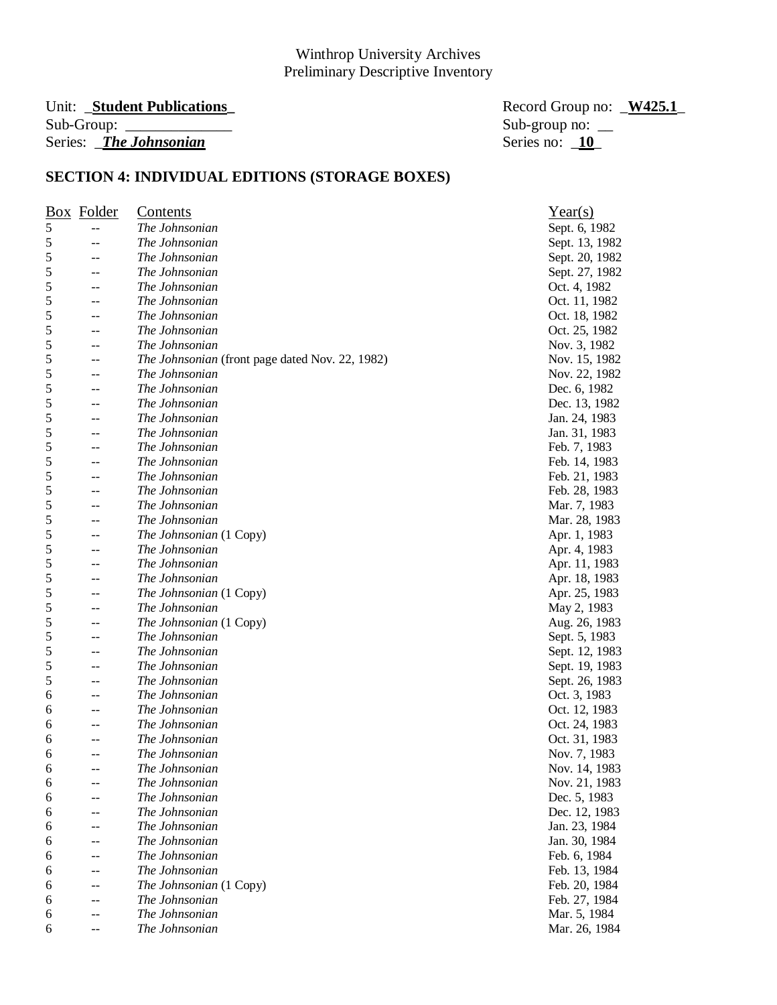#### Unit: **\_Student Publications**  $Sub-Group:$ Series: *\_The Johnsonian*

| Record Group no: <u>W425.1</u> |  |
|--------------------------------|--|
| Sub-group no: $\_\_$           |  |
| Series no: 10                  |  |

|   | <b>Box</b> Folder | <u>Contents</u>                                        | Year(s)        |
|---|-------------------|--------------------------------------------------------|----------------|
| 5 |                   | The Johnsonian                                         | Sept. 6, 1982  |
| 5 | --                | The Johnsonian                                         | Sept. 13, 1982 |
| 5 | --                | The Johnsonian                                         | Sept. 20, 1982 |
| 5 |                   | The Johnsonian                                         | Sept. 27, 1982 |
| 5 | --                | The Johnsonian                                         | Oct. 4, 1982   |
| 5 |                   | The Johnsonian                                         | Oct. 11, 1982  |
| 5 | --                | The Johnsonian                                         | Oct. 18, 1982  |
| 5 |                   | The Johnsonian                                         | Oct. 25, 1982  |
| 5 |                   | The Johnsonian                                         | Nov. 3, 1982   |
| 5 | --                | <i>The Johnsonian</i> (front page dated Nov. 22, 1982) | Nov. 15, 1982  |
| 5 | --                | The Johnsonian                                         | Nov. 22, 1982  |
| 5 |                   | The Johnsonian                                         | Dec. 6, 1982   |
| 5 | --                | The Johnsonian                                         | Dec. 13, 1982  |
| 5 | --                | The Johnsonian                                         | Jan. 24, 1983  |
| 5 | --                | The Johnsonian                                         | Jan. 31, 1983  |
| 5 | --                | The Johnsonian                                         | Feb. 7, 1983   |
| 5 | --                | The Johnsonian                                         | Feb. 14, 1983  |
| 5 | --                | The Johnsonian                                         | Feb. 21, 1983  |
| 5 |                   | The Johnsonian                                         | Feb. 28, 1983  |
| 5 | --                | The Johnsonian                                         | Mar. 7, 1983   |
| 5 | --                | The Johnsonian                                         | Mar. 28, 1983  |
| 5 |                   | The Johnsonian (1 Copy)                                | Apr. 1, 1983   |
| 5 | --                | The Johnsonian                                         | Apr. 4, 1983   |
| 5 |                   | The Johnsonian                                         | Apr. 11, 1983  |
| 5 |                   | The Johnsonian                                         | Apr. 18, 1983  |
| 5 | --                | The Johnsonian (1 Copy)                                | Apr. 25, 1983  |
| 5 |                   | The Johnsonian                                         | May 2, 1983    |
| 5 |                   | The Johnsonian (1 Copy)                                | Aug. 26, 1983  |
| 5 |                   | The Johnsonian                                         | Sept. 5, 1983  |
| 5 |                   | The Johnsonian                                         | Sept. 12, 1983 |
| 5 |                   | The Johnsonian                                         | Sept. 19, 1983 |
| 5 |                   | The Johnsonian                                         | Sept. 26, 1983 |
| 6 |                   | The Johnsonian                                         | Oct. 3, 1983   |
| 6 |                   | The Johnsonian                                         | Oct. 12, 1983  |
| 6 | --                | The Johnsonian                                         | Oct. 24, 1983  |
| 6 |                   | The Johnsonian                                         | Oct. 31, 1983  |
| 6 |                   | The Johnsonian                                         | Nov. 7, 1983   |
| 6 | --                | The Johnsonian                                         | Nov. 14, 1983  |
| 6 |                   | The Johnsonian                                         | Nov. 21, 1983  |
| 6 |                   | The Johnsonian                                         | Dec. 5, 1983   |
| 6 |                   | The Johnsonian                                         | Dec. 12, 1983  |
| 6 |                   | The Johnsonian                                         | Jan. 23, 1984  |
| 6 |                   | The Johnsonian                                         | Jan. 30, 1984  |
| 6 |                   | The Johnsonian                                         | Feb. 6, 1984   |
| 6 |                   | The Johnsonian                                         | Feb. 13, 1984  |
| 6 |                   | The Johnsonian (1 Copy)                                | Feb. 20, 1984  |
| 6 |                   | The Johnsonian                                         | Feb. 27, 1984  |
| 6 |                   | The Johnsonian                                         | Mar. 5, 1984   |
| 6 |                   | The Johnsonian                                         | Mar. 26, 1984  |
|   |                   |                                                        |                |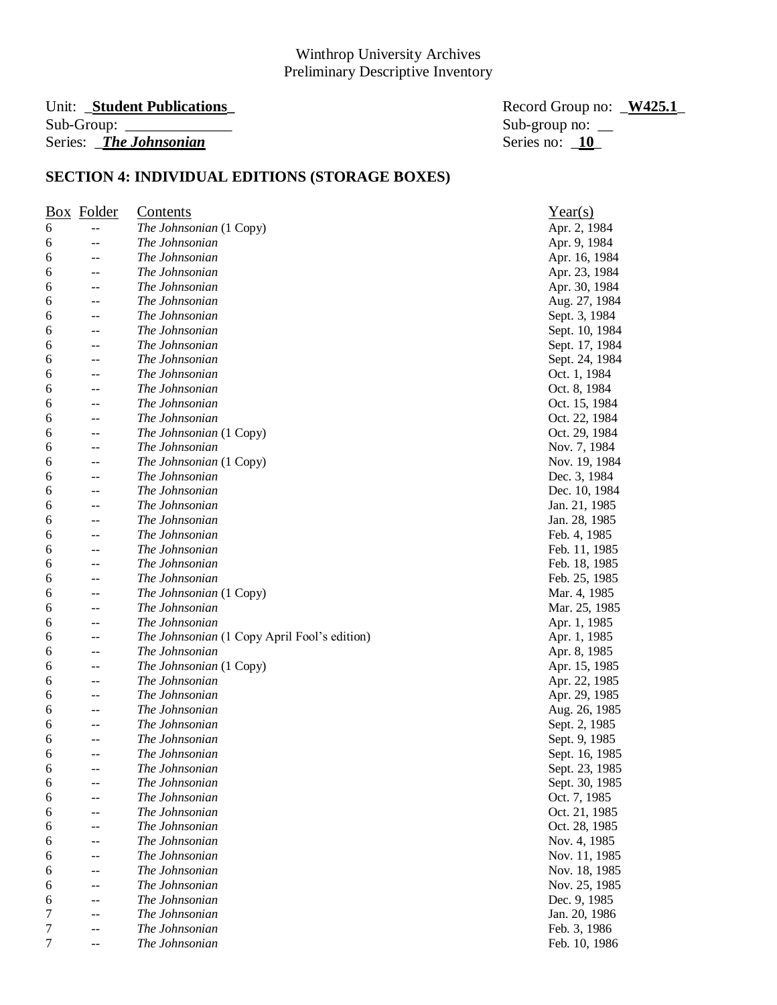#### Unit: **\_Student Publications**  $Sub-Group:$ Series: *\_The Johnsonian*

| Record Group no: W425.1 |  |
|-------------------------|--|
| Sub-group no: $\_\_$    |  |
| Series no: 10           |  |

|        | <b>Box</b> Folder | <u>Contents</u>                                     | Year(s)        |
|--------|-------------------|-----------------------------------------------------|----------------|
| 6      |                   | The Johnsonian (1 Copy)                             | Apr. 2, 1984   |
| 6      | --                | The Johnsonian                                      | Apr. 9, 1984   |
| 6      | --                | The Johnsonian                                      | Apr. 16, 1984  |
| 6      |                   | The Johnsonian                                      | Apr. 23, 1984  |
| 6      | --                | The Johnsonian                                      | Apr. 30, 1984  |
| 6      |                   | The Johnsonian                                      | Aug. 27, 1984  |
| 6      | --                | The Johnsonian                                      | Sept. 3, 1984  |
| 6      |                   | The Johnsonian                                      | Sept. 10, 1984 |
| 6      |                   | The Johnsonian                                      | Sept. 17, 1984 |
| 6      |                   | The Johnsonian                                      | Sept. 24, 1984 |
| 6      | --                | The Johnsonian                                      | Oct. 1, 1984   |
| 6      |                   | The Johnsonian                                      | Oct. 8, 1984   |
| 6      | --                | The Johnsonian                                      | Oct. 15, 1984  |
| 6      | --                | The Johnsonian                                      | Oct. 22, 1984  |
| 6      | --                | The Johnsonian (1 Copy)                             | Oct. 29, 1984  |
| 6      | --                | The Johnsonian                                      | Nov. 7, 1984   |
| 6      | --                | The Johnsonian (1 Copy)                             | Nov. 19, 1984  |
| 6      | --                | The Johnsonian                                      | Dec. 3, 1984   |
| 6      |                   | The Johnsonian                                      | Dec. 10, 1984  |
| 6      | --                | The Johnsonian                                      | Jan. 21, 1985  |
| 6      | --                | The Johnsonian                                      | Jan. 28, 1985  |
| 6      |                   | The Johnsonian                                      | Feb. 4, 1985   |
| 6      | --                | The Johnsonian                                      | Feb. 11, 1985  |
| 6      |                   | The Johnsonian                                      | Feb. 18, 1985  |
| 6      |                   | The Johnsonian                                      | Feb. 25, 1985  |
| 6      | --                | The Johnsonian (1 Copy)                             | Mar. 4, 1985   |
| 6      |                   | The Johnsonian                                      | Mar. 25, 1985  |
| 6      | --                | The Johnsonian                                      | Apr. 1, 1985   |
| 6      | --                | <i>The Johnsonian</i> (1 Copy April Fool's edition) | Apr. 1, 1985   |
|        |                   | The Johnsonian                                      | Apr. 8, 1985   |
| 6<br>6 |                   | The Johnsonian (1 Copy)                             | Apr. 15, 1985  |
| 6      |                   | The Johnsonian                                      | Apr. 22, 1985  |
|        |                   | The Johnsonian                                      |                |
| 6      |                   |                                                     | Apr. 29, 1985  |
| 6      |                   | The Johnsonian<br>The Johnsonian                    | Aug. 26, 1985  |
| 6      | --                | The Johnsonian                                      | Sept. 2, 1985  |
| 6      |                   |                                                     | Sept. 9, 1985  |
| 6      |                   | The Johnsonian                                      | Sept. 16, 1985 |
| 6      | --                | The Johnsonian                                      | Sept. 23, 1985 |
| 6      |                   | The Johnsonian                                      | Sept. 30, 1985 |
| 6      |                   | The Johnsonian                                      | Oct. 7, 1985   |
| 6      |                   | The Johnsonian                                      | Oct. 21, 1985  |
| 6      |                   | The Johnsonian                                      | Oct. 28, 1985  |
| 6      |                   | The Johnsonian                                      | Nov. 4, 1985   |
| 6      |                   | The Johnsonian                                      | Nov. 11, 1985  |
| 6      |                   | The Johnsonian                                      | Nov. 18, 1985  |
| 6      |                   | The Johnsonian                                      | Nov. 25, 1985  |
| 6      |                   | The Johnsonian                                      | Dec. 9, 1985   |
| 7      |                   | The Johnsonian                                      | Jan. 20, 1986  |
| 7      | --                | The Johnsonian                                      | Feb. 3, 1986   |
| 7      |                   | The Johnsonian                                      | Feb. 10, 1986  |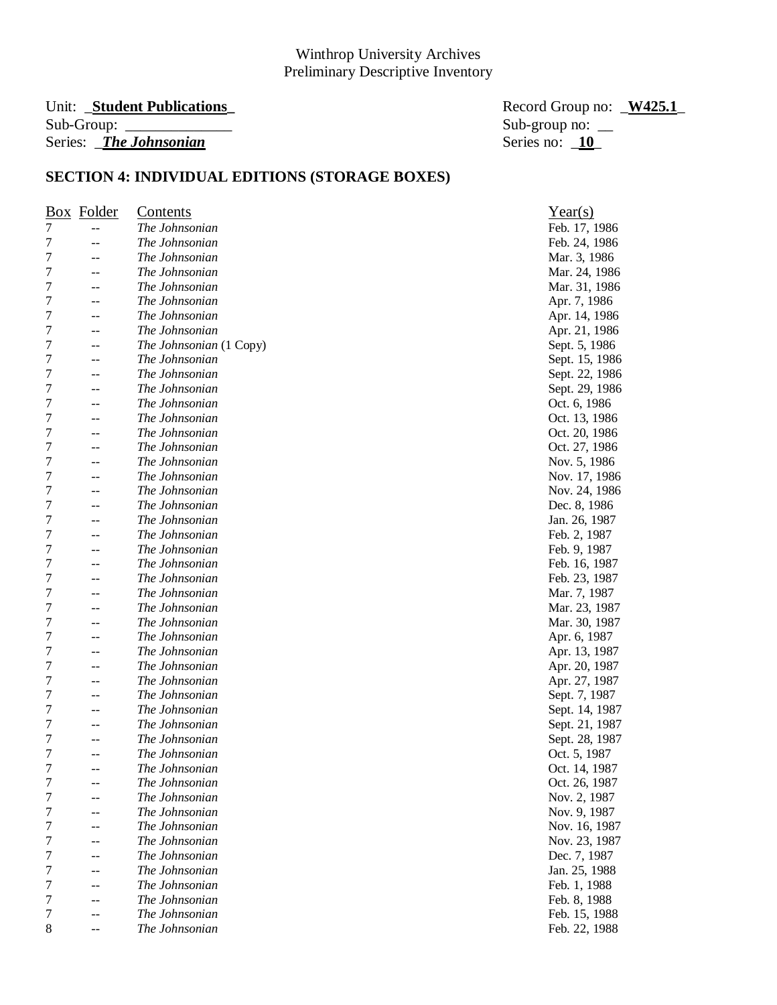#### Unit: **\_Student Publications**<br>
Record Group no: <u>\_W425.1</u> Sub-Group: \_\_\_\_\_\_\_\_\_\_\_\_\_\_ Sub-group no: \_\_ Series: *The Johnsonian* Series no: **10**

| Box Folder  |       | <b>Contents</b>         | Year(s)        |
|-------------|-------|-------------------------|----------------|
| 7           | --    | The Johnsonian          | Feb. 17, 1986  |
| 7           | $-$   | The Johnsonian          | Feb. 24, 1986  |
| 7           | --    | The Johnsonian          | Mar. 3, 1986   |
| 7           | --    | The Johnsonian          | Mar. 24, 1986  |
| 7           | $-$   | The Johnsonian          | Mar. 31, 1986  |
| 7           | --    | The Johnsonian          | Apr. 7, 1986   |
| 7           | --    | The Johnsonian          | Apr. 14, 1986  |
| 7           | --    | The Johnsonian          | Apr. 21, 1986  |
| 7           | --    | The Johnsonian (1 Copy) | Sept. 5, 1986  |
| 7           | --    | The Johnsonian          | Sept. 15, 1986 |
| 7           | --    | The Johnsonian          | Sept. 22, 1986 |
| 7           |       | The Johnsonian          | Sept. 29, 1986 |
| 7           | --    | The Johnsonian          | Oct. 6, 1986   |
| 7           | $-$   | The Johnsonian          | Oct. 13, 1986  |
| 7           | $-$   | The Johnsonian          | Oct. 20, 1986  |
| 7           | --    | The Johnsonian          | Oct. 27, 1986  |
| 7           | --    | The Johnsonian          | Nov. 5, 1986   |
| 7           | --    | The Johnsonian          | Nov. 17, 1986  |
| 7           | $- -$ | The Johnsonian          | Nov. 24, 1986  |
| 7           | --    | The Johnsonian          | Dec. 8, 1986   |
| 7           |       | The Johnsonian          | Jan. 26, 1987  |
| 7           | --    | The Johnsonian          | Feb. 2, 1987   |
| 7           | $-$   | The Johnsonian          | Feb. 9, 1987   |
| 7           |       | The Johnsonian          | Feb. 16, 1987  |
| 7           | --    | The Johnsonian          | Feb. 23, 1987  |
| 7           | $-$   | The Johnsonian          | Mar. 7, 1987   |
| 7           | $-$   | The Johnsonian          | Mar. 23, 1987  |
| 7           | --    | The Johnsonian          | Mar. 30, 1987  |
| 7           | $-$   | The Johnsonian          | Apr. 6, 1987   |
| 7           | $-$   | The Johnsonian          | Apr. 13, 1987  |
| 7           | --    | The Johnsonian          | Apr. 20, 1987  |
| 7           | --    | The Johnsonian          | Apr. 27, 1987  |
| 7           | --    | The Johnsonian          | Sept. 7, 1987  |
| 7           |       | The Johnsonian          | Sept. 14, 1987 |
| 7           | $-$   | The Johnsonian          | Sept. 21, 1987 |
| 7           |       | The Johnsonian          | Sept. 28, 1987 |
| 7           | --    | The Johnsonian          | Oct. 5, 1987   |
| 7           | $-$   | The Johnsonian          | Oct. 14, 1987  |
| 7           |       | The Johnsonian          | Oct. 26, 1987  |
| 7           |       | The Johnsonian          | Nov. 2, 1987   |
| 7           |       | The Johnsonian          | Nov. 9, 1987   |
| 7           |       | The Johnsonian          | Nov. 16, 1987  |
| 7           |       | The Johnsonian          | Nov. 23, 1987  |
| 7           | $-$   | The Johnsonian          | Dec. 7, 1987   |
| 7           |       | The Johnsonian          | Jan. 25, 1988  |
| 7           |       | The Johnsonian          | Feb. 1, 1988   |
| 7           |       | The Johnsonian          | Feb. 8, 1988   |
| 7           |       | The Johnsonian          | Feb. 15, 1988  |
| $\,$ 8 $\,$ |       | The Johnsonian          | Feb. 22, 1988  |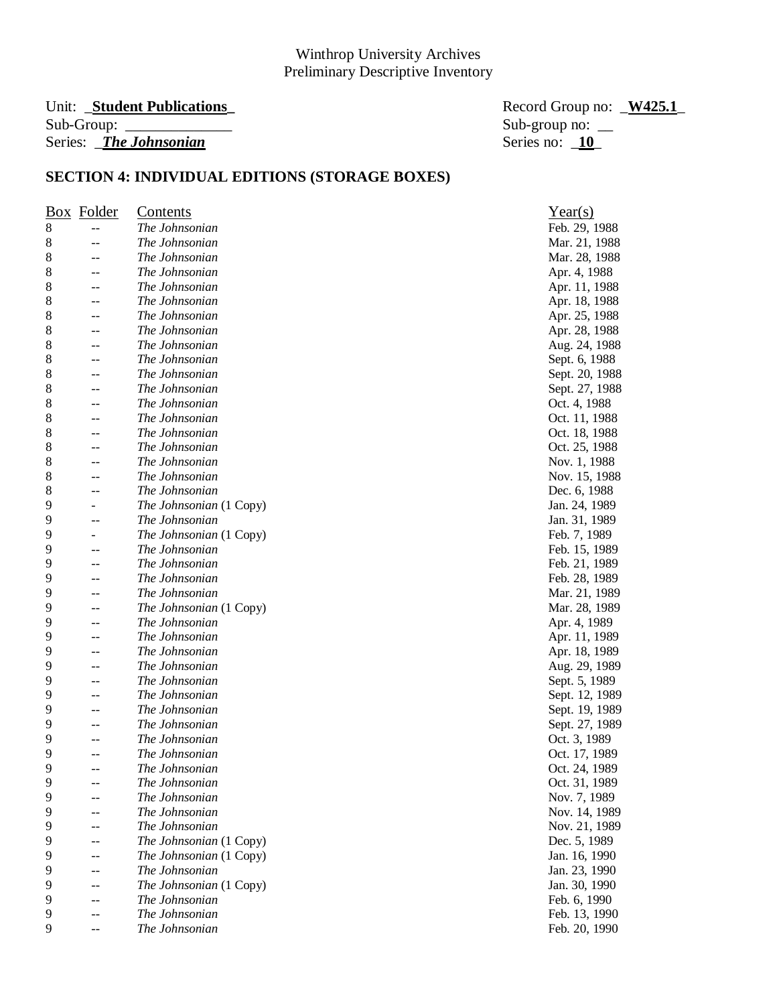# Unit: \_**Student Publications\_** Record Group no: \_**W425.1**\_ Series: *\_The Johnsonian*

Sub-group no:  $\frac{\text{Sub}}{\text{Series}}$  no:  $\frac{10}{10}$ 

|   | <b>Box</b> Folder        | <u>Contents</u>         | Year(s)        |
|---|--------------------------|-------------------------|----------------|
| 8 | --                       | The Johnsonian          | Feb. 29, 1988  |
| 8 | --                       | The Johnsonian          | Mar. 21, 1988  |
| 8 |                          | The Johnsonian          | Mar. 28, 1988  |
| 8 |                          | The Johnsonian          | Apr. 4, 1988   |
| 8 | $-$                      | The Johnsonian          | Apr. 11, 1988  |
| 8 | --                       | The Johnsonian          | Apr. 18, 1988  |
| 8 | --                       | The Johnsonian          | Apr. 25, 1988  |
| 8 | --                       | The Johnsonian          | Apr. 28, 1988  |
| 8 | --                       | The Johnsonian          | Aug. 24, 1988  |
| 8 | --                       | The Johnsonian          | Sept. 6, 1988  |
| 8 | $-$                      | The Johnsonian          | Sept. 20, 1988 |
| 8 | $-$                      | The Johnsonian          | Sept. 27, 1988 |
| 8 | --                       | The Johnsonian          | Oct. 4, 1988   |
| 8 | --                       | The Johnsonian          | Oct. 11, 1988  |
| 8 | --                       | The Johnsonian          | Oct. 18, 1988  |
| 8 | --                       | The Johnsonian          | Oct. 25, 1988  |
| 8 | --                       | The Johnsonian          | Nov. 1, 1988   |
| 8 | --                       | The Johnsonian          | Nov. 15, 1988  |
| 8 | --                       | The Johnsonian          | Dec. 6, 1988   |
| 9 | $\overline{\phantom{0}}$ | The Johnsonian (1 Copy) | Jan. 24, 1989  |
| 9 | --                       | The Johnsonian          | Jan. 31, 1989  |
| 9 | -                        | The Johnsonian (1 Copy) | Feb. 7, 1989   |
| 9 | $-$                      | The Johnsonian          | Feb. 15, 1989  |
| 9 | $-$                      | The Johnsonian          | Feb. 21, 1989  |
| 9 | --                       | The Johnsonian          | Feb. 28, 1989  |
| 9 | $-$                      | The Johnsonian          | Mar. 21, 1989  |
| 9 | $-$                      | The Johnsonian (1 Copy) | Mar. 28, 1989  |
| 9 | --                       | The Johnsonian          | Apr. 4, 1989   |
| 9 | $-$                      | The Johnsonian          | Apr. 11, 1989  |
| 9 |                          | The Johnsonian          | Apr. 18, 1989  |
| 9 | --                       | The Johnsonian          | Aug. 29, 1989  |
| 9 | --                       | The Johnsonian          | Sept. 5, 1989  |
| 9 | --                       | The Johnsonian          | Sept. 12, 1989 |
| 9 | --                       | The Johnsonian          | Sept. 19, 1989 |
| 9 | $-$                      | The Johnsonian          | Sept. 27, 1989 |
| 9 | $-$                      | The Johnsonian          | Oct. 3, 1989   |
| 9 | --                       | The Johnsonian          | Oct. 17, 1989  |
| 9 | --                       | The Johnsonian          | Oct. 24, 1989  |
| 9 |                          | The Johnsonian          | Oct. 31, 1989  |
| 9 |                          | The Johnsonian          | Nov. 7, 1989   |
| 9 |                          | The Johnsonian          | Nov. 14, 1989  |
| 9 |                          | The Johnsonian          | Nov. 21, 1989  |
| 9 | --                       | The Johnsonian (1 Copy) | Dec. 5, 1989   |
| 9 | --                       | The Johnsonian (1 Copy) | Jan. 16, 1990  |
| 9 | --                       | The Johnsonian          | Jan. 23, 1990  |
| 9 | --                       | The Johnsonian (1 Copy) | Jan. 30, 1990  |
| 9 | $-$                      | The Johnsonian          | Feb. 6, 1990   |
| 9 |                          | The Johnsonian          | Feb. 13, 1990  |
| 9 | --                       | The Johnsonian          | Feb. 20, 1990  |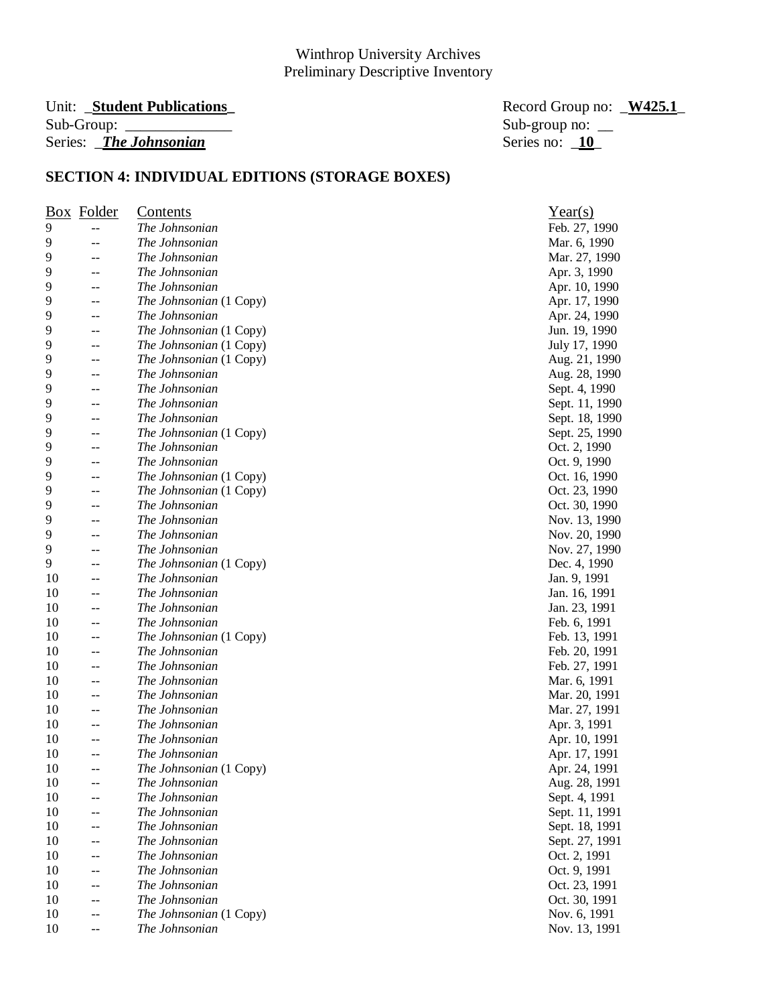#### Unit: **\_Student Publications**<br>
Record Group no: <u>\_W425.1</u> Sub-Group: \_\_\_\_\_\_\_\_\_\_\_\_\_\_ Sub-group no: \_\_ Series: *The Johnsonian* Series no: **10**

|    | Box Folder     | <b>Contents</b>         | Year(s)        |
|----|----------------|-------------------------|----------------|
| 9  | $-$            | The Johnsonian          | Feb. 27, 1990  |
| 9  | $-$            | The Johnsonian          | Mar. 6, 1990   |
| 9  | $-$            | The Johnsonian          | Mar. 27, 1990  |
| 9  |                | The Johnsonian          | Apr. 3, 1990   |
| 9  | --             | The Johnsonian          | Apr. 10, 1990  |
| 9  | --             | The Johnsonian (1 Copy) | Apr. 17, 1990  |
| 9  | $- -$          | The Johnsonian          | Apr. 24, 1990  |
| 9  | $- -$          | The Johnsonian (1 Copy) | Jun. 19, 1990  |
| 9  | --             | The Johnsonian (1 Copy) | July 17, 1990  |
| 9  | --             | The Johnsonian (1 Copy) | Aug. 21, 1990  |
| 9  | $-$            | The Johnsonian          | Aug. 28, 1990  |
| 9  | $-$            | The Johnsonian          | Sept. 4, 1990  |
| 9  | --             | The Johnsonian          | Sept. 11, 1990 |
| 9  | $-$            | The Johnsonian          | Sept. 18, 1990 |
| 9  | --             | The Johnsonian (1 Copy) | Sept. 25, 1990 |
| 9  | --             | The Johnsonian          | Oct. 2, 1990   |
| 9  | $\overline{a}$ | The Johnsonian          | Oct. 9, 1990   |
| 9  | --             | The Johnsonian (1 Copy) | Oct. 16, 1990  |
| 9  | $- -$          | The Johnsonian (1 Copy) | Oct. 23, 1990  |
| 9  | --             | The Johnsonian          | Oct. 30, 1990  |
| 9  | $-$            | The Johnsonian          | Nov. 13, 1990  |
| 9  |                | The Johnsonian          | Nov. 20, 1990  |
| 9  | --             | The Johnsonian          | Nov. 27, 1990  |
| 9  |                | The Johnsonian (1 Copy) | Dec. 4, 1990   |
| 10 | $-$            | The Johnsonian          | Jan. 9, 1991   |
| 10 | $-$            | The Johnsonian          | Jan. 16, 1991  |
| 10 | $\overline{a}$ | The Johnsonian          | Jan. 23, 1991  |
| 10 | --             | The Johnsonian          | Feb. 6, 1991   |
| 10 | --             | The Johnsonian (1 Copy) | Feb. 13, 1991  |
| 10 | --             | The Johnsonian          | Feb. 20, 1991  |
| 10 | --             | The Johnsonian          | Feb. 27, 1991  |
| 10 | $- -$          | The Johnsonian          | Mar. 6, 1991   |
| 10 | --             | The Johnsonian          | Mar. 20, 1991  |
| 10 | --             | The Johnsonian          | Mar. 27, 1991  |
| 10 | $-$            | The Johnsonian          | Apr. 3, 1991   |
| 10 | $-$            | The Johnsonian          | Apr. 10, 1991  |
| 10 | --             | The Johnsonian          | Apr. 17, 1991  |
| 10 | $- -$          | The Johnsonian (1 Copy) | Apr. 24, 1991  |
| 10 |                | The Johnsonian          | Aug. 28, 1991  |
| 10 |                | The Johnsonian          | Sept. 4, 1991  |
| 10 |                | The Johnsonian          | Sept. 11, 1991 |
| 10 |                | The Johnsonian          | Sept. 18, 1991 |
| 10 | --             | The Johnsonian          | Sept. 27, 1991 |
| 10 | $-$            | The Johnsonian          | Oct. 2, 1991   |
| 10 |                | The Johnsonian          | Oct. 9, 1991   |
| 10 |                | The Johnsonian          | Oct. 23, 1991  |
| 10 | --             | The Johnsonian          | Oct. 30, 1991  |
| 10 | --             | The Johnsonian (1 Copy) | Nov. 6, 1991   |
| 10 | --             | The Johnsonian          | Nov. 13, 1991  |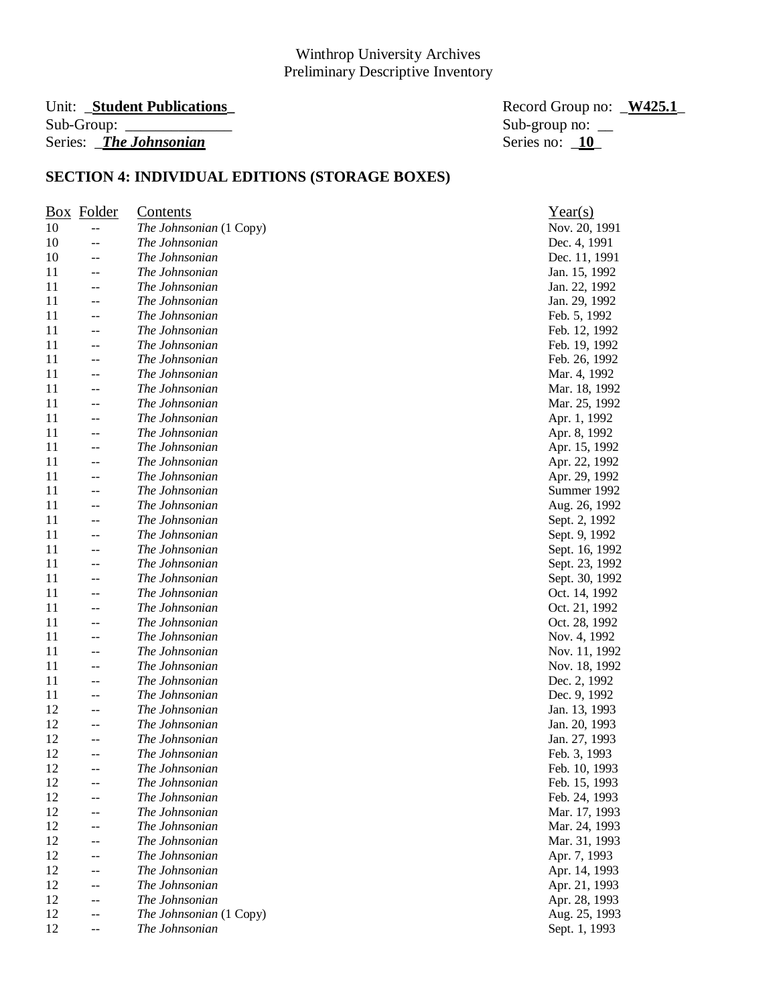#### Unit: **\_Student Publications**  $Sub-Group:$ Series: *\_The Johnsonian*

| Record Group no: W425.1 |  |
|-------------------------|--|
| Sub-group no: $\_\_$    |  |
| Series no: 10           |  |

|    | Box Folder | <b>Contents</b>         | Year(s)        |
|----|------------|-------------------------|----------------|
| 10 | $-$        | The Johnsonian (1 Copy) | Nov. 20, 1991  |
| 10 | --         | The Johnsonian          | Dec. 4, 1991   |
| 10 | $-$        | The Johnsonian          | Dec. 11, 1991  |
| 11 | $-$        | The Johnsonian          | Jan. 15, 1992  |
| 11 | $-$        | The Johnsonian          | Jan. 22, 1992  |
| 11 | $-$        | The Johnsonian          | Jan. 29, 1992  |
| 11 | $-$        | The Johnsonian          | Feb. 5, 1992   |
| 11 | $-$        | The Johnsonian          | Feb. 12, 1992  |
| 11 | --         | The Johnsonian          | Feb. 19, 1992  |
| 11 | --         | The Johnsonian          | Feb. 26, 1992  |
| 11 | $-$        | The Johnsonian          | Mar. 4, 1992   |
| 11 | $-$        | The Johnsonian          | Mar. 18, 1992  |
| 11 | $-$        | The Johnsonian          | Mar. 25, 1992  |
| 11 | $-$        | The Johnsonian          | Apr. 1, 1992   |
| 11 | --         | The Johnsonian          | Apr. 8, 1992   |
| 11 | $-$        | The Johnsonian          | Apr. 15, 1992  |
| 11 | $-$        | The Johnsonian          | Apr. 22, 1992  |
| 11 | --         | The Johnsonian          | Apr. 29, 1992  |
| 11 | $-$        | The Johnsonian          | Summer 1992    |
| 11 | $-$        | The Johnsonian          | Aug. 26, 1992  |
| 11 | --         | The Johnsonian          | Sept. 2, 1992  |
| 11 | --         | The Johnsonian          | Sept. 9, 1992  |
| 11 | --         | The Johnsonian          | Sept. 16, 1992 |
| 11 | $-$        | The Johnsonian          | Sept. 23, 1992 |
| 11 | $-$        | The Johnsonian          | Sept. 30, 1992 |
| 11 | $-$        | The Johnsonian          | Oct. 14, 1992  |
| 11 | $-$        | The Johnsonian          | Oct. 21, 1992  |
| 11 | $-$        | The Johnsonian          | Oct. 28, 1992  |
| 11 | $-$        | The Johnsonian          | Nov. 4, 1992   |
| 11 | --         | The Johnsonian          | Nov. 11, 1992  |
| 11 | $-$        | The Johnsonian          | Nov. 18, 1992  |
| 11 | $-$        | The Johnsonian          | Dec. 2, 1992   |
| 11 | --         | The Johnsonian          | Dec. 9, 1992   |
| 12 | --         | The Johnsonian          | Jan. 13, 1993  |
| 12 | --         | The Johnsonian          | Jan. 20, 1993  |
| 12 | --         | The Johnsonian          | Jan. 27, 1993  |
| 12 | --         | The Johnsonian          | Feb. 3, 1993   |
| 12 | --         | The Johnsonian          | Feb. 10, 1993  |
| 12 | --         | The Johnsonian          | Feb. 15, 1993  |
| 12 |            | The Johnsonian          | Feb. 24, 1993  |
| 12 | $-$        | The Johnsonian          | Mar. 17, 1993  |
| 12 | --         | The Johnsonian          | Mar. 24, 1993  |
| 12 | --         | The Johnsonian          | Mar. 31, 1993  |
| 12 | $-$        | The Johnsonian          | Apr. 7, 1993   |
| 12 | --         | The Johnsonian          | Apr. 14, 1993  |
| 12 | --         | The Johnsonian          | Apr. 21, 1993  |
| 12 | --         | The Johnsonian          | Apr. 28, 1993  |
| 12 | --         | The Johnsonian (1 Copy) | Aug. 25, 1993  |
| 12 | $-$        | The Johnsonian          | Sept. 1, 1993  |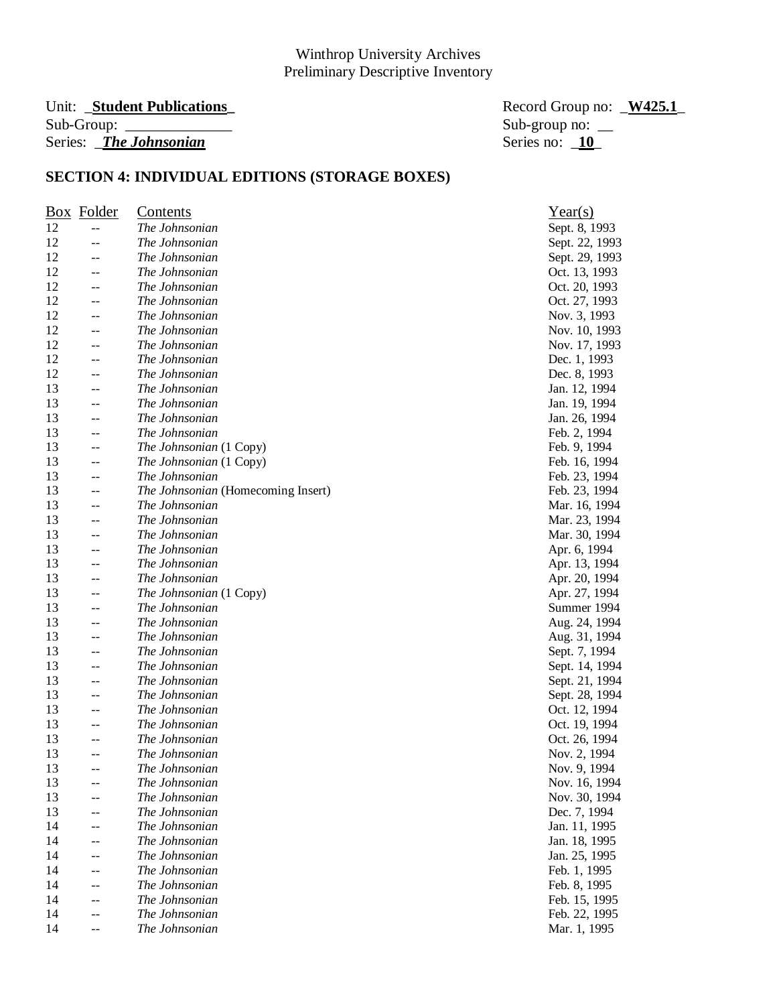# Sub-Group: \_\_\_\_\_\_\_\_\_\_\_\_\_\_ Sub-group no: \_\_ Series: *\_The Johnsonian*

Unit: \_**Student Publications\_** Record Group no: \_**W425.1**\_

|    | Box Folder                                    | Contents                           | Year(s)        |
|----|-----------------------------------------------|------------------------------------|----------------|
| 12 | $-$                                           | The Johnsonian                     | Sept. 8, 1993  |
| 12 | --                                            | The Johnsonian                     | Sept. 22, 1993 |
| 12 | --                                            | The Johnsonian                     | Sept. 29, 1993 |
| 12 | $-$                                           | The Johnsonian                     | Oct. 13, 1993  |
| 12 | $-$                                           | The Johnsonian                     | Oct. 20, 1993  |
| 12 | $-$                                           | The Johnsonian                     | Oct. 27, 1993  |
| 12 | --                                            | The Johnsonian                     | Nov. 3, 1993   |
| 12 | $\mathrel{{-}\mathrel{{-}}\mathrel{{-}}}$     | The Johnsonian                     | Nov. 10, 1993  |
| 12 | --                                            | The Johnsonian                     | Nov. 17, 1993  |
| 12 | $-$                                           | The Johnsonian                     | Dec. 1, 1993   |
| 12 | $-$                                           | The Johnsonian                     | Dec. 8, 1993   |
| 13 | $-$                                           | The Johnsonian                     | Jan. 12, 1994  |
| 13 | $\sim$                                        | The Johnsonian                     | Jan. 19, 1994  |
| 13 | $\mathrel{{-}\mathrel{{-}}\mathrel{{-}}}$     | The Johnsonian                     | Jan. 26, 1994  |
| 13 | --                                            | The Johnsonian                     | Feb. 2, 1994   |
| 13 | $-$                                           | The Johnsonian (1 Copy)            | Feb. 9, 1994   |
| 13 | $\mathrel{{-}-}$                              | The Johnsonian (1 Copy)            | Feb. 16, 1994  |
| 13 | $-$                                           | The Johnsonian                     | Feb. 23, 1994  |
| 13 | $\mathrel{{-}\mathrel{{-}}\mathrel{{-}}}$     | The Johnsonian (Homecoming Insert) | Feb. 23, 1994  |
| 13 | $\mathord{\hspace{1pt}\text{--}\hspace{1pt}}$ | The Johnsonian                     | Mar. 16, 1994  |
| 13 | $-$                                           | The Johnsonian                     | Mar. 23, 1994  |
| 13 | $-$                                           | The Johnsonian                     | Mar. 30, 1994  |
| 13 | $-$                                           | The Johnsonian                     | Apr. 6, 1994   |
| 13 | $-$                                           | The Johnsonian                     | Apr. 13, 1994  |
| 13 | --                                            | The Johnsonian                     | Apr. 20, 1994  |
| 13 | $-$                                           | The Johnsonian (1 Copy)            | Apr. 27, 1994  |
| 13 | --                                            | The Johnsonian                     | Summer 1994    |
| 13 | $-$                                           | The Johnsonian                     | Aug. 24, 1994  |
| 13 | $-$                                           | The Johnsonian                     | Aug. 31, 1994  |
| 13 | --                                            | The Johnsonian                     | Sept. 7, 1994  |
| 13 | $-$                                           | The Johnsonian                     | Sept. 14, 1994 |
| 13 | $\mathord{\hspace{1pt}\text{--}\hspace{1pt}}$ | The Johnsonian                     | Sept. 21, 1994 |
| 13 | --                                            | The Johnsonian                     | Sept. 28, 1994 |
| 13 | $-$                                           | The Johnsonian                     | Oct. 12, 1994  |
| 13 | $-$                                           | The Johnsonian                     | Oct. 19, 1994  |
| 13 | $-$                                           | The Johnsonian                     | Oct. 26, 1994  |
| 13 | $-$                                           | The Johnsonian                     | Nov. 2, 1994   |
| 13 | $\overline{\phantom{m}}$                      | The Johnsonian                     | Nov. 9, 1994   |
| 13 |                                               | The Johnsonian                     | Nov. 16, 1994  |
| 13 |                                               | The Johnsonian                     | Nov. 30, 1994  |
| 13 | $-$                                           | The Johnsonian                     | Dec. 7, 1994   |
| 14 | $-$                                           | The Johnsonian                     | Jan. 11, 1995  |
| 14 | --                                            | The Johnsonian                     | Jan. 18, 1995  |
| 14 | --                                            | The Johnsonian                     | Jan. 25, 1995  |
| 14 |                                               | The Johnsonian                     | Feb. 1, 1995   |
| 14 |                                               | The Johnsonian                     | Feb. 8, 1995   |
| 14 | --                                            | The Johnsonian                     | Feb. 15, 1995  |
| 14 | --                                            | The Johnsonian                     | Feb. 22, 1995  |
| 14 | --                                            | The Johnsonian                     | Mar. 1, 1995   |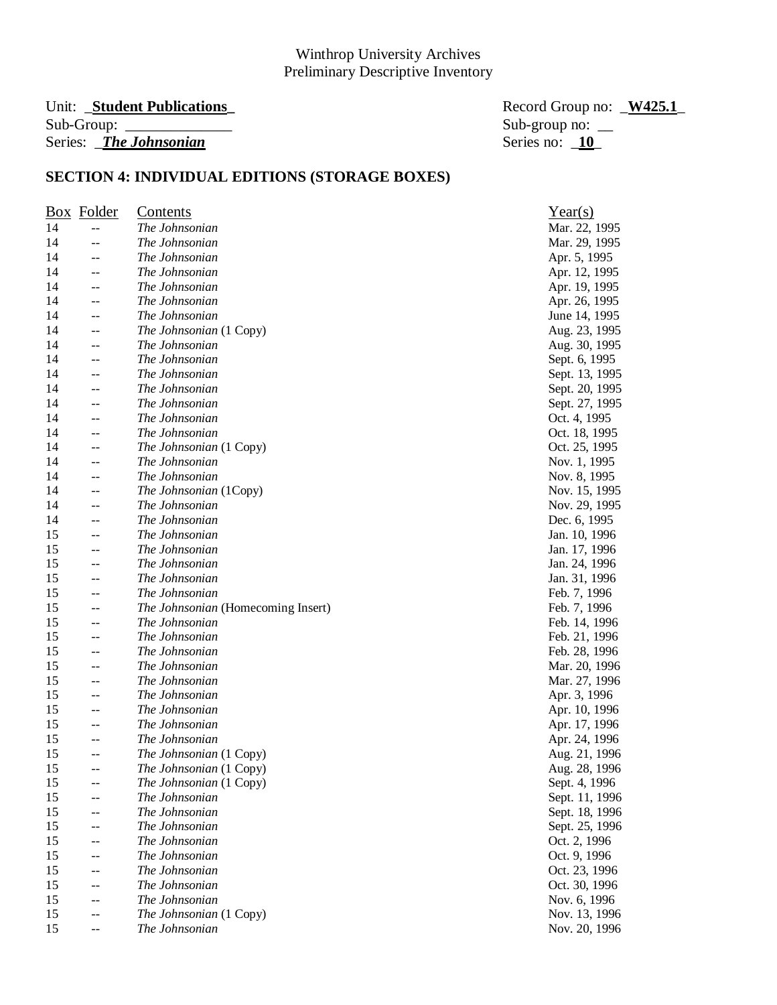#### Unit: **\_Student Publications**  $Sub-Group:$ Series: *\_The Johnsonian*

| Record Group no: W425.1 |  |
|-------------------------|--|
| Sub-group no: $\_\_$    |  |
| Series no: 10           |  |

|    | <b>Box</b> Folder                             | Contents                           | Year(s)        |
|----|-----------------------------------------------|------------------------------------|----------------|
| 14 | $-$                                           | The Johnsonian                     | Mar. 22, 1995  |
| 14 | --                                            | The Johnsonian                     | Mar. 29, 1995  |
| 14 | --                                            | The Johnsonian                     | Apr. 5, 1995   |
| 14 | --                                            | The Johnsonian                     | Apr. 12, 1995  |
| 14 | $-$                                           | The Johnsonian                     | Apr. 19, 1995  |
| 14 | --                                            | The Johnsonian                     | Apr. 26, 1995  |
| 14 | --                                            | The Johnsonian                     | June 14, 1995  |
| 14 | $\mathord{\hspace{1pt}\text{--}\hspace{1pt}}$ | The Johnsonian (1 Copy)            | Aug. 23, 1995  |
| 14 | --                                            | The Johnsonian                     | Aug. 30, 1995  |
| 14 | $-$                                           | The Johnsonian                     | Sept. 6, 1995  |
| 14 | $-$                                           | The Johnsonian                     | Sept. 13, 1995 |
| 14 | $-$                                           | The Johnsonian                     | Sept. 20, 1995 |
| 14 | $-$                                           | The Johnsonian                     | Sept. 27, 1995 |
| 14 | $\mathrel{{-}\mathrel{{-}}\mathrel{{-}}}$     | The Johnsonian                     | Oct. 4, 1995   |
| 14 | $-$                                           | The Johnsonian                     | Oct. 18, 1995  |
| 14 | $-$                                           | The Johnsonian (1 Copy)            | Oct. 25, 1995  |
| 14 | $-$                                           | The Johnsonian                     | Nov. 1, 1995   |
| 14 | $-$                                           | The Johnsonian                     | Nov. 8, 1995   |
| 14 | $-$                                           | The Johnsonian (1Copy)             | Nov. 15, 1995  |
| 14 | $\mathord{\hspace{1pt}\text{--}\hspace{1pt}}$ | The Johnsonian                     | Nov. 29, 1995  |
| 14 | $-$                                           | The Johnsonian                     | Dec. 6, 1995   |
| 15 | --                                            | The Johnsonian                     | Jan. 10, 1996  |
| 15 | $-$                                           | The Johnsonian                     | Jan. 17, 1996  |
| 15 | $-$                                           | The Johnsonian                     | Jan. 24, 1996  |
| 15 | --                                            | The Johnsonian                     | Jan. 31, 1996  |
| 15 | $-$                                           | The Johnsonian                     | Feb. 7, 1996   |
| 15 | --                                            | The Johnsonian (Homecoming Insert) | Feb. 7, 1996   |
| 15 | --                                            | The Johnsonian                     | Feb. 14, 1996  |
| 15 | --                                            | The Johnsonian                     | Feb. 21, 1996  |
| 15 | --                                            | The Johnsonian                     | Feb. 28, 1996  |
| 15 | $-$                                           | The Johnsonian                     | Mar. 20, 1996  |
| 15 | $-$                                           | The Johnsonian                     | Mar. 27, 1996  |
| 15 | --                                            | The Johnsonian                     | Apr. 3, 1996   |
| 15 | --                                            | The Johnsonian                     | Apr. 10, 1996  |
| 15 | $-$                                           | The Johnsonian                     | Apr. 17, 1996  |
| 15 | $-$                                           | The Johnsonian                     | Apr. 24, 1996  |
| 15 | $\overline{\phantom{m}}$                      | The Johnsonian (1 Copy)            | Aug. 21, 1996  |
| 15 | --                                            | The Johnsonian (1 Copy)            | Aug. 28, 1996  |
| 15 |                                               | The Johnsonian (1 Copy)            | Sept. 4, 1996  |
| 15 |                                               | The Johnsonian                     | Sept. 11, 1996 |
| 15 | --                                            | The Johnsonian                     | Sept. 18, 1996 |
| 15 | --                                            | The Johnsonian                     | Sept. 25, 1996 |
| 15 | --                                            | The Johnsonian                     | Oct. 2, 1996   |
| 15 | --                                            | The Johnsonian                     | Oct. 9, 1996   |
| 15 |                                               | The Johnsonian                     | Oct. 23, 1996  |
| 15 |                                               | The Johnsonian                     | Oct. 30, 1996  |
| 15 | --                                            | The Johnsonian                     | Nov. 6, 1996   |
| 15 | --                                            | The Johnsonian (1 Copy)            | Nov. 13, 1996  |
| 15 | --                                            | The Johnsonian                     | Nov. 20, 1996  |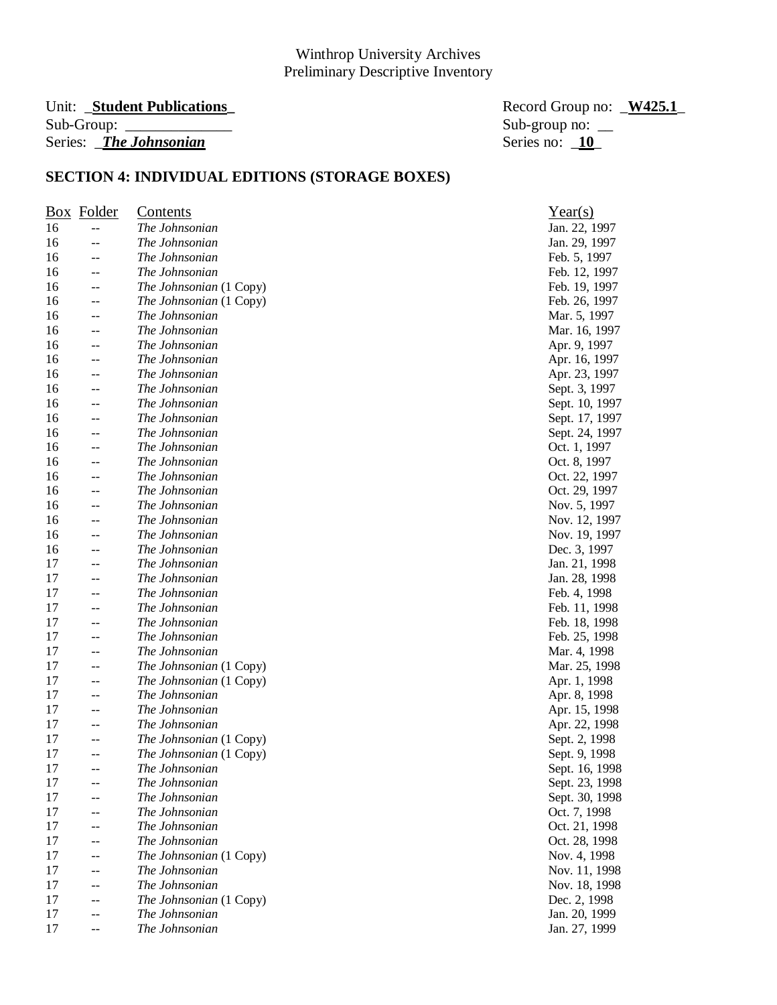#### Unit: **\_Student Publications** Sub-Group: Series: *\_The Johnsonian*

| Record Group no: W425.1 |  |
|-------------------------|--|
| Sub-group no: $\_\_$    |  |
| Series no: 10           |  |

|    | <b>Box</b> Folder                             | <u>Contents</u>         | Year(s)        |
|----|-----------------------------------------------|-------------------------|----------------|
| 16 | $\mathord{\hspace{1pt}\text{--}\hspace{1pt}}$ | The Johnsonian          | Jan. 22, 1997  |
| 16 | $-$                                           | The Johnsonian          | Jan. 29, 1997  |
| 16 | $-$                                           | The Johnsonian          | Feb. 5, 1997   |
| 16 | $\mathord{\hspace{1pt}\text{--}\hspace{1pt}}$ | The Johnsonian          | Feb. 12, 1997  |
| 16 | $\mathord{\hspace{1pt}\text{--}\hspace{1pt}}$ | The Johnsonian (1 Copy) | Feb. 19, 1997  |
| 16 | $\mathord{\hspace{1pt}\text{--}\hspace{1pt}}$ | The Johnsonian (1 Copy) | Feb. 26, 1997  |
| 16 | $\mathord{\hspace{1pt}\text{--}\hspace{1pt}}$ | The Johnsonian          | Mar. 5, 1997   |
| 16 | $\mathord{\hspace{1pt}\text{--}\hspace{1pt}}$ | The Johnsonian          | Mar. 16, 1997  |
| 16 | --                                            | The Johnsonian          | Apr. 9, 1997   |
| 16 | $\mathord{\hspace{1pt}\text{--}\hspace{1pt}}$ | The Johnsonian          | Apr. 16, 1997  |
| 16 | $-$                                           | The Johnsonian          | Apr. 23, 1997  |
| 16 | $-$                                           | The Johnsonian          | Sept. 3, 1997  |
| 16 | $\mathord{\hspace{1pt}\text{--}\hspace{1pt}}$ | The Johnsonian          | Sept. 10, 1997 |
| 16 | $\overline{\phantom{a}}$                      | The Johnsonian          | Sept. 17, 1997 |
| 16 | --                                            | The Johnsonian          | Sept. 24, 1997 |
| 16 | $\mathord{\hspace{1pt}\text{--}\hspace{1pt}}$ | The Johnsonian          | Oct. 1, 1997   |
| 16 | $-$                                           | The Johnsonian          | Oct. 8, 1997   |
| 16 | --                                            | The Johnsonian          | Oct. 22, 1997  |
| 16 | $\overline{\phantom{a}}$                      | The Johnsonian          | Oct. 29, 1997  |
| 16 | $\mathord{\hspace{1pt}\text{--}\hspace{1pt}}$ | The Johnsonian          | Nov. 5, 1997   |
| 16 | --                                            | The Johnsonian          | Nov. 12, 1997  |
| 16 | $-$                                           | The Johnsonian          | Nov. 19, 1997  |
| 16 | $-$                                           | The Johnsonian          | Dec. 3, 1997   |
| 17 | $-$                                           | The Johnsonian          | Jan. 21, 1998  |
| 17 | $-$                                           | The Johnsonian          | Jan. 28, 1998  |
| 17 | $\mathrel{{-}-}$                              | The Johnsonian          | Feb. 4, 1998   |
| 17 | $-$                                           | The Johnsonian          | Feb. 11, 1998  |
| 17 | $\mathord{\hspace{1pt}\text{--}\hspace{1pt}}$ | The Johnsonian          | Feb. 18, 1998  |
| 17 | $-$                                           | The Johnsonian          | Feb. 25, 1998  |
| 17 | --                                            | The Johnsonian          | Mar. 4, 1998   |
| 17 | $\mathord{\hspace{1pt}\text{--}\hspace{1pt}}$ | The Johnsonian (1 Copy) | Mar. 25, 1998  |
| 17 | $\mathord{\hspace{1pt}\text{--}\hspace{1pt}}$ | The Johnsonian (1 Copy) | Apr. 1, 1998   |
| 17 | --                                            | The Johnsonian          | Apr. 8, 1998   |
| 17 | --                                            | The Johnsonian          | Apr. 15, 1998  |
| 17 | $-$                                           | The Johnsonian          | Apr. 22, 1998  |
| 17 | $-$                                           | The Johnsonian (1 Copy) | Sept. 2, 1998  |
| 17 | $\mathrel{{-}-}$                              | The Johnsonian (1 Copy) | Sept. 9, 1998  |
| 17 | --                                            | The Johnsonian          | Sept. 16, 1998 |
| 17 |                                               | The Johnsonian          | Sept. 23, 1998 |
| 17 |                                               | The Johnsonian          | Sept. 30, 1998 |
| 17 | $-$                                           | The Johnsonian          | Oct. 7, 1998   |
| 17 | $-$                                           | The Johnsonian          | Oct. 21, 1998  |
| 17 | --                                            | The Johnsonian          | Oct. 28, 1998  |
| 17 | $-\,-$                                        | The Johnsonian (1 Copy) | Nov. 4, 1998   |
| 17 |                                               | The Johnsonian          | Nov. 11, 1998  |
| 17 | --                                            | The Johnsonian          | Nov. 18, 1998  |
| 17 | --                                            | The Johnsonian (1 Copy) | Dec. 2, 1998   |
| 17 | --                                            | The Johnsonian          | Jan. 20, 1999  |
| 17 | $-$                                           | The Johnsonian          | Jan. 27, 1999  |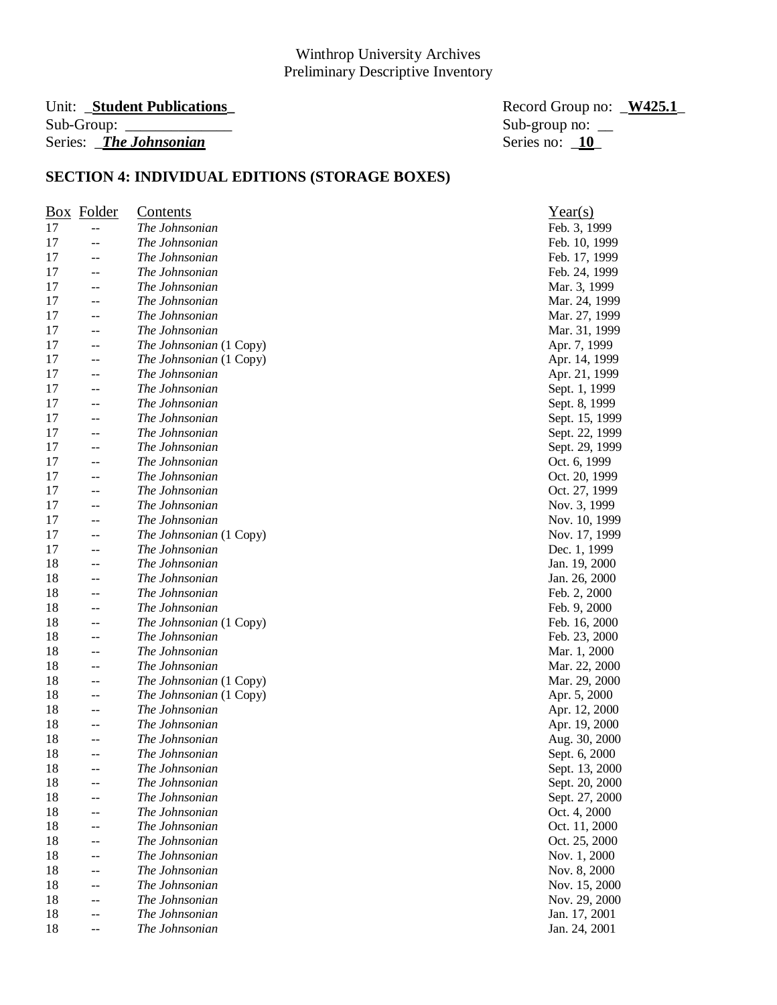#### Unit: **\_Student Publications**<br>
Record Group no: <u>\_W425.1</u> Sub-Group: \_\_\_\_\_\_\_\_\_\_\_\_\_\_ Sub-group no: \_\_ Series: *The Johnsonian* Series no: **10**

|    | Box Folder               | <b>Contents</b>         | Year(s)        |
|----|--------------------------|-------------------------|----------------|
| 17 | --                       | The Johnsonian          | Feb. 3, 1999   |
| 17 | $-$                      | The Johnsonian          | Feb. 10, 1999  |
| 17 | --                       | The Johnsonian          | Feb. 17, 1999  |
| 17 | --                       | The Johnsonian          | Feb. 24, 1999  |
| 17 | $-$                      | The Johnsonian          | Mar. 3, 1999   |
| 17 | $-$                      | The Johnsonian          | Mar. 24, 1999  |
| 17 | $-$                      | The Johnsonian          | Mar. 27, 1999  |
| 17 | $-$                      | The Johnsonian          | Mar. 31, 1999  |
| 17 | --                       | The Johnsonian (1 Copy) | Apr. 7, 1999   |
| 17 | $\overline{\phantom{a}}$ | The Johnsonian (1 Copy) | Apr. 14, 1999  |
| 17 | --                       | The Johnsonian          | Apr. 21, 1999  |
| 17 | $-$                      | The Johnsonian          | Sept. 1, 1999  |
| 17 | $-$                      | The Johnsonian          | Sept. 8, 1999  |
| 17 | $-$                      | The Johnsonian          | Sept. 15, 1999 |
| 17 | --                       | The Johnsonian          | Sept. 22, 1999 |
| 17 | $-$                      | The Johnsonian          | Sept. 29, 1999 |
| 17 | $-$                      | The Johnsonian          | Oct. 6, 1999   |
| 17 | $\overline{a}$           | The Johnsonian          | Oct. 20, 1999  |
| 17 | $-$                      | The Johnsonian          | Oct. 27, 1999  |
| 17 | $--$                     | The Johnsonian          | Nov. 3, 1999   |
| 17 | --                       | The Johnsonian          | Nov. 10, 1999  |
| 17 | --                       | The Johnsonian (1 Copy) | Nov. 17, 1999  |
| 17 | --                       | The Johnsonian          | Dec. 1, 1999   |
| 18 |                          | The Johnsonian          | Jan. 19, 2000  |
| 18 | $-$                      | The Johnsonian          | Jan. 26, 2000  |
| 18 | $-$                      | The Johnsonian          | Feb. 2, 2000   |
| 18 | --                       | The Johnsonian          | Feb. 9, 2000   |
| 18 | --                       | The Johnsonian (1 Copy) | Feb. 16, 2000  |
| 18 | --                       | The Johnsonian          | Feb. 23, 2000  |
| 18 | --                       | The Johnsonian          | Mar. 1, 2000   |
| 18 | --                       | The Johnsonian          | Mar. 22, 2000  |
| 18 | $\overline{\phantom{a}}$ | The Johnsonian (1 Copy) | Mar. 29, 2000  |
| 18 | --                       | The Johnsonian (1 Copy) | Apr. 5, 2000   |
| 18 | --                       | The Johnsonian          | Apr. 12, 2000  |
| 18 | --                       | The Johnsonian          | Apr. 19, 2000  |
| 18 | $-$                      | The Johnsonian          | Aug. 30, 2000  |
| 18 | --                       | The Johnsonian          | Sept. 6, 2000  |
| 18 | $\sim$ $\sim$            | The Johnsonian          | Sept. 13, 2000 |
| 18 |                          | The Johnsonian          | Sept. 20, 2000 |
| 18 |                          | The Johnsonian          | Sept. 27, 2000 |
| 18 |                          | The Johnsonian          | Oct. 4, 2000   |
| 18 |                          | The Johnsonian          | Oct. 11, 2000  |
| 18 |                          | The Johnsonian          | Oct. 25, 2000  |
| 18 | --                       | The Johnsonian          | Nov. 1, 2000   |
| 18 |                          | The Johnsonian          | Nov. 8, 2000   |
| 18 |                          | The Johnsonian          | Nov. 15, 2000  |
| 18 |                          | The Johnsonian          | Nov. 29, 2000  |
| 18 |                          | The Johnsonian          | Jan. 17, 2001  |
| 18 | --                       | The Johnsonian          | Jan. 24, 2001  |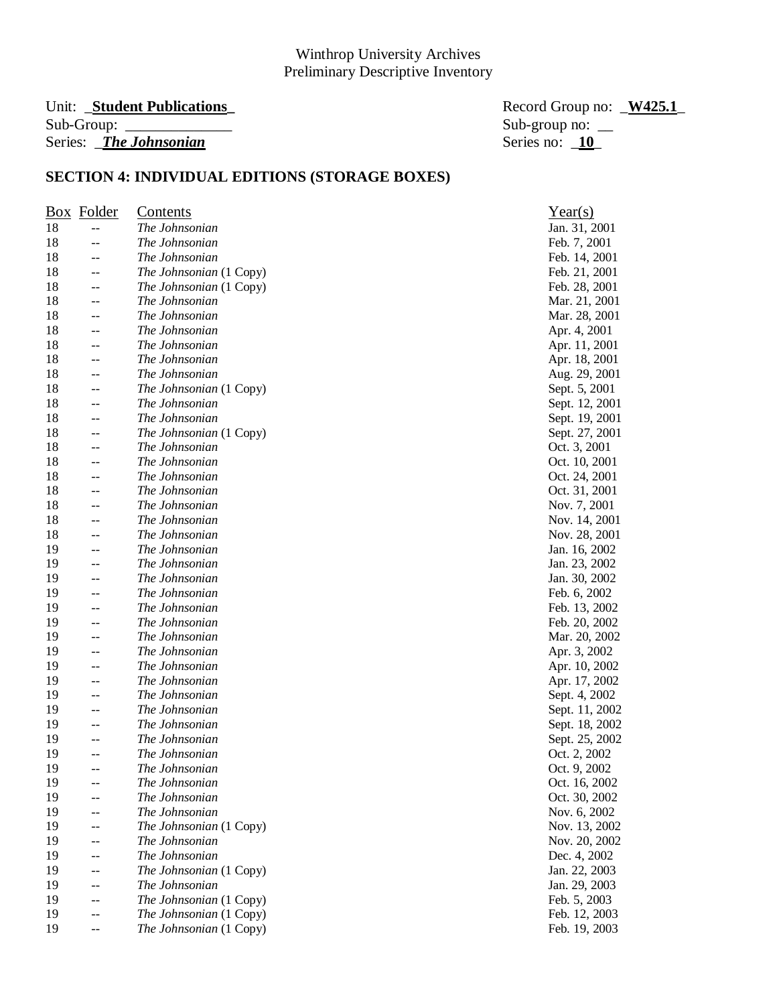# Series: *\_The Johnsonian*

Unit: \_**Student Publications\_** Record Group no: \_**W425.1**\_ Sub-group no:  $\frac{\text{Sub}}{\text{Series}}$  no:  $\frac{10}{10}$ 

|    | <u>Box</u> Folder                             | Contents                | Year(s)        |
|----|-----------------------------------------------|-------------------------|----------------|
| 18 | $\mathord{\hspace{1pt}\text{--}\hspace{1pt}}$ | The Johnsonian          | Jan. 31, 2001  |
| 18 | $-$                                           | The Johnsonian          | Feb. 7, 2001   |
| 18 | --                                            | The Johnsonian          | Feb. 14, 2001  |
| 18 | $-$                                           | The Johnsonian (1 Copy) | Feb. 21, 2001  |
| 18 | $-$                                           | The Johnsonian (1 Copy) | Feb. 28, 2001  |
| 18 | $-$                                           | The Johnsonian          | Mar. 21, 2001  |
| 18 | $\mathord{\hspace{1pt}\text{--}\hspace{1pt}}$ | The Johnsonian          | Mar. 28, 2001  |
| 18 | $\mathord{\hspace{1pt}\text{--}\hspace{1pt}}$ | The Johnsonian          | Apr. 4, 2001   |
| 18 | --                                            | The Johnsonian          | Apr. 11, 2001  |
| 18 | --                                            | The Johnsonian          | Apr. 18, 2001  |
| 18 | $\mathord{\hspace{1pt}\text{--}\hspace{1pt}}$ | The Johnsonian          | Aug. 29, 2001  |
| 18 | --                                            | The Johnsonian (1 Copy) | Sept. 5, 2001  |
| 18 | $-$                                           | The Johnsonian          | Sept. 12, 2001 |
| 18 | $\mathord{\hspace{1pt}\text{--}\hspace{1pt}}$ | The Johnsonian          | Sept. 19, 2001 |
| 18 | $\mathord{\hspace{1pt}\text{--}\hspace{1pt}}$ | The Johnsonian (1 Copy) | Sept. 27, 2001 |
| 18 | $\mathord{\hspace{1pt}\text{--}\hspace{1pt}}$ | The Johnsonian          | Oct. 3, 2001   |
| 18 | $\mathord{\hspace{1pt}\text{--}\hspace{1pt}}$ | The Johnsonian          | Oct. 10, 2001  |
| 18 | --                                            | The Johnsonian          | Oct. 24, 2001  |
| 18 | $\mathord{\hspace{1pt}\text{--}\hspace{1pt}}$ | The Johnsonian          | Oct. 31, 2001  |
| 18 | $\mathord{\hspace{1pt}\text{--}\hspace{1pt}}$ | The Johnsonian          | Nov. 7, 2001   |
| 18 | --                                            | The Johnsonian          | Nov. 14, 2001  |
| 18 | --                                            | The Johnsonian          | Nov. 28, 2001  |
| 19 | $-$                                           | The Johnsonian          | Jan. 16, 2002  |
| 19 | $-$                                           | The Johnsonian          | Jan. 23, 2002  |
| 19 | $-$                                           | The Johnsonian          | Jan. 30, 2002  |
| 19 | $-$                                           | The Johnsonian          | Feb. 6, 2002   |
| 19 | $-$                                           | The Johnsonian          | Feb. 13, 2002  |
| 19 | $-$                                           | The Johnsonian          | Feb. 20, 2002  |
| 19 | --                                            | The Johnsonian          | Mar. 20, 2002  |
| 19 | $-$                                           | The Johnsonian          | Apr. 3, 2002   |
| 19 | $\mathord{\hspace{1pt}\text{--}\hspace{1pt}}$ | The Johnsonian          | Apr. 10, 2002  |
| 19 | $\mathord{\hspace{1pt}\text{--}\hspace{1pt}}$ | The Johnsonian          | Apr. 17, 2002  |
| 19 | --                                            | The Johnsonian          | Sept. 4, 2002  |
| 19 | --                                            | The Johnsonian          | Sept. 11, 2002 |
| 19 | --                                            | The Johnsonian          | Sept. 18, 2002 |
| 19 | --                                            | The Johnsonian          | Sept. 25, 2002 |
| 19 | --                                            | The Johnsonian          | Oct. 2, 2002   |
| 19 | --                                            | The Johnsonian          | Oct. 9, 2002   |
| 19 |                                               | The Johnsonian          | Oct. 16, 2002  |
| 19 |                                               | The Johnsonian          | Oct. 30, 2002  |
| 19 | --                                            | The Johnsonian          | Nov. 6, 2002   |
| 19 | --                                            | The Johnsonian (1 Copy) | Nov. 13, 2002  |
| 19 | --                                            | The Johnsonian          | Nov. 20, 2002  |
| 19 | --                                            | The Johnsonian          | Dec. 4, 2002   |
| 19 | --                                            | The Johnsonian (1 Copy) | Jan. 22, 2003  |
| 19 | --                                            | The Johnsonian          | Jan. 29, 2003  |
| 19 | $-$                                           | The Johnsonian (1 Copy) | Feb. 5, 2003   |
| 19 | --                                            | The Johnsonian (1 Copy) | Feb. 12, 2003  |
| 19 | $-$                                           | The Johnsonian (1 Copy) | Feb. 19, 2003  |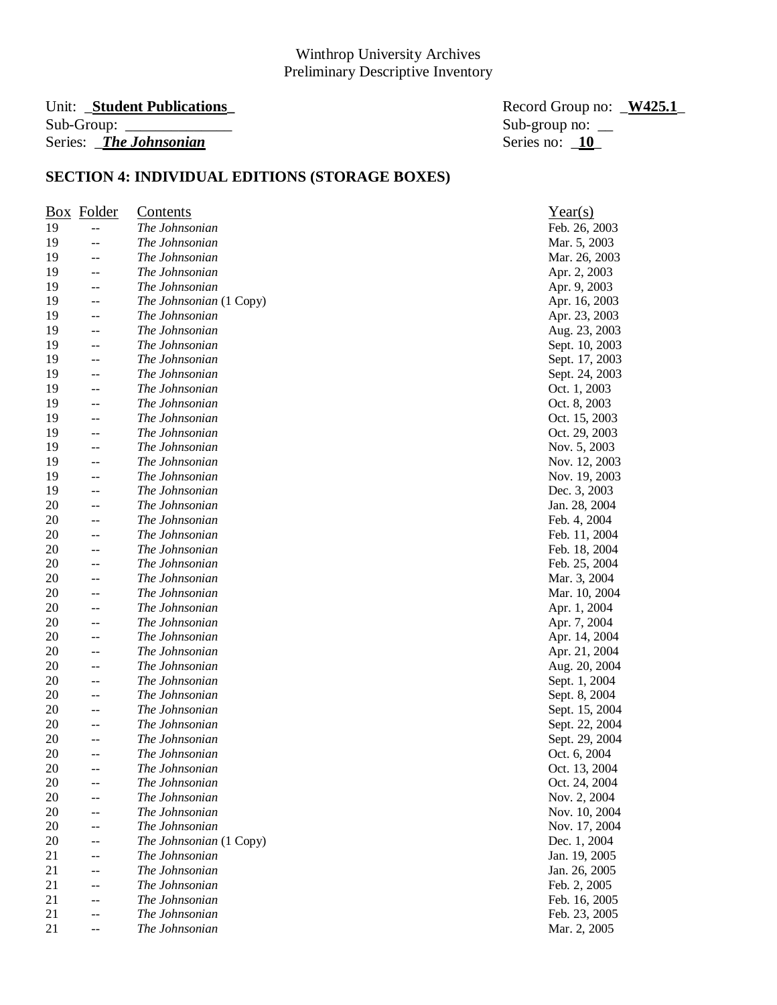#### Unit: \_**Student Publications\_** Record Group no: \_**W425.1**\_ Sub-Group: \_\_\_\_\_\_\_\_\_\_\_\_\_\_ Sub-group no: \_\_ Series: *\_The Johnsonian*

|    | <b>Box</b> Folder | <u>Contents</u>         | Year(s)        |
|----|-------------------|-------------------------|----------------|
| 19 | $-$               | The Johnsonian          | Feb. 26, 2003  |
| 19 | --                | The Johnsonian          | Mar. 5, 2003   |
| 19 | --                | The Johnsonian          | Mar. 26, 2003  |
| 19 | --                | The Johnsonian          | Apr. 2, 2003   |
| 19 | --                | The Johnsonian          | Apr. 9, 2003   |
| 19 | --                | The Johnsonian (1 Copy) | Apr. 16, 2003  |
| 19 | $- -$             | The Johnsonian          | Apr. 23, 2003  |
| 19 | $-$               | The Johnsonian          | Aug. 23, 2003  |
| 19 | --                | The Johnsonian          | Sept. 10, 2003 |
| 19 | --                | The Johnsonian          | Sept. 17, 2003 |
| 19 | --                | The Johnsonian          | Sept. 24, 2003 |
| 19 | --                | The Johnsonian          | Oct. 1, 2003   |
| 19 | --                | The Johnsonian          | Oct. 8, 2003   |
| 19 | $-$               | The Johnsonian          | Oct. 15, 2003  |
| 19 | $-$               | The Johnsonian          | Oct. 29, 2003  |
| 19 | --                | The Johnsonian          | Nov. 5, 2003   |
| 19 | $-$               | The Johnsonian          | Nov. 12, 2003  |
| 19 | --                | The Johnsonian          | Nov. 19, 2003  |
| 19 | $-$               | The Johnsonian          | Dec. 3, 2003   |
| 20 | $- -$             | The Johnsonian          | Jan. 28, 2004  |
| 20 | --                | The Johnsonian          | Feb. 4, 2004   |
| 20 | --                | The Johnsonian          | Feb. 11, 2004  |
| 20 | --                | The Johnsonian          | Feb. 18, 2004  |
| 20 | --                | The Johnsonian          | Feb. 25, 2004  |
| 20 | --                | The Johnsonian          | Mar. 3, 2004   |
| 20 | --                | The Johnsonian          | Mar. 10, 2004  |
| 20 | --                | The Johnsonian          | Apr. 1, 2004   |
| 20 | --                | The Johnsonian          | Apr. 7, 2004   |
| 20 | --                | The Johnsonian          | Apr. 14, 2004  |
| 20 | --                | The Johnsonian          | Apr. 21, 2004  |
| 20 | $-$               | The Johnsonian          | Aug. 20, 2004  |
| 20 | --                | The Johnsonian          | Sept. 1, 2004  |
| 20 | --                | The Johnsonian          | Sept. 8, 2004  |
| 20 | --                | The Johnsonian          | Sept. 15, 2004 |
| 20 | --                | The Johnsonian          | Sept. 22, 2004 |
| 20 | --                | The Johnsonian          | Sept. 29, 2004 |
| 20 | --                | The Johnsonian          | Oct. 6, 2004   |
| 20 | --                | The Johnsonian          | Oct. 13, 2004  |
| 20 | --                | The Johnsonian          | Oct. 24, 2004  |
| 20 |                   | The Johnsonian          | Nov. 2, 2004   |
| 20 | --                | The Johnsonian          | Nov. 10, 2004  |
| 20 | --                | The Johnsonian          | Nov. 17, 2004  |
| 20 | --                | The Johnsonian (1 Copy) | Dec. 1, 2004   |
| 21 | --                | The Johnsonian          | Jan. 19, 2005  |
| 21 | --                | The Johnsonian          | Jan. 26, 2005  |
| 21 | --                | The Johnsonian          | Feb. 2, 2005   |
| 21 | --                | The Johnsonian          | Feb. 16, 2005  |
| 21 | --                | The Johnsonian          | Feb. 23, 2005  |
| 21 | --                | The Johnsonian          | Mar. 2, 2005   |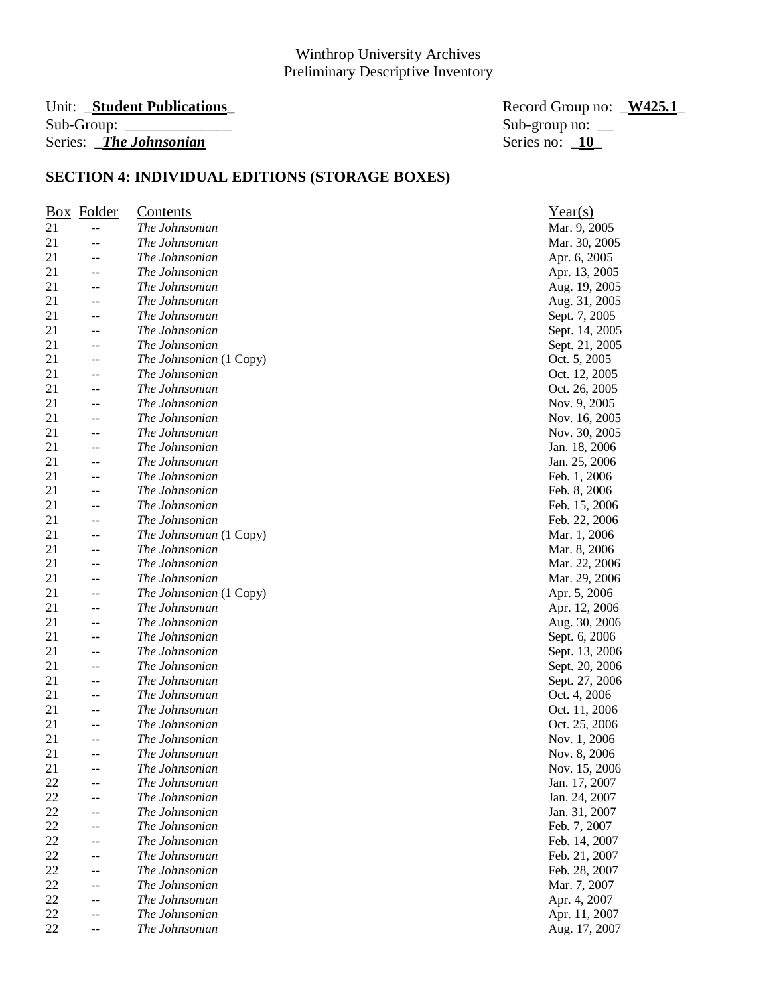#### Unit: **\_Student Publications**<br>
Record Group no: <u>\_W425.1</u> Sub-Group: \_\_\_\_\_\_\_\_\_\_\_\_\_\_ Sub-group no: \_\_ Series: *\_The Johnsonian*

|    | <b>Box</b> Folder        | <b>Contents</b>                           | Year(s)        |
|----|--------------------------|-------------------------------------------|----------------|
| 21 | $--$                     | The Johnsonian                            | Mar. 9, 2005   |
| 21 | --                       | The Johnsonian                            | Mar. 30, 2005  |
| 21 | --                       | The Johnsonian                            | Apr. 6, 2005   |
| 21 | --                       | The Johnsonian                            | Apr. 13, 2005  |
| 21 | $--$                     | The Johnsonian                            | Aug. 19, 2005  |
| 21 | $-$                      | The Johnsonian                            | Aug. 31, 2005  |
| 21 | $--$                     | The Johnsonian                            | Sept. 7, 2005  |
| 21 | $-$                      | The Johnsonian                            | Sept. 14, 2005 |
| 21 | $-$                      | The Johnsonian                            | Sept. 21, 2005 |
| 21 | $\overline{\phantom{a}}$ | The Johnsonian (1 Copy)                   | Oct. 5, 2005   |
| 21 | --                       | The Johnsonian                            | Oct. 12, 2005  |
| 21 | $-$                      | The Johnsonian                            | Oct. 26, 2005  |
| 21 | $--$                     | The Johnsonian                            | Nov. 9, 2005   |
| 21 | $-$                      | The Johnsonian                            | Nov. 16, 2005  |
| 21 | --                       | The Johnsonian                            | Nov. 30, 2005  |
| 21 | $-$                      | The Johnsonian                            | Jan. 18, 2006  |
| 21 | $\mathbf{u}$             | The Johnsonian                            | Jan. 25, 2006  |
| 21 | $\overline{a}$           | The Johnsonian                            | Feb. 1, 2006   |
| 21 | $-$                      | The Johnsonian                            | Feb. 8, 2006   |
| 21 | $--$                     | The Johnsonian                            | Feb. 15, 2006  |
| 21 | $-$                      | The Johnsonian                            | Feb. 22, 2006  |
| 21 |                          |                                           |                |
| 21 | --                       | The Johnsonian (1 Copy)<br>The Johnsonian | Mar. 1, 2006   |
|    | --                       |                                           | Mar. 8, 2006   |
| 21 |                          | The Johnsonian                            | Mar. 22, 2006  |
| 21 | $--$                     | The Johnsonian                            | Mar. 29, 2006  |
| 21 | $-$                      | The Johnsonian (1 Copy)                   | Apr. 5, 2006   |
| 21 | $\overline{a}$           | The Johnsonian                            | Apr. 12, 2006  |
| 21 | --                       | The Johnsonian                            | Aug. 30, 2006  |
| 21 | $-$                      | The Johnsonian                            | Sept. 6, 2006  |
| 21 | $-$                      | The Johnsonian                            | Sept. 13, 2006 |
| 21 | --                       | The Johnsonian                            | Sept. 20, 2006 |
| 21 | $--$                     | The Johnsonian                            | Sept. 27, 2006 |
| 21 | --                       | The Johnsonian                            | Oct. 4, 2006   |
| 21 | --                       | The Johnsonian                            | Oct. 11, 2006  |
| 21 | $\sim$ $\sim$            | The Johnsonian                            | Oct. 25, 2006  |
| 21 | $-$                      | The Johnsonian                            | Nov. 1, 2006   |
| 21 | --                       | The Johnsonian                            | Nov. 8, 2006   |
| 21 | $\sim$ $\sim$            | The Johnsonian                            | Nov. 15, 2006  |
| 22 |                          | The Johnsonian                            | Jan. 17, 2007  |
| 22 |                          | The Johnsonian                            | Jan. 24, 2007  |
| 22 |                          | The Johnsonian                            | Jan. 31, 2007  |
| 22 |                          | The Johnsonian                            | Feb. 7, 2007   |
| 22 |                          | The Johnsonian                            | Feb. 14, 2007  |
| 22 | --                       | The Johnsonian                            | Feb. 21, 2007  |
| 22 |                          | The Johnsonian                            | Feb. 28, 2007  |
| 22 |                          | The Johnsonian                            | Mar. 7, 2007   |
| 22 |                          | The Johnsonian                            | Apr. 4, 2007   |
| 22 |                          | The Johnsonian                            | Apr. 11, 2007  |
| 22 |                          | The Johnsonian                            | Aug. 17, 2007  |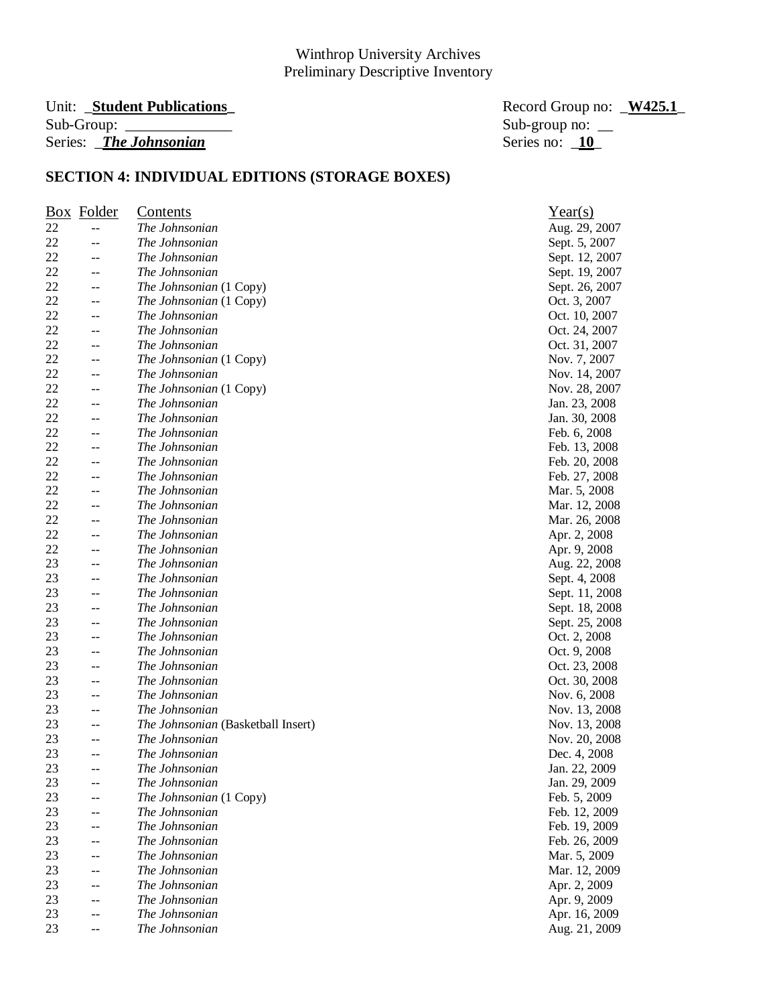# Unit: \_**Student Publications\_** Record Group no: \_**W425.1**\_ Series: *\_The Johnsonian*

Sub-group no:  $\frac{10}{10}$ 

|    | <b>Box</b> Folder | <b>Contents</b>                    | Year(s)        |
|----|-------------------|------------------------------------|----------------|
| 22 | $- -$             | The Johnsonian                     | Aug. 29, 2007  |
| 22 | $-$               | The Johnsonian                     | Sept. 5, 2007  |
| 22 | --                | The Johnsonian                     | Sept. 12, 2007 |
| 22 | $-$               | The Johnsonian                     | Sept. 19, 2007 |
| 22 | --                | The Johnsonian (1 Copy)            | Sept. 26, 2007 |
| 22 | $-$               | The Johnsonian (1 Copy)            | Oct. 3, 2007   |
| 22 | $-$               | The Johnsonian                     | Oct. 10, 2007  |
| 22 | $- -$             | The Johnsonian                     | Oct. 24, 2007  |
| 22 | --                | The Johnsonian                     | Oct. 31, 2007  |
| 22 | $-$               | The Johnsonian (1 Copy)            | Nov. 7, 2007   |
| 22 | --                | The Johnsonian                     | Nov. 14, 2007  |
| 22 | --                | The Johnsonian (1 Copy)            | Nov. 28, 2007  |
| 22 | --                | The Johnsonian                     | Jan. 23, 2008  |
| 22 | --                | The Johnsonian                     | Jan. 30, 2008  |
| 22 | --                | The Johnsonian                     | Feb. 6, 2008   |
| 22 | --                | The Johnsonian                     | Feb. 13, 2008  |
| 22 | --                | The Johnsonian                     | Feb. 20, 2008  |
| 22 |                   | The Johnsonian                     | Feb. 27, 2008  |
| 22 | --                | The Johnsonian                     | Mar. 5, 2008   |
| 22 | $- -$             | The Johnsonian                     |                |
| 22 | --                | The Johnsonian                     | Mar. 12, 2008  |
|    | --                |                                    | Mar. 26, 2008  |
| 22 | --                | The Johnsonian                     | Apr. 2, 2008   |
| 22 | --                | The Johnsonian                     | Apr. 9, 2008   |
| 23 | $-$               | The Johnsonian                     | Aug. 22, 2008  |
| 23 | --                | The Johnsonian                     | Sept. 4, 2008  |
| 23 | --                | The Johnsonian                     | Sept. 11, 2008 |
| 23 | --                | The Johnsonian                     | Sept. 18, 2008 |
| 23 | --                | The Johnsonian                     | Sept. 25, 2008 |
| 23 | --                | The Johnsonian                     | Oct. 2, 2008   |
| 23 | --                | The Johnsonian                     | Oct. 9, 2008   |
| 23 | $-$               | The Johnsonian                     | Oct. 23, 2008  |
| 23 | $-$               | The Johnsonian                     | Oct. 30, 2008  |
| 23 | --                | The Johnsonian                     | Nov. 6, 2008   |
| 23 | --                | The Johnsonian                     | Nov. 13, 2008  |
| 23 | --                | The Johnsonian (Basketball Insert) | Nov. 13, 2008  |
| 23 | --                | The Johnsonian                     | Nov. 20, 2008  |
| 23 | --                | The Johnsonian                     | Dec. 4, 2008   |
| 23 | $-$               | The Johnsonian                     | Jan. 22, 2009  |
| 23 |                   | The Johnsonian                     | Jan. 29, 2009  |
| 23 |                   | The Johnsonian (1 Copy)            | Feb. 5, 2009   |
| 23 | --                | The Johnsonian                     | Feb. 12, 2009  |
| 23 | --                | The Johnsonian                     | Feb. 19, 2009  |
| 23 | --                | The Johnsonian                     | Feb. 26, 2009  |
| 23 | --                | The Johnsonian                     | Mar. 5, 2009   |
| 23 |                   | The Johnsonian                     | Mar. 12, 2009  |
| 23 |                   | The Johnsonian                     | Apr. 2, 2009   |
| 23 |                   | The Johnsonian                     | Apr. 9, 2009   |
| 23 |                   | The Johnsonian                     | Apr. 16, 2009  |
| 23 |                   | The Johnsonian                     | Aug. 21, 2009  |
|    |                   |                                    |                |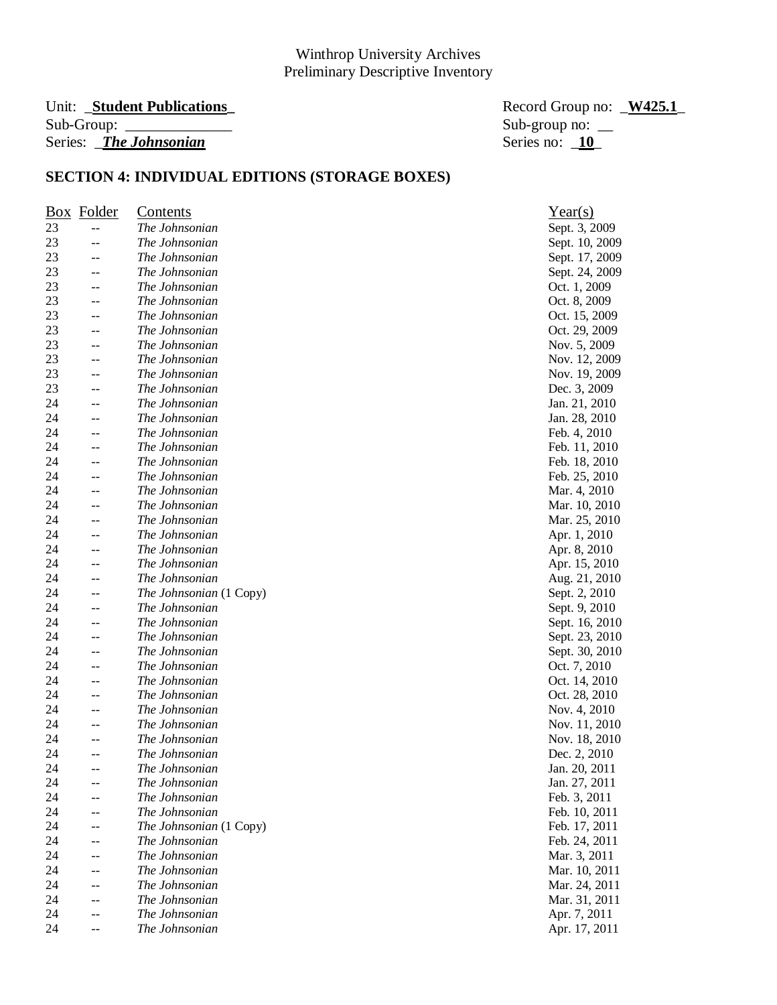# Sub-Group: \_\_\_\_\_\_\_\_\_\_\_\_\_\_ Sub-group no: \_\_ Series: *\_The Johnsonian*

Unit: \_**Student Publications\_** Record Group no: \_**W425.1**\_

|    | <b>Box</b> Folder | <u>Contents</u>         | Year(s)        |
|----|-------------------|-------------------------|----------------|
| 23 | $-$               | The Johnsonian          | Sept. 3, 2009  |
| 23 | --                | The Johnsonian          | Sept. 10, 2009 |
| 23 | --                | The Johnsonian          | Sept. 17, 2009 |
| 23 | --                | The Johnsonian          | Sept. 24, 2009 |
| 23 | --                | The Johnsonian          | Oct. 1, 2009   |
| 23 | --                | The Johnsonian          | Oct. 8, 2009   |
| 23 | --                | The Johnsonian          | Oct. 15, 2009  |
| 23 | --                | The Johnsonian          | Oct. 29, 2009  |
| 23 | --                | The Johnsonian          | Nov. 5, 2009   |
| 23 | --                | The Johnsonian          | Nov. 12, 2009  |
| 23 | --                | The Johnsonian          | Nov. 19, 2009  |
| 23 | --                | The Johnsonian          | Dec. 3, 2009   |
| 24 | $-$               | The Johnsonian          | Jan. 21, 2010  |
| 24 | $-$               | The Johnsonian          | Jan. 28, 2010  |
| 24 | --                | The Johnsonian          | Feb. 4, 2010   |
| 24 | --                | The Johnsonian          | Feb. 11, 2010  |
| 24 | --                | The Johnsonian          | Feb. 18, 2010  |
| 24 | --                | The Johnsonian          | Feb. 25, 2010  |
| 24 | --                | The Johnsonian          | Mar. 4, 2010   |
| 24 | --                | The Johnsonian          | Mar. 10, 2010  |
| 24 | --                | The Johnsonian          | Mar. 25, 2010  |
| 24 |                   | The Johnsonian          | Apr. 1, 2010   |
| 24 | --                | The Johnsonian          | Apr. 8, 2010   |
| 24 | --                | The Johnsonian          | Apr. 15, 2010  |
| 24 | --                | The Johnsonian          | Aug. 21, 2010  |
| 24 | --                | The Johnsonian (1 Copy) | Sept. 2, 2010  |
| 24 | --                | The Johnsonian          | Sept. 9, 2010  |
| 24 | --                | The Johnsonian          | Sept. 16, 2010 |
| 24 | --                | The Johnsonian          | Sept. 23, 2010 |
| 24 | --                | The Johnsonian          | Sept. 30, 2010 |
| 24 | --                | The Johnsonian          | Oct. 7, 2010   |
| 24 | --                | The Johnsonian          | Oct. 14, 2010  |
| 24 | --                | The Johnsonian          | Oct. 28, 2010  |
| 24 |                   | The Johnsonian          | Nov. 4, 2010   |
| 24 | --                | The Johnsonian          | Nov. 11, 2010  |
| 24 | --                | The Johnsonian          | Nov. 18, 2010  |
| 24 | --                | The Johnsonian          | Dec. 2, 2010   |
| 24 | $-$               | The Johnsonian          | Jan. 20, 2011  |
| 24 | --                | The Johnsonian          | Jan. 27, 2011  |
| 24 |                   | The Johnsonian          | Feb. 3, 2011   |
| 24 | $-$               | The Johnsonian          | Feb. 10, 2011  |
| 24 | --                | The Johnsonian (1 Copy) | Feb. 17, 2011  |
| 24 | --                | The Johnsonian          | Feb. 24, 2011  |
| 24 | --                | The Johnsonian          | Mar. 3, 2011   |
| 24 | --                | The Johnsonian          | Mar. 10, 2011  |
| 24 |                   | The Johnsonian          | Mar. 24, 2011  |
| 24 | $-$               | The Johnsonian          | Mar. 31, 2011  |
| 24 | --                | The Johnsonian          | Apr. 7, 2011   |
| 24 | --                | The Johnsonian          | Apr. 17, 2011  |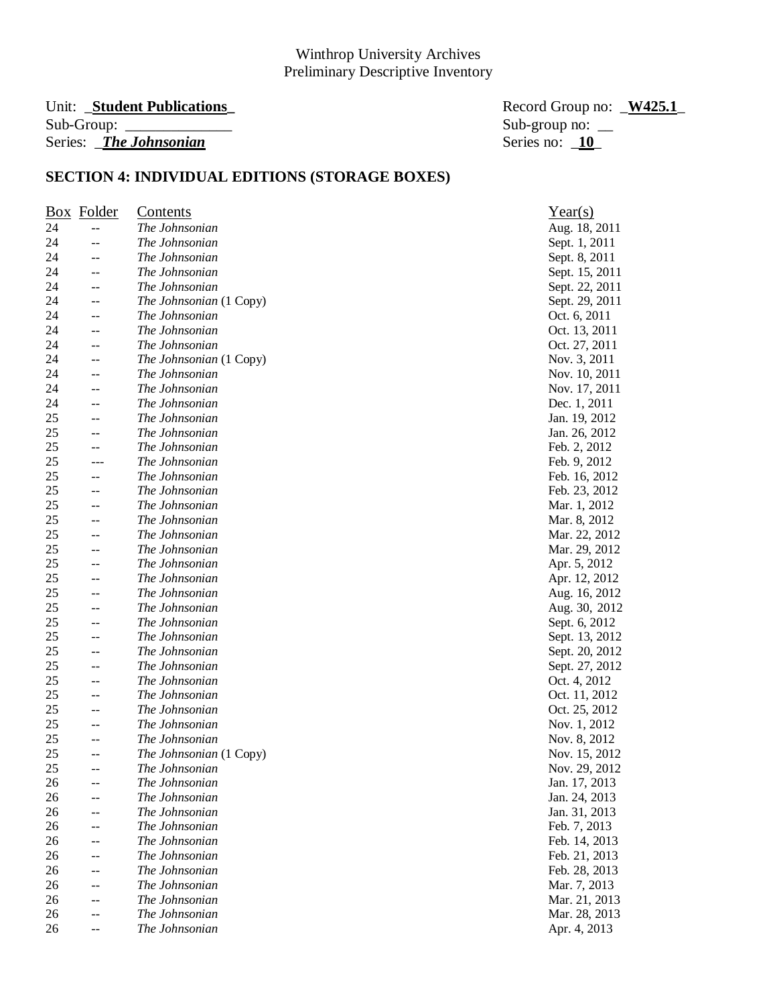# Series: *\_The Johnsonian*

Unit: \_**Student Publications\_** Record Group no: \_**W425.1**\_ Sub-group no:  $\frac{1}{\sqrt{10}}$ 

|    | <b>Box</b> Folder | <u>Contents</u>         | Year(s)        |
|----|-------------------|-------------------------|----------------|
| 24 | $-$               | The Johnsonian          | Aug. 18, 2011  |
| 24 | --                | The Johnsonian          | Sept. 1, 2011  |
| 24 | --                | The Johnsonian          | Sept. 8, 2011  |
| 24 | --                | The Johnsonian          | Sept. 15, 2011 |
| 24 | --                | The Johnsonian          | Sept. 22, 2011 |
| 24 | $-$               | The Johnsonian (1 Copy) | Sept. 29, 2011 |
| 24 | --                | The Johnsonian          | Oct. 6, 2011   |
| 24 | --                | The Johnsonian          | Oct. 13, 2011  |
| 24 | --                | The Johnsonian          | Oct. 27, 2011  |
| 24 | $-$               | The Johnsonian (1 Copy) | Nov. 3, 2011   |
| 24 | --                | The Johnsonian          | Nov. 10, 2011  |
| 24 | $-$               | The Johnsonian          | Nov. 17, 2011  |
| 24 | --                | The Johnsonian          | Dec. 1, 2011   |
| 25 | $-$               | The Johnsonian          | Jan. 19, 2012  |
| 25 | --                | The Johnsonian          | Jan. 26, 2012  |
| 25 | $-$               | The Johnsonian          | Feb. 2, 2012   |
| 25 | $---$             | The Johnsonian          | Feb. 9, 2012   |
| 25 | --                | The Johnsonian          | Feb. 16, 2012  |
| 25 | $- -$             | The Johnsonian          | Feb. 23, 2012  |
| 25 | --                | The Johnsonian          | Mar. 1, 2012   |
| 25 | --                | The Johnsonian          | Mar. 8, 2012   |
| 25 | --                | The Johnsonian          | Mar. 22, 2012  |
| 25 | --                | The Johnsonian          | Mar. 29, 2012  |
| 25 | $-$               | The Johnsonian          | Apr. 5, 2012   |
| 25 | --                | The Johnsonian          | Apr. 12, 2012  |
| 25 | $-$               | The Johnsonian          | Aug. 16, 2012  |
| 25 | --                | The Johnsonian          | Aug. 30, 2012  |
| 25 | --                | The Johnsonian          | Sept. 6, 2012  |
| 25 | --                | The Johnsonian          | Sept. 13, 2012 |
| 25 | --                | The Johnsonian          | Sept. 20, 2012 |
| 25 | $- -$             | The Johnsonian          | Sept. 27, 2012 |
| 25 | $- -$             | The Johnsonian          | Oct. 4, 2012   |
| 25 | --                | The Johnsonian          | Oct. 11, 2012  |
| 25 | --                | The Johnsonian          | Oct. 25, 2012  |
| 25 | --                | The Johnsonian          | Nov. 1, 2012   |
| 25 | --                | The Johnsonian          | Nov. 8, 2012   |
| 25 | $-$               | The Johnsonian (1 Copy) | Nov. 15, 2012  |
| 25 | $-$               | The Johnsonian          | Nov. 29, 2012  |
| 26 | --                | The Johnsonian          | Jan. 17, 2013  |
| 26 |                   | The Johnsonian          | Jan. 24, 2013  |
| 26 | $-$               | The Johnsonian          | Jan. 31, 2013  |
| 26 | --                | The Johnsonian          | Feb. 7, 2013   |
| 26 | $-$               | The Johnsonian          | Feb. 14, 2013  |
| 26 | $-$               | The Johnsonian          | Feb. 21, 2013  |
| 26 | --                | The Johnsonian          | Feb. 28, 2013  |
| 26 | --                | The Johnsonian          | Mar. 7, 2013   |
| 26 | $-$               | The Johnsonian          | Mar. 21, 2013  |
| 26 | --                | The Johnsonian          | Mar. 28, 2013  |
| 26 |                   | The Johnsonian          | Apr. 4, 2013   |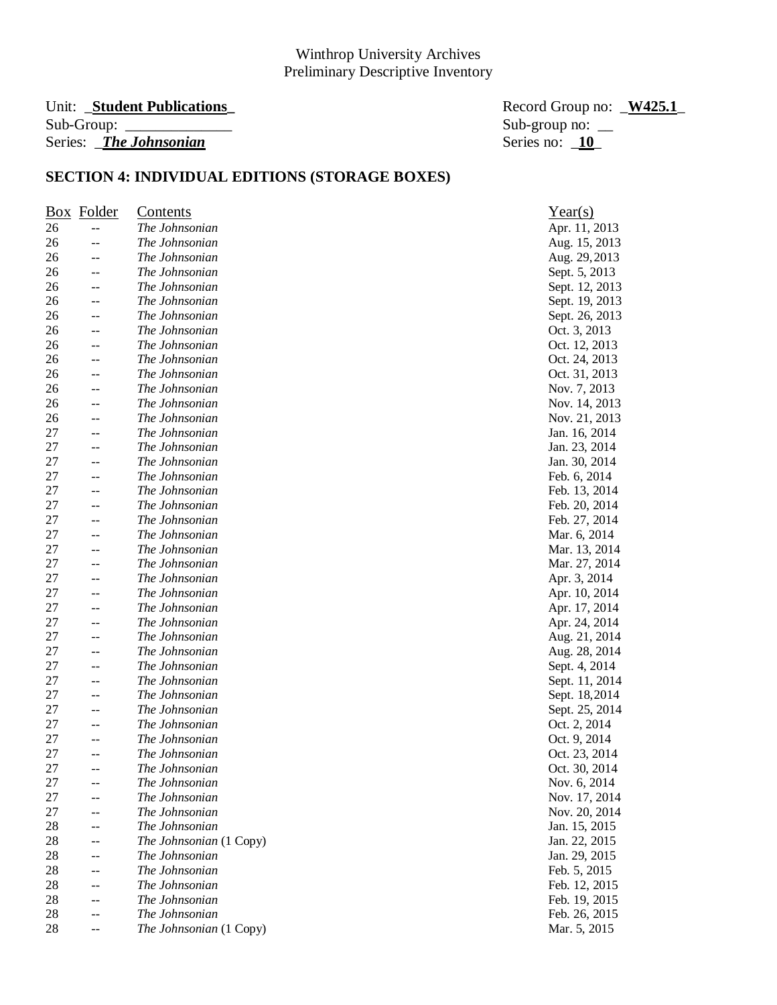# Unit: \_**Student Publications\_** Record Group no: \_**W425.1**\_ Series: *\_The Johnsonian*

Sub-group no:  $\frac{10}{10}$ 

| $\frac{Box}{}$ | Folder | <b>Contents</b>         | Year(s)        |
|----------------|--------|-------------------------|----------------|
| 26             | $-$    | The Johnsonian          | Apr. 11, 2013  |
| 26             | --     | The Johnsonian          | Aug. 15, 2013  |
| 26             | $-$    | The Johnsonian          | Aug. 29, 2013  |
| 26             | --     | The Johnsonian          | Sept. 5, 2013  |
| 26             | --     | The Johnsonian          | Sept. 12, 2013 |
| 26             | --     | The Johnsonian          | Sept. 19, 2013 |
| 26             | $-$    | The Johnsonian          | Sept. 26, 2013 |
| 26             | --     | The Johnsonian          | Oct. 3, 2013   |
| 26             | --     | The Johnsonian          | Oct. 12, 2013  |
| 26             | $-$    | The Johnsonian          | Oct. 24, 2013  |
| 26             | --     | The Johnsonian          | Oct. 31, 2013  |
| 26             | $-$    | The Johnsonian          | Nov. 7, 2013   |
| 26             | --     | The Johnsonian          | Nov. 14, 2013  |
| 26             | $-$    | The Johnsonian          | Nov. 21, 2013  |
| 27             | $-$    | The Johnsonian          | Jan. 16, 2014  |
| 27             | $-$    | The Johnsonian          | Jan. 23, 2014  |
| 27             | $-$    | The Johnsonian          | Jan. 30, 2014  |
| 27             | --     | The Johnsonian          | Feb. 6, 2014   |
| 27             | $- -$  | The Johnsonian          | Feb. 13, 2014  |
| 27             | --     | The Johnsonian          | Feb. 20, 2014  |
| 27             | --     | The Johnsonian          | Feb. 27, 2014  |
| 27             | --     | The Johnsonian          | Mar. 6, 2014   |
| 27             | --     | The Johnsonian          | Mar. 13, 2014  |
| 27             | $-$    | The Johnsonian          | Mar. 27, 2014  |
| 27             | --     | The Johnsonian          | Apr. 3, 2014   |
| 27             | $-$    | The Johnsonian          | Apr. 10, 2014  |
| 27             | $-$    | The Johnsonian          | Apr. 17, 2014  |
| 27             | --     | The Johnsonian          | Apr. 24, 2014  |
| 27             | $-$    | The Johnsonian          | Aug. 21, 2014  |
| 27             | --     | The Johnsonian          | Aug. 28, 2014  |
| 27             | $- -$  | The Johnsonian          | Sept. 4, 2014  |
| 27             | $- -$  | The Johnsonian          | Sept. 11, 2014 |
| 27             | --     | The Johnsonian          | Sept. 18,2014  |
| 27             | --     | The Johnsonian          | Sept. 25, 2014 |
| 27             | --     | The Johnsonian          | Oct. 2, 2014   |
| 27             | $-$    | The Johnsonian          | Oct. 9, 2014   |
| 27             | --     | The Johnsonian          | Oct. 23, 2014  |
| 27             | $-$    | The Johnsonian          | Oct. 30, 2014  |
| 27             | --     | The Johnsonian          | Nov. 6, 2014   |
| 27             |        | The Johnsonian          | Nov. 17, 2014  |
| 27             | --     | The Johnsonian          | Nov. 20, 2014  |
| 28             | --     | The Johnsonian          | Jan. 15, 2015  |
| 28             | --     | The Johnsonian (1 Copy) | Jan. 22, 2015  |
| 28             | --     | The Johnsonian          | Jan. 29, 2015  |
| 28             |        | The Johnsonian          | Feb. 5, 2015   |
| 28             |        | The Johnsonian          | Feb. 12, 2015  |
| 28             | --     | The Johnsonian          | Feb. 19, 2015  |
| 28             | --     | The Johnsonian          | Feb. 26, 2015  |
| 28             |        | The Johnsonian (1 Copy) | Mar. 5, 2015   |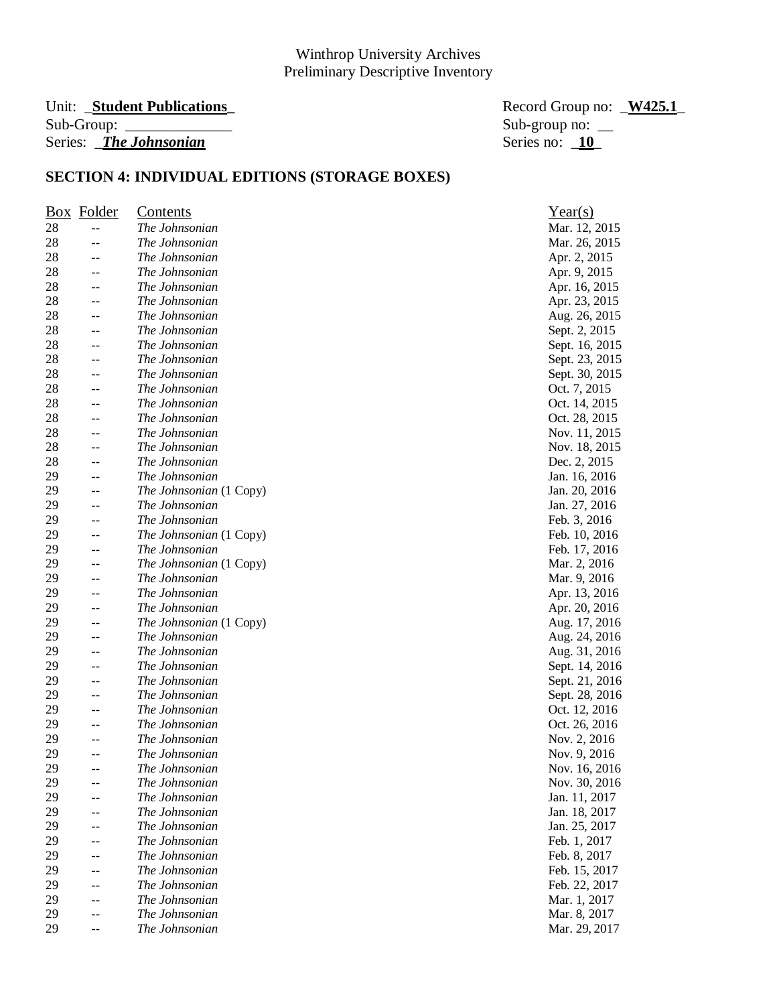#### Unit: **\_Student Publications**  $Sub-Group:$ Series: *\_The Johnsonian*

| Record Group no: <u>W425.1</u> |  |
|--------------------------------|--|
| Sub-group no: $\_\_$           |  |
| Series no: $10$                |  |

|    | <b>Box</b> Folder | <u>Contents</u>         | Year(s)        |
|----|-------------------|-------------------------|----------------|
| 28 | $- -$             | The Johnsonian          | Mar. 12, 2015  |
| 28 | --                | The Johnsonian          | Mar. 26, 2015  |
| 28 | --                | The Johnsonian          | Apr. 2, 2015   |
| 28 | --                | The Johnsonian          | Apr. 9, 2015   |
| 28 | --                | The Johnsonian          | Apr. 16, 2015  |
| 28 | $-$               | The Johnsonian          | Apr. 23, 2015  |
| 28 | $- -$             | The Johnsonian          | Aug. 26, 2015  |
| 28 | --                | The Johnsonian          | Sept. 2, 2015  |
| 28 | --                | The Johnsonian          | Sept. 16, 2015 |
| 28 | $-$               | The Johnsonian          | Sept. 23, 2015 |
| 28 | $-$               | The Johnsonian          | Sept. 30, 2015 |
| 28 | --                | The Johnsonian          | Oct. 7, 2015   |
| 28 | $-$               | The Johnsonian          | Oct. 14, 2015  |
| 28 | --                | The Johnsonian          | Oct. 28, 2015  |
| 28 | --                | The Johnsonian          | Nov. 11, 2015  |
| 28 | $-$               | The Johnsonian          | Nov. 18, 2015  |
| 28 | --                | The Johnsonian          | Dec. 2, 2015   |
| 29 | --                | The Johnsonian          | Jan. 16, 2016  |
| 29 | $-$               | The Johnsonian (1 Copy) | Jan. 20, 2016  |
| 29 | --                | The Johnsonian          | Jan. 27, 2016  |
| 29 | --                | The Johnsonian          | Feb. 3, 2016   |
| 29 | --                | The Johnsonian (1 Copy) | Feb. 10, 2016  |
| 29 | --                | The Johnsonian          | Feb. 17, 2016  |
| 29 | $-$               | The Johnsonian (1 Copy) | Mar. 2, 2016   |
| 29 | --                | The Johnsonian          | Mar. 9, 2016   |
| 29 | $-$               | The Johnsonian          | Apr. 13, 2016  |
| 29 | --                | The Johnsonian          | Apr. 20, 2016  |
| 29 | --                | The Johnsonian (1 Copy) | Aug. 17, 2016  |
| 29 | --                | The Johnsonian          | Aug. 24, 2016  |
| 29 | --                | The Johnsonian          | Aug. 31, 2016  |
| 29 | $- -$             | The Johnsonian          | Sept. 14, 2016 |
| 29 | --                | The Johnsonian          | Sept. 21, 2016 |
| 29 | --                | The Johnsonian          | Sept. 28, 2016 |
| 29 | --                | The Johnsonian          | Oct. 12, 2016  |
| 29 | --                | The Johnsonian          | Oct. 26, 2016  |
| 29 | --                | The Johnsonian          | Nov. 2, 2016   |
| 29 | --                | The Johnsonian          | Nov. 9, 2016   |
| 29 | $-$               | The Johnsonian          | Nov. 16, 2016  |
| 29 | --                | The Johnsonian          | Nov. 30, 2016  |
| 29 |                   | The Johnsonian          | Jan. 11, 2017  |
| 29 | --                | The Johnsonian          | Jan. 18, 2017  |
| 29 | --                | The Johnsonian          | Jan. 25, 2017  |
| 29 | --                | The Johnsonian          | Feb. 1, 2017   |
| 29 | --                | The Johnsonian          | Feb. 8, 2017   |
| 29 | --                | The Johnsonian          | Feb. 15, 2017  |
| 29 |                   | The Johnsonian          | Feb. 22, 2017  |
| 29 | --                | The Johnsonian          | Mar. 1, 2017   |
| 29 | --                | The Johnsonian          | Mar. 8, 2017   |
| 29 | $-$               | The Johnsonian          | Mar. 29, 2017  |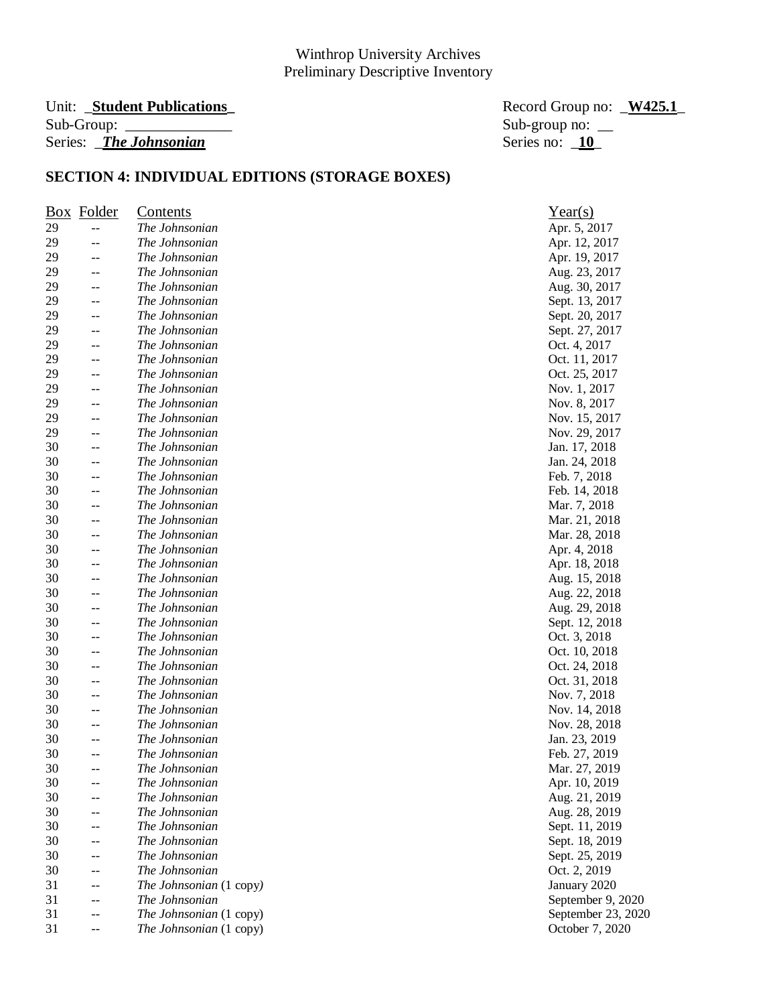# Unit: \_**Student Publications\_** Record Group no: \_**W425.1**\_ Series: *\_The Johnsonian*

Sub-group no:  $\frac{\text{Sub}}{\text{Series}}$  no:  $\frac{10}{10}$ 

| Box | Folder                                        | <b>Contents</b>         | Year(s)            |
|-----|-----------------------------------------------|-------------------------|--------------------|
| 29  | $\overline{\phantom{a}}$                      | The Johnsonian          | Apr. 5, 2017       |
| 29  | $-$                                           | The Johnsonian          | Apr. 12, 2017      |
| 29  | $-$                                           | The Johnsonian          | Apr. 19, 2017      |
| 29  | $\mathord{\hspace{1pt}\text{--}\hspace{1pt}}$ | The Johnsonian          | Aug. 23, 2017      |
| 29  | $-$                                           | The Johnsonian          | Aug. 30, 2017      |
| 29  | $\mathord{\hspace{1pt}\text{--}\hspace{1pt}}$ | The Johnsonian          | Sept. 13, 2017     |
| 29  | $-\,-$                                        | The Johnsonian          | Sept. 20, 2017     |
| 29  | $- \, -$                                      | The Johnsonian          | Sept. 27, 2017     |
| 29  | $\mathord{\hspace{1pt}\text{--}\hspace{1pt}}$ | The Johnsonian          | Oct. 4, 2017       |
| 29  | $\mathord{\hspace{1pt}\text{--}\hspace{1pt}}$ | The Johnsonian          | Oct. 11, 2017      |
| 29  | --                                            | The Johnsonian          | Oct. 25, 2017      |
| 29  | $-$                                           | The Johnsonian          | Nov. 1, 2017       |
| 29  | $-$                                           | The Johnsonian          | Nov. 8, 2017       |
| 29  | $\mathrel{{-}\mathrel{{-}}\mathrel{{-}}}$     | The Johnsonian          | Nov. 15, 2017      |
| 29  | $-$                                           | The Johnsonian          | Nov. 29, 2017      |
| 30  | $\mathord{\hspace{1pt}\text{--}\hspace{1pt}}$ | The Johnsonian          | Jan. 17, 2018      |
| 30  | $\mathord{\hspace{1pt}\text{--}\hspace{1pt}}$ | The Johnsonian          | Jan. 24, 2018      |
| 30  | --                                            | The Johnsonian          | Feb. 7, 2018       |
| 30  | $-\,-$                                        | The Johnsonian          | Feb. 14, 2018      |
| 30  | $\mathord{\hspace{1pt}\text{--}\hspace{1pt}}$ | The Johnsonian          | Mar. 7, 2018       |
| 30  | --                                            | The Johnsonian          | Mar. 21, 2018      |
| 30  | $\mathord{\hspace{1pt}\text{--}\hspace{1pt}}$ | The Johnsonian          | Mar. 28, 2018      |
| 30  | --                                            | The Johnsonian          | Apr. 4, 2018       |
| 30  | $-$                                           | The Johnsonian          | Apr. 18, 2018      |
| 30  | --                                            | The Johnsonian          | Aug. 15, 2018      |
| 30  | $\mathord{\hspace{1pt}\text{--}\hspace{1pt}}$ | The Johnsonian          | Aug. 22, 2018      |
| 30  | --                                            | The Johnsonian          | Aug. 29, 2018      |
| 30  | $\mathord{\hspace{1pt}\text{--}\hspace{1pt}}$ | The Johnsonian          | Sept. 12, 2018     |
| 30  | $\mathord{\hspace{1pt}\text{--}\hspace{1pt}}$ | The Johnsonian          | Oct. 3, 2018       |
| 30  | --                                            | The Johnsonian          | Oct. 10, 2018      |
| 30  | $-\,-$                                        | The Johnsonian          | Oct. 24, 2018      |
| 30  | $\overline{\phantom{a}}$                      | The Johnsonian          | Oct. 31, 2018      |
| 30  | --                                            | The Johnsonian          | Nov. 7, 2018       |
| 30  | $\mathord{\hspace{1pt}\text{--}\hspace{1pt}}$ | The Johnsonian          | Nov. 14, 2018      |
| 30  | --                                            | The Johnsonian          | Nov. 28, 2018      |
| 30  | --                                            | The Johnsonian          | Jan. 23, 2019      |
| 30  | $-$                                           | The Johnsonian          | Feb. 27, 2019      |
| 30  | $-$                                           | The Johnsonian          | Mar. 27, 2019      |
| 30  |                                               | The Johnsonian          | Apr. 10, 2019      |
| 30  |                                               | The Johnsonian          | Aug. 21, 2019      |
| 30  | --                                            | The Johnsonian          | Aug. 28, 2019      |
| 30  | --                                            | The Johnsonian          | Sept. 11, 2019     |
| 30  | --                                            | The Johnsonian          | Sept. 18, 2019     |
| 30  | $-$                                           | The Johnsonian          | Sept. 25, 2019     |
| 30  | --                                            | The Johnsonian          | Oct. 2, 2019       |
| 31  | --                                            | The Johnsonian (1 copy) | January 2020       |
| 31  | $-$                                           | The Johnsonian          | September 9, 2020  |
| 31  | --                                            | The Johnsonian (1 copy) | September 23, 2020 |
| 31  | $-$                                           | The Johnsonian (1 copy) | October 7, 2020    |